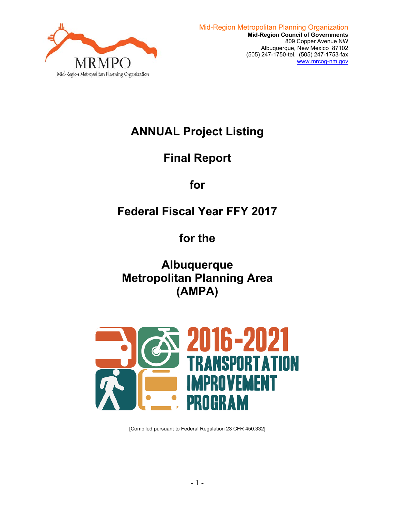

# **ANNUAL Project Listing**

# **Final Report**

# **for**

# **Federal Fiscal Year FFY 2017**

# **for the**

**Albuquerque Metropolitan Planning Area (AMPA)** 



[Compiled pursuant to Federal Regulation 23 CFR 450.332]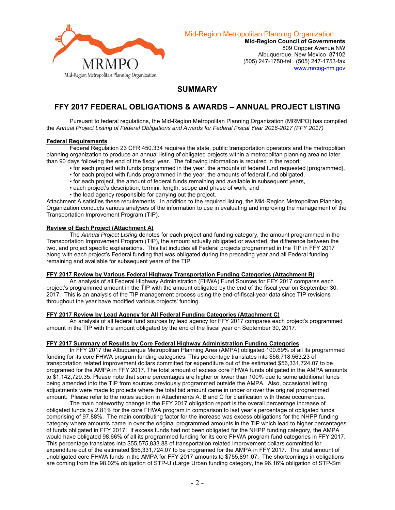

Mid-Region Metropolitan Planning Organization

**Mid-Region Council of Governments**  809 Copper Avenue NW Albuquerque, New Mexico 87102 (505) 247-1750-tel. (505) 247-1753-fax www.mrcog-nm.gov

# **SUMMARY**

# **FFY 2017 FEDERAL OBLIGATIONS & AWARDS – ANNUAL PROJECT LISTING**

 Pursuant to federal regulations, the Mid-Region Metropolitan Planning Organization (MRMPO) has compiled the *Annual Project Listing of Federal Obligations and Awards for Federal Fiscal Year 2016-2017 (FFY 2017)* 

### **Federal Requirements**

 Federal Regulation 23 CFR 450.334 requires the state, public transportation operators and the metropolitan planning organization to produce an annual listing of obligated projects within a metropolitan planning area no later than 90 days following the end of the fiscal year. The following information is required in the report:

- for each project with funds programmed in the year, the amounts of federal fund requested [programmed],
- for each project with funds programmed in the year, the amounts of federal fund obligated,
- for each project, the amount of federal funds remaining and available in subsequent years,
- each project's description, termini, length, scope and phase of work, and
- . the lead agency responsible for carrying out the project.

Attachment A satisfies these requirements. In addition to the required listing, the Mid-Region Metropolitan Planning Organization conducts various analyses of the information to use in evaluating and improving the management of the Transportation Improvement Program (TIP).

#### **Review of Each Project (Attachment A)**

 The *Annual Project Listing* denotes for each project and funding category, the amount programmed in the Transportation Improvement Program (TIP), the amount actually obligated or awarded, the difference between the two, and project specific explanations. This list includes all Federal projects programmed in the TIP in FFY 2017 along with each project's Federal funding that was obligated during the preceding year and all Federal funding remaining and available for subsequent years of the TIP.

#### **FFY 2017 Review by Various Federal Highway Transportation Funding Categories (Attachment B)**

 An analysis of all Federal Highway Administration (FHWA) Fund Sources for FFY 2017 compares each project's programmed amount in the TIP with the amount obligated by the end of the fiscal year on September 30, 2017. This is an analysis of the TIP management process using the end-of-fiscal-year data since TIP revisions throughout the year have modified various projects' funding.

#### **FFY 2017 Review by Lead Agency for All Federal Funding Categories (Attachment C)**

 An analysis of all federal fund sources by lead agency for FFY 2017 compares each project's programmed amount in the TIP with the amount obligated by the end of the fiscal year on September 30, 2017.

#### **FFY 2017 Summary of Results by Core Federal Highway Administration Funding Categories**

 In FFY 2017 the Albuquerque Metropolitan Planning Area (AMPA) obligated 100.69% of all its programmed funding for its core FHWA program funding categories. This percentage translates into \$56,718,563.23 of transportation related improvement dollars committed for expenditure out of the estimated \$56,331,724.07 to be programed for the AMPA in FFY 2017. The total amount of excess core FHWA funds obligated in the AMPA amounts to \$1,142,729.35. Please note that some percentages are higher or lower than 100% due to some additional funds being amended into the TIP from sources previously programmed outside the AMPA. Also, occasional letting adjustments were made to projects where the total bid amount came in under or over the original programmed amount. Please refer to the notes section in Attachments A, B and C for clarification with these occurrences.

The main noteworthy change in the FFY 2017 obligation report is the overall percentage increase of obligated funds by 2.81% for the core FHWA program in comparison to last year's percentage of obligated funds comprising of 97.88%. The main contributing factor for the increase was excess obligations for the NHPP funding category where amounts came in over the original programmed amounts in the TIP which lead to higher percentages of funds obligated in FFY 2017. If excess funds had not been obligated for the NHPP funding category, the AMPA would have obligated 98.66% of all its programmed funding for its core FHWA program fund categories in FFY 2017. This percentage translates into \$55,575,833.88 of transportation related improvement dollars committed for expenditure out of the estimated \$56,331,724.07 to be programed for the AMPA in FFY 2017. The total amount of unobligated core FHWA funds in the AMPA for FFY 2017 amounts to \$755,891.07. The shortcomings in obligations are coming from the 98.02% obligation of STP-U (Large Urban funding category, the 96.16% obligation of STP-Sm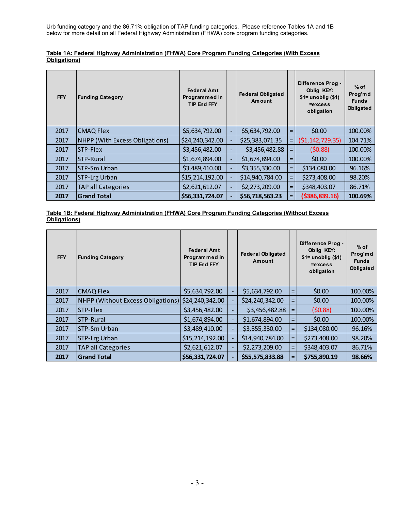Urb funding category and the 86.71% obligation of TAP funding categories. Please reference Tables 1A and 1B below for more detail on all Federal Highway Administration (FHWA) core program funding categories.

| Table 1A: Federal Highway Administration (FHWA) Core Program Funding Categories (With Excess |  |  |
|----------------------------------------------------------------------------------------------|--|--|
| <b>Obligations</b> )                                                                         |  |  |

| <b>FFY</b> | <b>Funding Category</b>               | <b>Federal Amt</b><br>Programmed in<br><b>TIP End FFY</b> |                          | <b>Federal Obligated</b><br>Amount |     | Difference Prog -<br>Oblig KEY:<br>$$1=$ unoblig $($1)$<br>$=excess$<br>obligation | $%$ of<br>Prog'md<br><b>Funds</b><br>Obligated |
|------------|---------------------------------------|-----------------------------------------------------------|--------------------------|------------------------------------|-----|------------------------------------------------------------------------------------|------------------------------------------------|
| 2017       | <b>CMAQ Flex</b>                      | \$5,634,792.00                                            |                          | \$5,634,792.00                     | $=$ | \$0.00                                                                             | 100.00%                                        |
| 2017       | <b>NHPP (With Excess Obligations)</b> | \$24,240,342.00                                           | $\overline{\phantom{0}}$ | \$25,383,071.35                    | =   | (51, 142, 729.35)                                                                  | 104.71%                                        |
| 2017       | STP-Flex                              | \$3,456,482.00                                            | н,                       | \$3,456,482.88                     | $=$ | (50.88)                                                                            | 100.00%                                        |
| 2017       | <b>ISTP-Rural</b>                     | \$1,674,894.00                                            | ÷,                       | \$1,674,894.00                     | $=$ | \$0.00                                                                             | 100.00%                                        |
| 2017       | <b>STP-Sm Urban</b>                   | \$3,489,410.00                                            | ٠                        | \$3,355,330.00                     | $=$ | \$134,080.00                                                                       | 96.16%                                         |
| 2017       | STP-Lrg Urban                         | \$15,214,192.00                                           | ٠                        | \$14,940,784.00                    | $=$ | \$273,408.00                                                                       | 98.20%                                         |
| 2017       | <b>TAP all Categories</b>             | \$2,621,612.07                                            | ٠                        | \$2,273,209.00                     | $=$ | \$348,403.07                                                                       | 86.71%                                         |
| 2017       | <b>Grand Total</b>                    | \$56,331,724.07                                           |                          | \$56,718,563.23                    | $=$ | ( \$386, 839.16)                                                                   | 100.69%                                        |

### **Table 1B: Federal Highway Administration (FHWA) Core Program Funding Categories (Without Excess Obligations)**

| <b>FFY</b> | <b>Funding Category</b>                  | <b>Federal Amt</b><br>Programmed in<br><b>TIP End FFY</b> |                          | <b>Federal Obligated</b><br>Amount |                    | Difference Prog -<br>Oblig KEY:<br>$$1=$ unoblig $($1)$<br>$=$ excess<br>obligation | $%$ of<br>Prog'md<br><b>Funds</b><br>Obligated |
|------------|------------------------------------------|-----------------------------------------------------------|--------------------------|------------------------------------|--------------------|-------------------------------------------------------------------------------------|------------------------------------------------|
| 2017       | <b>CMAQ Flex</b>                         | \$5,634,792.00                                            | -                        | \$5,634,792.00                     | $=$                | \$0.00                                                                              | 100.00%                                        |
| 2017       | <b>NHPP (Without Excess Obligations)</b> | \$24,240,342.00                                           |                          | \$24,240,342.00                    | $=$                | \$0.00                                                                              | 100.00%                                        |
| 2017       | <b>STP-Flex</b>                          | \$3,456,482.00                                            | $\blacksquare$           | \$3,456,482.88                     | $=$                | (50.88)                                                                             | 100.00%                                        |
| 2017       | <b>STP-Rural</b>                         | \$1,674,894.00                                            | $\overline{\phantom{a}}$ | \$1,674,894.00                     | $\equiv$           | \$0.00                                                                              | 100.00%                                        |
| 2017       | <b>ISTP-Sm Urban</b>                     | \$3,489,410.00                                            | $\overline{\phantom{a}}$ | \$3,355,330.00                     | $=$                | \$134,080.00                                                                        | 96.16%                                         |
| 2017       | STP-Lrg Urban                            | \$15,214,192.00                                           |                          | \$14,940,784.00                    | $=$                | \$273,408.00                                                                        | 98.20%                                         |
| 2017       | <b>TAP all Categories</b>                | \$2,621,612.07                                            | $\overline{\phantom{a}}$ | \$2,273,209.00                     | $=$                | \$348,403.07                                                                        | 86.71%                                         |
| 2017       | <b>Grand Total</b>                       | \$56,331,724.07                                           |                          | \$55,575,833.88                    | $=$ $\overline{ }$ | \$755,890.19                                                                        | 98.66%                                         |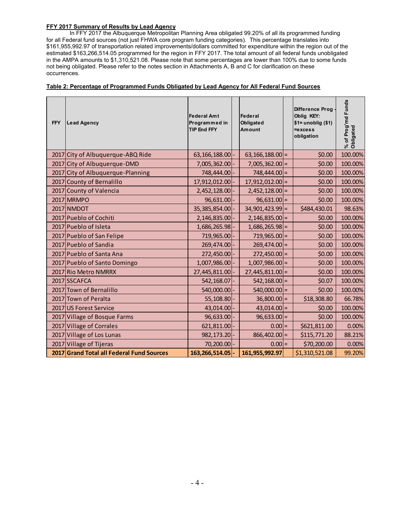### **FFY 2017 Summary of Results by Lead Agency**

 In FFY 2017 the Albuquerque Metropolitan Planning Area obligated 99.20% of all its programmed funding for all Federal fund sources (not just FHWA core program funding categories). This percentage translates into \$161,955,992.97 of transportation related improvements/dollars committed for expenditure within the region out of the estimated \$163,266,514.05 programmed for the region in FFY 2017. The total amount of all federal funds unobligated in the AMPA amounts to \$1,310,521.08. Please note that some percentages are lower than 100% due to some funds not being obligated. Please refer to the notes section in Attachments A, B and C for clarification on these occurrences.

| <b>FFY</b> | <b>Lead Agency</b>                        | <b>Federal Amt</b><br>Programmed in<br><b>TIP End FFY</b> | Federal<br>Obligated<br><b>Amount</b> | <b>Difference Prog</b><br>Oblig KEY:<br>$$1=$ unoblig $$1)$<br>$=$ excess<br>obligation | % of Prog'md Funds<br>Obligated |
|------------|-------------------------------------------|-----------------------------------------------------------|---------------------------------------|-----------------------------------------------------------------------------------------|---------------------------------|
|            | 2017 City of Albuquerque-ABQ Ride         | 63, 166, 188.00                                           | $63,166,188.00$ =                     | \$0.00                                                                                  | 100.00%                         |
|            | 2017 City of Albuquerque-DMD              | 7,005,362.00                                              | $7,005,362.00$ =                      | \$0.00                                                                                  | 100.00%                         |
|            | 2017 City of Albuquerque-Planning         | 748,444.00                                                | $748,444.00$ =                        | \$0.00                                                                                  | 100.00%                         |
| 2017       | County of Bernalillo                      | 17,912,012.00                                             | $17,912,012.00$ =                     | \$0.00                                                                                  | 100.00%                         |
|            | 2017 County of Valencia                   | 2,452,128.00                                              | $2,452,128.00$ =                      | \$0.00                                                                                  | 100.00%                         |
|            | 2017 MRMPO                                | 96,631.00                                                 | $96,631.00$ =                         | \$0.00                                                                                  | 100.00%                         |
|            | 2017 NMDOT                                | 35,385,854.00                                             | $34,901,423.99$ =                     | \$484,430.01                                                                            | 98.63%                          |
|            | 2017 Pueblo of Cochiti                    | 2,146,835.00                                              | $2,146,835.00$ =                      | \$0.00                                                                                  | 100.00%                         |
|            | 2017 Pueblo of Isleta                     | 1,686,265.98                                              | $1,686,265.98 =$                      | \$0.00                                                                                  | 100.00%                         |
|            | 2017 Pueblo of San Felipe                 | 719,965.00                                                | $719,965.00$ =                        | \$0.00                                                                                  | 100.00%                         |
|            | 2017 Pueblo of Sandia                     | 269,474.00                                                | $269,474.00$ =                        | \$0.00                                                                                  | 100.00%                         |
|            | 2017 Pueblo of Santa Ana                  | 272,450.00 -                                              | $272,450.00$ =                        | \$0.00                                                                                  | 100.00%                         |
|            | 2017 Pueblo of Santo Domingo              | 1,007,986.00                                              | $1,007,986.00$ =                      | \$0.00                                                                                  | 100.00%                         |
|            | 2017 Rio Metro NMRRX                      | 27,445,811.00                                             | $27,445,811.00$ =                     | \$0.00                                                                                  | 100.00%                         |
|            | 2017 SSCAFCA                              | 542,168.07                                                | $542,168.00$ =                        | \$0.07                                                                                  | 100.00%                         |
|            | 2017 Town of Bernalillo                   | 540,000.00                                                | $540,000.00$ =                        | \$0.00                                                                                  | 100.00%                         |
|            | 2017 Town of Peralta                      | 55,108.80                                                 | $36,800.00$ =                         | \$18,308.80                                                                             | 66.78%                          |
|            | 2017 US Forest Service                    | 43,014.00 -                                               | $43,014.00$ =                         | \$0.00                                                                                  | 100.00%                         |
|            | 2017 Village of Bosque Farms              | 96,633.00                                                 | $96,633.00 =$                         | \$0.00                                                                                  | 100.00%                         |
|            | 2017 Village of Corrales                  | 621,811.00                                                | $0.00 =$                              | \$621,811.00                                                                            | 0.00%                           |
| 2017       | <b>Village of Los Lunas</b>               | 982, 173. 20                                              | $866,402.00$ =                        | \$115,771.20                                                                            | 88.21%                          |
|            | 2017 Village of Tijeras                   | 70,200.00                                                 | $0.00 =$                              | \$70,200.00                                                                             | 0.00%                           |
|            | 2017 Grand Total all Federal Fund Sources | 163, 266, 514.05                                          | 161,955,992.97                        | \$1,310,521.08                                                                          | 99.20%                          |

### **Table 2: Percentage of Programmed Funds Obligated by Lead Agency for All Federal Fund Sources**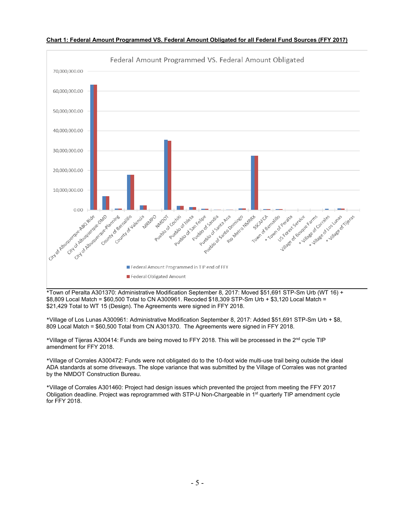

### **Chart 1: Federal Amount Programmed VS. Federal Amount Obligated for all Federal Fund Sources (FFY 2017)**

\*Town of Peralta A301370: Administrative Modification September 8, 2017: Moved \$51,691 STP-Sm Urb (WT 16) + \$8,809 Local Match = \$60,500 Total to CN A300961. Recoded \$18,309 STP-Sm Urb + \$3,120 Local Match = \$21,429 Total to WT 15 (Design). The Agreements were signed in FFY 2018.

\*Village of Los Lunas A300961: Administrative Modification September 8, 2017: Added \$51,691 STP-Sm Urb + \$8, 809 Local Match = \$60,500 Total from CN A301370. The Agreements were signed in FFY 2018.

\*Village of Tijeras A300414: Funds are being moved to FFY 2018. This will be processed in the 2nd cycle TIP amendment for FFY 2018.

\*Village of Corrales A300472: Funds were not obligated do to the 10-foot wide multi-use trail being outside the ideal ADA standards at some driveways. The slope variance that was submitted by the Village of Corrales was not granted by the NMDOT Construction Bureau.

\*Village of Corrales A301460: Project had design issues which prevented the project from meeting the FFY 2017 Obligation deadline. Project was reprogrammed with STP-U Non-Chargeable in 1<sup>st</sup> quarterly TIP amendment cycle for FFY 2018.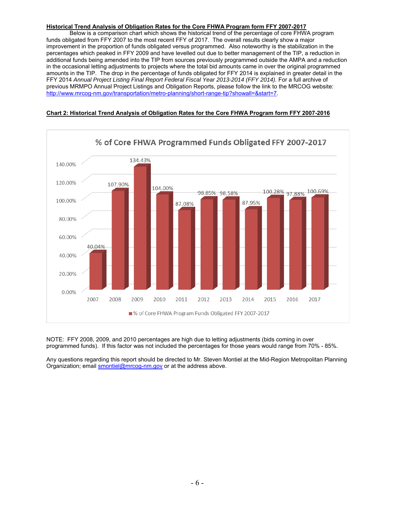### **Historical Trend Analysis of Obligation Rates for the Core FHWA Program form FFY 2007-2017**

 Below is a comparison chart which shows the historical trend of the percentage of core FHWA program funds obligated from FFY 2007 to the most recent FFY of 2017. The overall results clearly show a major improvement in the proportion of funds obligated versus programmed. Also noteworthy is the stabilization in the percentages which peaked in FFY 2009 and have levelled out due to better management of the TIP, a reduction in additional funds being amended into the TIP from sources previously programmed outside the AMPA and a reduction in the occasional letting adjustments to projects where the total bid amounts came in over the original programmed amounts in the TIP. The drop in the percentage of funds obligated for FFY 2014 is explained in greater detail in the FFY 2014 *Annual Project Listing Final Report Federal Fiscal Year 2013-2014 (FFY 2014)*. For a full archive of previous MRMPO Annual Project Listings and Obligation Reports, please follow the link to the MRCOG website: http://www.mrcog-nm.gov/transportation/metro-planning/short-range-tip?showall=&start=7.



## **Chart 2: Historical Trend Analysis of Obligation Rates for the Core FHWA Program form FFY 2007-2016**

NOTE: FFY 2008, 2009, and 2010 percentages are high due to letting adjustments (bids coming in over programmed funds). If this factor was not included the percentages for those years would range from 70% - 85%.

Any questions regarding this report should be directed to Mr. Steven Montiel at the Mid-Region Metropolitan Planning Organization; email smontiel@mrcog-nm.gov or at the address above.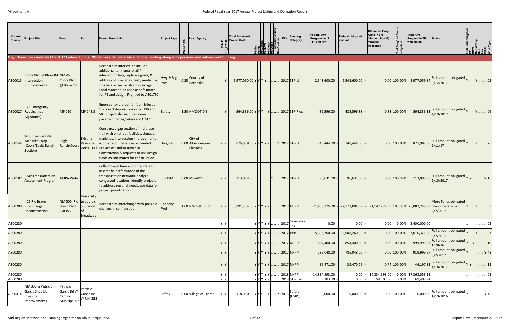| Control<br><b>Number</b> | <b>Project Title</b>                                                  | From                                                                     |                                            | <b>Project Description</b>                                                                                                                                                                                                                                                                    | <b>Project Type</b> | Lead Agency                               |      | <b>Total Estimated</b><br><b>Project Cost</b>                                                            |                | <b>FFY</b>     | <b>Funding</b><br>Category | <b>Federal Amt</b><br><b>Programmed in</b><br><b>TIP End FFY</b> | <b>Federal obligated</b><br>amount | Difference Prog -<br>Oblig KEY:<br>$$1=$ unoblig $$1)$<br>=excess<br>obligation | % of Prog'r<br>obligated | <b>Total Amt</b><br>Prog'md in TIP<br>with Match | <b>Notes</b>                                                                                                                  | str/Impl |                              |  |
|--------------------------|-----------------------------------------------------------------------|--------------------------------------------------------------------------|--------------------------------------------|-----------------------------------------------------------------------------------------------------------------------------------------------------------------------------------------------------------------------------------------------------------------------------------------------|---------------------|-------------------------------------------|------|----------------------------------------------------------------------------------------------------------|----------------|----------------|----------------------------|------------------------------------------------------------------|------------------------------------|---------------------------------------------------------------------------------|--------------------------|--------------------------------------------------|-------------------------------------------------------------------------------------------------------------------------------|----------|------------------------------|--|
|                          |                                                                       |                                                                          |                                            | Key: Green rows indicate FFY 2017 Federal Funds. White rows denote state and local funding along with previous and subsequent funding.                                                                                                                                                        |                     |                                           |      |                                                                                                          |                |                |                            |                                                                  |                                    |                                                                                 |                          |                                                  |                                                                                                                               |          |                              |  |
| A300015                  | Coors Blvd & Blake Rd NM 45,<br>Intersection<br>Improvements          | Coors Blvd<br>@ Blake Rd                                                 |                                            | Reconstruct intersec, to include<br>additional turn lanes at all 4<br>intersection legs, replace signals, &<br>addition of bike lanes, curb, median, &<br>sidewalk as well as storm drainage.<br>Local match to be used as soft match<br>for PE and design. Proj tied to A301790              | Hwy & Brg<br>Pres   | $\bigg  0.25 \bigg $ County of Bernalillo |      | $2,977,060.00 Y Y Y Y    2017 STP-U$                                                                     |                |                |                            | 2,543,600.00                                                     | 2,543,600.00                       |                                                                                 | $0.00$ 100.00%           | 2,977,059.84                                     | Full amount obligated<br>9/12/2017                                                                                            |          | .  03                        |  |
| A300027                  | <b>I-25 Emergency</b><br>Repairs (near<br>Algadones)                  | <b>MP 250</b>                                                            | MP 248.5                                   | Emercgency project for foam injection<br>to correct depressions in I-25 NB and<br>SB. Project also includes some<br>pavement repair/rehab and OGFC.                                                                                                                                           | Safety              | $1.50$ NMDOT D-3                          |      | 564,836.00 Y Y Y  Y  2017 STP-Flex                                                                       |                |                |                            | 482,596.00                                                       | 482,596.88                         |                                                                                 | $-0.88$ 100.00%          | 564,836.13                                       | Full amount obligated<br>4/19/2017                                                                                            |          | . Y    06                    |  |
| A300144                  | Albuquerque Fifty<br>Mile Bike Loop<br>(Coors/Eagle Ranch<br>Section) | Eagle<br>Ranch/Coors                                                     | Existing<br>Paseo del                      | Construct a gap section of multi-use<br>trail with on-street facilities, signage,<br>markings, intersection improvements<br>$\&$ other appurtenances as needed.<br>Norte Trail Project will utilize Advance<br>Construction & requests to use design<br>funds as soft match for construction. | Bike/Ped            | City of<br>0.00 Albuquerque-<br>Planning  |      | 875,988.00 Y Y Y Y Y Y  . Y 2017 STP-U                                                                   |                |                |                            | 748,444.00                                                       | 748,444.00                         |                                                                                 | $0.00$ 100.00%           | 875,987.80                                       | Full amount obligated<br>9/11/17                                                                                              |          | 28                           |  |
| A300187                  | <b>CMP Transportation</b><br><b>Assessment Program</b>                | <b>AMPA Wide</b>                                                         |                                            | Collect travel time and other data to<br>assess the performance of the<br>transportation network, analyze<br>congested locations, identify projects<br>to address regional needs, use data for<br>project prioritization.                                                                     | <b>ITS-TSM</b>      | $0.00$ MRMPO                              |      | $113,098.00$ .                                                                                           |                | Y   2017 STP-U |                            | 96,631.00                                                        | 96,631.00                          |                                                                                 | $0.00$ 100.00%           | 113,098.08                                       | Full amount obligated<br>2/10/2017                                                                                            |          | $\left  \ldots \right $ Y 18 |  |
|                          | I-25 Rio Bravo<br>A300280 Interchange<br>Reconstruction               | NM 500, Rio to approx<br><b>Bravo Blvd</b><br>Exit #220                  | University<br>500' west<br>lof<br>Broadway | Reconstruct interchange with possible Capacity<br>changes in configuration.                                                                                                                                                                                                                   | Proj                | 1.60 NMDOT CRDC                           | Y IY | 53,891,234.00 Y Y Y Y Y .                                                                                |                | 2017 NHPP      |                            |                                                                  |                                    |                                                                                 |                          |                                                  | More Funds obligated<br>21,430,275.00 -   22,573,004.69 =   -1,142,729.69 105.33%   25,082,249.99 than Programmed<br>2/7/2017 |          | .  03                        |  |
| A300280                  |                                                                       |                                                                          |                                            |                                                                                                                                                                                                                                                                                               |                     |                                           | Y Y  |                                                                                                          | YYYYYY.        | 2017 ]         | Severance                  | $0.00$ -                                                         | $0.00 =$                           | 0.00                                                                            | 0.00%                    | 2,400,000.00                                     |                                                                                                                               |          | . 03                         |  |
| A300280                  |                                                                       |                                                                          |                                            |                                                                                                                                                                                                                                                                                               |                     |                                           |      |                                                                                                          | YIYIYIYIYI.    | 2017 HPP       | Tax                        | 5,608,260.00                                                     | $5,608,260.00$ =                   |                                                                                 | $0.00$ 100.00%           | 7,010,325.00                                     | Full amount obligated<br>2/7/2017                                                                                             |          | .03                          |  |
| A300280                  |                                                                       |                                                                          |                                            |                                                                                                                                                                                                                                                                                               |                     |                                           |      |                                                                                                          | YIYIYIYIYI.    | . 2017 NHPP    |                            | 854,400.00                                                       | $854,400.00$ =                     |                                                                                 | $0.00$ 100.00%           | 999,999.97                                       | Full amount obligated<br>11/8/16                                                                                              |          | 16                           |  |
| A300280                  |                                                                       |                                                                          |                                            |                                                                                                                                                                                                                                                                                               |                     |                                           |      |                                                                                                          | <u>YYYYYY.</u> | 2017 NHPP      |                            | 786,048.00                                                       | $786,048.00$ =                     |                                                                                 | $0.00$ 100.00%           | 919,999.97                                       | Full amount obligated<br>5/2/2017                                                                                             |          | . Y 43                       |  |
| A300280                  |                                                                       |                                                                          |                                            |                                                                                                                                                                                                                                                                                               |                     |                                           |      |                                                                                                          | <u>YYYYYY.</u> | . 2017 NHPP    |                            | 39,471.00                                                        | $39,470.26$ =                      |                                                                                 | $0.74$ 100.00%           | 46,197.33                                        | Full amount obligated<br>1/18/2017                                                                                            |          |                              |  |
| A300280                  |                                                                       |                                                                          |                                            |                                                                                                                                                                                                                                                                                               |                     |                                           | YY   |                                                                                                          | Y Y Y Y Y      | . 2018 NHPP    |                            | 14,834,993.00                                                    |                                    | $0.00$ = 14,834,993.00                                                          |                          | 0.00% 17,363,053.11                              |                                                                                                                               |          | $\sim$ 03                    |  |
| A300280                  |                                                                       |                                                                          |                                            |                                                                                                                                                                                                                                                                                               |                     |                                           | Y    |                                                                                                          | Y Y Y Y Y .    |                | $.$ 2018 STP-Flex          | $59,303.00$ .                                                    | $0.00 =$                           | 59,303.00                                                                       | 0.00%                    | 69,408.94                                        |                                                                                                                               |          | . 03                         |  |
| A300414                  | NM 333 & Patricio<br>Garcia Shoulder<br>Crossing<br>Improvements      | Patricio<br>Garcia Rd @<br>$\vert$ Municipal Rd $\vert$ @ NM 333 $\vert$ | Patricio<br>Garcia Rd                      |                                                                                                                                                                                                                                                                                               | Safety              | 0.00 Village of Tijeras                   |      | 118,000.00 $\vert$ Y $\vert$ Y $\vert$ Y $\vert$ $\vert$ Y $\vert$ $\vert$ Y $\vert$ 2016 $\vert$ Safety |                |                | $^{\prime}$ (HSIP)         | 9,000.00                                                         | 9,000.00                           |                                                                                 | 0.00 100.00%             | 10,000.00                                        | Full amount obligated<br>1/19/2016                                                                                            |          | Y Y 43                       |  |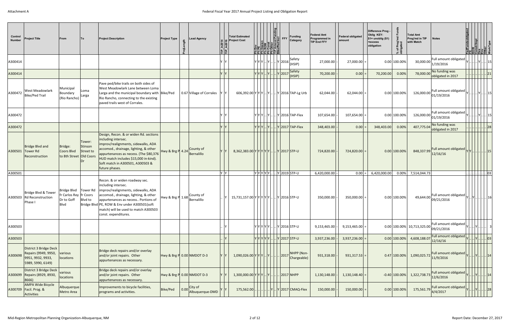| Control<br><b>Number</b> | <b>Project Title</b>                                                                     | From                                                          | To                             | <b>Project Description</b>                                                                                                                                                                                                                                                                   | <b>Project Type</b> | Lead Agency                                            | ⊫่∥⊨ู่ | <b>Total Estimated</b><br><b>Project Cost</b>                                  |           | <b>Pelodic PEY</b><br>Republic<br>Pedic | <b>Funding</b><br>Category   | <b>Federal Amt</b><br><b>Programmed in</b><br><b>TIP End FFY</b> | <b>Federal obligated</b><br>lamount | Difference Prog -<br>Oblig KEY:<br>\$1= unoblig (\$1)<br>=excess<br>obligation | % of Prog'r<br>obligated | <b>Total Amt</b><br>Prog'md in TIP<br>with Match | <b>Notes</b>                        | str/Impl<br><u>ERRIGRES S</u> |           |
|--------------------------|------------------------------------------------------------------------------------------|---------------------------------------------------------------|--------------------------------|----------------------------------------------------------------------------------------------------------------------------------------------------------------------------------------------------------------------------------------------------------------------------------------------|---------------------|--------------------------------------------------------|--------|--------------------------------------------------------------------------------|-----------|-----------------------------------------|------------------------------|------------------------------------------------------------------|-------------------------------------|--------------------------------------------------------------------------------|--------------------------|--------------------------------------------------|-------------------------------------|-------------------------------|-----------|
| A300414                  |                                                                                          |                                                               |                                |                                                                                                                                                                                                                                                                                              |                     |                                                        |        | $ \mathbf{y} \mathbf{y} \mathbf{x} $ $ \mathbf{y} $ $ \mathbf{y} $ 2016 (HSIP) |           |                                         |                              | 27,000.00                                                        | 27,000.00                           |                                                                                | 0.00 100.00%             | 30,000.00                                        | Full amount obligated<br>1/19/2016  |                               |           |
| A300414                  |                                                                                          |                                                               |                                |                                                                                                                                                                                                                                                                                              |                     |                                                        |        | YYYI                                                                           |           | Y 2017                                  | Safety<br>(HSIP)             | 70,200.00                                                        | $0.00$ :                            | 70,200.00                                                                      | 0.00%                    | 78,000.00                                        | No funding was<br>obligated in 2017 |                               |           |
| A300472                  | <b>West Meadowlark</b><br><b>Bike/Ped Trail</b>                                          | Municipal<br>Boundary<br>(Rio Rancho)                         | Loma<br>Larga                  | Pave ped/bike trails on both sides of<br>West Meadowlark Lane between Loma<br>Larga and the municipal boundary with Bike/Ped<br>Rio Rancho, connecting to the existing<br>paved trails west of Corrales.                                                                                     |                     | 0.67 Village of Corrales                               |        | 606,392.00 Y Y Y  Y  Y  Y 2016 TAP-Lg Urb                                      |           |                                         |                              | 62,044.00                                                        | 62,044.00                           |                                                                                | 0.00 100.00%             | 126,000.00                                       | Full amount obligated<br>01/19/2016 |                               |           |
| A300472                  |                                                                                          |                                                               |                                |                                                                                                                                                                                                                                                                                              |                     |                                                        |        |                                                                                |           |                                         | Y Y Y  Y   Y  2016 TAP-Flex  | 107,654.00                                                       | 107,654.00                          |                                                                                | 0.00 100.00%             | 126,000.00                                       | Full amount obligated<br>01/19/2016 |                               |           |
| A300472                  |                                                                                          |                                                               |                                |                                                                                                                                                                                                                                                                                              |                     |                                                        |        | $ Y Y Y $                                                                      | . IY I I. |                                         | $ \mathsf{Y} $ 2017 TAP-Flex | 348,403.00                                                       | 0.00                                | 348,403.00                                                                     | 0.00%                    | 407,775.04                                       | No funding was<br>obligated in 2017 |                               | 28        |
| A300501                  | Bridge Blvd and<br>Tower Rd<br>Reconstruction                                            | Bridge:<br>Coors Blvd<br>to 8th Street Old Coors              | Tower:<br>Stinson<br>Street to | Design, Recon. & or widen Rd. sections<br>including intersec.<br>improv/realignments, sidewalks, ADA<br>accomod., drainage, lighting, & other<br>appurtenances as necess. (The \$80,376<br>HUD match includes \$15,000 in-kind).<br>Soft match in A300501, A300503 &<br>future phases.       |                     | Hwy & Brg P 4.24 County of<br>Bernalillo               |        | 8,362,383.00 Y Y Y Y Y Y  Y 2017 STP-U                                         |           |                                         |                              | 724,820.00                                                       | 724,820.00                          |                                                                                | $0.00$ 100.00%           | 848,337.99                                       | Full amount obligated<br>12/16/16   |                               | . 15      |
| A300501                  |                                                                                          |                                                               |                                |                                                                                                                                                                                                                                                                                              |                     |                                                        | Y Y    | VYYYYYY 2019 STP-U                                                             |           |                                         |                              | 6,420,000.00                                                     | 0.00                                | 6,420,000.00                                                                   | 0.00%                    | 7,514,044.73                                     |                                     |                               | . 03      |
| A300503                  | Bridge Blvd & Tower<br><b>Rd Reconstruction</b><br>Phase I                               | Bridge Blvd   Tower Rd<br>fr Carlos Rey<br>Dr to Goff<br>Blvd | fr Coors<br>Blvd to            | Recon. & or widen roadway sec.<br>including intersec.<br>improv/realignments, sidewalks, ADA<br>accomod., drainage, lighting, & other<br>appurtenances as necess Portions of<br>Bridge Blvd PE, ROW & Env under A300501(soft<br>match) will be used to match A300503<br>const. expenditures. |                     | Hwy & Brg P $\left. 1.68 \right $ County of Bernalillo |        | 15,731,157.00 Y Y Y Y Y Y  Y 2016 STP-U                                        |           |                                         |                              | 350,000.00                                                       | 350,000.00                          |                                                                                | 0.00 100.00%             | 49,644.00                                        | Full amount obligated<br>09/21/2016 | ′  Y      16                  |           |
| A300503                  |                                                                                          |                                                               |                                |                                                                                                                                                                                                                                                                                              |                     |                                                        |        | $ Y Y Y Y  $ $ Y 2016 STP-U$                                                   |           |                                         |                              | 9,153,465.00                                                     | $9,153,465.00$ =                    |                                                                                |                          | 0.00 100.00% 10,713,325.00                       | Full amount obligated<br>09/21/2016 |                               |           |
| A300503                  |                                                                                          |                                                               |                                |                                                                                                                                                                                                                                                                                              |                     |                                                        |        | Y Y Y Y Y   Y 2017 STP-U                                                       |           |                                         |                              | 3,937,236.00                                                     | $3,937,236.00$ =                    |                                                                                | 0.00 100.00%             | 4,608,188.07                                     | Full amount obligated<br>12/16/16   |                               | . 03      |
| A300698                  | District 3 Bridge Deck<br>Repairs (9949, 9950,<br>9951, 9932, 9933,<br>5989, 5990, 6149) | various<br>locations                                          |                                | Bridge deck repairs and/or overlay<br>and/or joint repairs. Other<br>appurtenances as necessary.                                                                                                                                                                                             |                     | Hwy & Brg P 0.00 NMDOT D-3                             |        | 1,090,026.00 Y Y Y  Y                                                          |           | 2017                                    | NHPP (Non-<br>Chargeable)    | 931,318.00                                                       | $ 931,317.53  =$                    |                                                                                | 0.47 100.00%             | 1,090,025.72                                     | Full amount obligated<br>11/9/2016  |                               | .14       |
| A300699                  | District 3 Bridge Deck<br>Repairs (8929, 8930,<br>8666)                                  | various<br>locations                                          |                                | Bridge deck repairs and/or overlay<br>and/or joint repairs. Other<br>appurtenances as necessary.                                                                                                                                                                                             |                     | Hwy & Brg P 0.00 NMDOT D-3                             |        | $1,300,000.00 \mathsf{Y} \mathsf{Y} \mathsf{Y}  \mathsf{Y}   .$                |           | 2017 NHPP                               |                              | 1,130,148.00                                                     | $1,130,148.40$ :                    |                                                                                | $-0.40$ 100.00%          | 1,322,738.73                                     | Full amount obligated<br>12/6/2016  |                               | .  .   14 |
| A300709                  | <b>AMPA Wide Bicycle</b><br>Facil. Prog. &<br>Activities                                 | Albuquerque<br>Metro Area                                     |                                | Improvements to bicycle facilities,<br>programs and activities.                                                                                                                                                                                                                              | Bike/Ped            | City of<br>0.00<br>Albuquerque-DMD                     |        | 175,562.00                                                                     |           |                                         | $\vert$ Y 2017 CMAQ-Flex     | 150,000.00                                                       | 150,000.00                          |                                                                                | $0.00$ 100.00%           | 175,561.79 4/4/2017                              | Full amount obligated               | Y   Y   .                     | .  28     |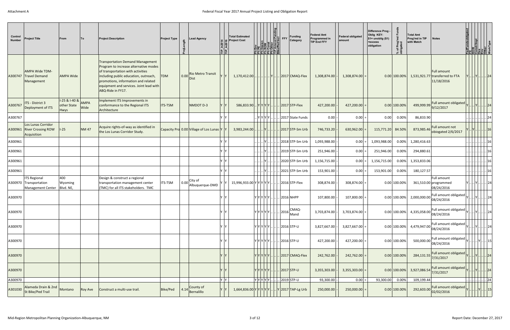| Control<br><b>Number</b> | <b>Project Title</b>                                                      | From                                            | <b>To</b>    | <b>Project Description</b>                                                                                                                                                                                                                                            | <b>Project Type</b> |      | Lead Agency                             | $ \bar{\mathbf{r}} $ ե | <b>Total Estimated</b><br><b>Project Cost</b> | nd Pend<br>Incl<br><u>이 이 어</u> 린 <u>이</u><br>이 보기 되면 같은<br>이 모든 것이 되면 같 | <b>Funding</b><br><b>FFY</b><br>Category     | <b>Federal Amt</b><br>Programmed in<br><b>TIP End FFY</b> | <b>Federal obligated</b><br>amount | Difference Prog -<br>Oblig KEY:<br>$$1=$ unoblig $($1)$<br>=excess<br>obligation | % of Prog'ı<br>obligated | <b>Total Amt</b><br>Prog'md in TIP<br>with Match | <b>Notes</b>                                                                            | FedFundsob<br> ROW<br> ROW<br> Constrimp <br> Conter<br> WorkType<br> WorkType                                                                                                                                                                                                                                                                                                                                                                                                                                                                                                                                 |         |  |
|--------------------------|---------------------------------------------------------------------------|-------------------------------------------------|--------------|-----------------------------------------------------------------------------------------------------------------------------------------------------------------------------------------------------------------------------------------------------------------------|---------------------|------|-----------------------------------------|------------------------|-----------------------------------------------|--------------------------------------------------------------------------|----------------------------------------------|-----------------------------------------------------------|------------------------------------|----------------------------------------------------------------------------------|--------------------------|--------------------------------------------------|-----------------------------------------------------------------------------------------|----------------------------------------------------------------------------------------------------------------------------------------------------------------------------------------------------------------------------------------------------------------------------------------------------------------------------------------------------------------------------------------------------------------------------------------------------------------------------------------------------------------------------------------------------------------------------------------------------------------|---------|--|
| A300747                  | <b>AMPA Wide TDM-</b><br><b>Travel Demand</b><br>Management               | <b>AMPA Wide</b>                                |              | <b>Transportation Demand Management</b><br>Program to increase alternative modes<br>of transportation with activities<br>including public education, outreach,<br>promotions, information and related<br>equipment and services. Joint lead with<br>ABQ-Ride in FY17. | <b>TDM</b>          | 0.00 | <b>Rio Metro Transit</b><br><b>Dist</b> |                        | $1,170,412.00$ .                              | . IYI                                                                    | $ 2017 $ CMAQ-Flex                           | 1,308,874.00                                              | $1,308,874.00$ =                   |                                                                                  | $0.00$ 100.00%           |                                                  | <b>Full amount</b><br>1,531,921.77 transferred to FTA<br>11/18/2016                     |                                                                                                                                                                                                                                                                                                                                                                                                                                                                                                                                                                                                                | 24      |  |
| A300767                  | ITS - District 3<br>Deployment of ITS                                     | $1-25 & 1-40 & 8$<br>other State<br><b>Hwys</b> | AMPA<br>Wide | Implement ITS Improvements in<br>conformance to the Regional ITS<br>Architecture                                                                                                                                                                                      | <b>ITS-TSM</b>      |      | NMDOT D-3                               |                        | $586,833.90$ $Y Y Y Y$ .                      |                                                                          | $ 2017 $ STP-Flex                            | 427,200.00                                                | $427,200.00$ =                     |                                                                                  | $0.00$ 100.00%           | 499,999.99                                       | Full amount obligated<br>9/12/2017                                                      |                                                                                                                                                                                                                                                                                                                                                                                                                                                                                                                                                                                                                | 24      |  |
| A300767                  |                                                                           |                                                 |              |                                                                                                                                                                                                                                                                       |                     |      |                                         |                        |                                               |                                                                          | Y Y Y Y    2017 State Funds                  | 0.00                                                      | $0.00$ =                           | 0.00                                                                             | 0.00%                    | 86,833.90                                        |                                                                                         |                                                                                                                                                                                                                                                                                                                                                                                                                                                                                                                                                                                                                |         |  |
| A300961                  | Los Lunas Corridor<br><b>River Crossing ROW</b><br>Acquisition            | $I-25$                                          | <b>NM47</b>  | Acquire rights-of-way as identified in<br>the Los Lunas Corridor Study.                                                                                                                                                                                               |                     |      | Capacity Prd 0.00 Village of Los Lunas  |                        | 3,983,244.00                                  |                                                                          | 2017 STP-Sm Urb                              | 746,733.20                                                | 630,962.00                         | 115,771.20 84.50%                                                                |                          | 873,985.46                                       | Full amount not<br>obiogated 2/6/2017                                                   |                                                                                                                                                                                                                                                                                                                                                                                                                                                                                                                                                                                                                |         |  |
| A300961                  |                                                                           |                                                 |              |                                                                                                                                                                                                                                                                       |                     |      |                                         |                        |                                               |                                                                          | 2018 STP-Sm Urb                              | 1,093,988.00                                              | $0.00 =$                           | 1,093,988.00                                                                     | 0.00%                    | 1,280,416.63                                     |                                                                                         |                                                                                                                                                                                                                                                                                                                                                                                                                                                                                                                                                                                                                |         |  |
| A300961                  |                                                                           |                                                 |              |                                                                                                                                                                                                                                                                       |                     |      |                                         |                        |                                               |                                                                          | 2019 STP-Sm Urb                              | 251,946.00                                                | $0.00 =$                           | 251,946.00                                                                       | 0.00%                    | 294,880.61                                       |                                                                                         |                                                                                                                                                                                                                                                                                                                                                                                                                                                                                                                                                                                                                |         |  |
| A300961                  |                                                                           |                                                 |              |                                                                                                                                                                                                                                                                       |                     |      |                                         |                        |                                               |                                                                          | 2020 STP-Sm Urb                              | 1,156,715.00                                              | $0.00 =$                           | 1,156,715.00                                                                     | 0.00%                    | 1,353,833.06                                     |                                                                                         |                                                                                                                                                                                                                                                                                                                                                                                                                                                                                                                                                                                                                |         |  |
| A300961                  |                                                                           |                                                 |              |                                                                                                                                                                                                                                                                       |                     |      |                                         |                        |                                               |                                                                          | 2021 STP-Sm Urb                              | 153,901.00                                                | 0.00                               | 153,901.00                                                                       | 0.00%                    | 180,127.57                                       |                                                                                         |                                                                                                                                                                                                                                                                                                                                                                                                                                                                                                                                                                                                                |         |  |
|                          | <b>ITS Regional</b><br>A300970 Transportation<br><b>Management Center</b> | 400<br>Wyoming<br>Blvd. NE,                     |              | Design & construct a regional<br>transportation management center<br>(TMC) for all ITS stakeholders. TMC                                                                                                                                                              | <b>ITS-TSM</b>      |      | $0.00$ City of<br>Albuquerque-DMD       |                        | 15,996,933.00 Y Y Y Y Y                       |                                                                          | $ 2016 $ STP-Flex                            | 308,874.00                                                | $308,874.00$ =                     |                                                                                  | 0.00 100.00%             |                                                  | Full amount<br>361,510.00 programmed<br>08/24/2016                                      | $  $ . $ Y $ . $  $ .                                                                                                                                                                                                                                                                                                                                                                                                                                                                                                                                                                                          | .124    |  |
| A300970                  |                                                                           |                                                 |              |                                                                                                                                                                                                                                                                       |                     |      |                                         |                        |                                               |                                                                          | Y Y Y Y Y   2016 NHPP                        | 107,800.00                                                | 107,800.00                         |                                                                                  | 0.00 100.00%             | 2,000,000.00                                     | Full amount obligated<br>08/24/2016                                                     | Y      Y         24                                                                                                                                                                                                                                                                                                                                                                                                                                                                                                                                                                                            |         |  |
| A300970                  |                                                                           |                                                 |              |                                                                                                                                                                                                                                                                       |                     |      |                                         | Y Y                    |                                               |                                                                          |                                              | 3,703,874.00                                              | $3,703,874.00$ =                   |                                                                                  |                          | $0.00 100.00\% $ 4,335,058.00 08/24/2016         | Full amount obligated                                                                   | $\vert$ Y $\vert$ $\vert$ $\vert$ . $\vert$ . $\vert$ $\vert$ $\vert$ 24 $\vert$                                                                                                                                                                                                                                                                                                                                                                                                                                                                                                                               |         |  |
| A300970                  |                                                                           |                                                 |              |                                                                                                                                                                                                                                                                       |                     |      |                                         | Y IV                   |                                               |                                                                          | $ Y Y Y Y Y   2016 STP-U$                    | 3,827,667.00                                              | $3,827,667.00$ =                   |                                                                                  | $0.00$ 100.00%           | 4,479,947.00                                     | Full amount obligated<br>08/24/2016                                                     |                                                                                                                                                                                                                                                                                                                                                                                                                                                                                                                                                                                                                | . 24    |  |
| A300970                  |                                                                           |                                                 |              |                                                                                                                                                                                                                                                                       |                     |      |                                         |                        |                                               |                                                                          | $ Y Y Y Y Y   2016 STP-U$                    | 427,200.00                                                | $427,200.00$ =                     |                                                                                  | 0.00 100.00%             | 500,000.00                                       | Full amount obligated<br>08/24/2016                                                     |                                                                                                                                                                                                                                                                                                                                                                                                                                                                                                                                                                                                                |         |  |
| A300970                  |                                                                           |                                                 |              |                                                                                                                                                                                                                                                                       |                     |      |                                         |                        |                                               | Y[Y Y Y Y]                                                               | $\ldots$ 2017 CMAQ-Flex                      | 242,762.00                                                | $242,762.00$ =                     |                                                                                  | 0.00 100.00%             |                                                  | Full amount obligated<br>284,131.55 7/31/2017                                           |                                                                                                                                                                                                                                                                                                                                                                                                                                                                                                                                                                                                                | .  24   |  |
| A300970                  |                                                                           |                                                 |              |                                                                                                                                                                                                                                                                       |                     |      |                                         |                        |                                               | <u> Y Y Y Y Y  </u>                                                      | 2017 STP-U                                   | 3,355,303.00                                              | $3,355,303.00$ =                   |                                                                                  | $0.00$ 100.00%           | 3,927,086.54 7/31/2017                           | Full amount obligated                                                                   |                                                                                                                                                                                                                                                                                                                                                                                                                                                                                                                                                                                                                | .  24   |  |
| A300970                  |                                                                           |                                                 |              |                                                                                                                                                                                                                                                                       |                     |      |                                         | Y Y                    |                                               |                                                                          | $ Y Y Y Y Y   2019 STP-U$                    | 93,300.00                                                 | $0.00$ =                           | 93,300.00 0.00%                                                                  |                          | 109,199.44                                       |                                                                                         |                                                                                                                                                                                                                                                                                                                                                                                                                                                                                                                                                                                                                | .    24 |  |
| A301030                  | Alameda Drain & 2nd<br>St Bike/Ped Trail                                  | Montano                                         | Roy Ave      | Construct a multi-use trail.                                                                                                                                                                                                                                          | Bike/Ped            |      | County of<br>4.14 Bernalillo            |                        |                                               |                                                                          | $1,664,836.00 Y Y Y Y Y   Y 2017 TAP-Lg$ Urb | 250,000.00                                                | $250,000.00$ :                     |                                                                                  | $0.00$ 100.00%           |                                                  | Full amount obligated<br>$292,603.00\begin{array}{ l l l }\hline 292,603.00\end{array}$ | $\mathsf{Y}[\mathinner{\ldotp\ldotp\ldotp\ldotp\ldotp\ldotp\ldotp\mathinner \ldotp\ldotp\ldotp\ldotp\ldotp\ldotp\mathinner \ldotp\ldotp\mathinner \ldotp\mathinner \ldotp\mathinner \ldotp\mathinner \ldotp\mathinner \ldotp\mathinner \ldotp\mathinner \ldotp\mathinner \ldotp\mathinner \ldotp\mathinner \ldotp\mathinner \ldotp\mathinner \ldotp\mathinner \ldotp\mathinner \ldotp\mathinner \ldotp\mathinner \ldotp\mathinner \ldotp\mathinner \ldotp\mathinner \ldotp\mathinner \ldotp\mathinner \ldotp\mathinner \ldotp\mathinner \ldotp\mathinner \ldotp\mathinner \ldotp\mathinner \ldotp\mathinner \$ |         |  |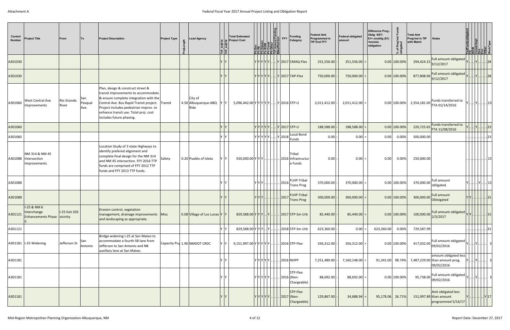| Control<br><b>Number</b> | <b>Project Title</b>                                      | From                | <b>To</b>              | <b>Project Description</b>                                                                                                                                                                                                                                                   | <b>Project Type</b> | 능 | <b>Lead Agency</b>                      | :  을  | <b>Total Estimated</b><br>Project Cost   | <b>The Design Control of the Property Property Property Property Property Property Property Property Property Property Property Property Property Property Property Property Property Property Property Property Property Proper</b> | <b>Funding</b><br>Category                            | <b>Federal Amt</b><br>Programmed in<br><b>TIP End FFY</b> | <b>Federal obligated</b><br>lamount | Difference Prog -<br>Oblig KEY:<br>$$1=$ unoblig $($1)$<br>=excess<br>obligation | % of Prog'md<br>obligated | <b>Total Amt</b><br>Prog'md in TIP<br>with Match | <b>Notes</b>                                                          |     | str/Impl<br><b>S  B 5 5 5 5 5 5 5</b> |            |       |
|--------------------------|-----------------------------------------------------------|---------------------|------------------------|------------------------------------------------------------------------------------------------------------------------------------------------------------------------------------------------------------------------------------------------------------------------------|---------------------|---|-----------------------------------------|-------|------------------------------------------|--------------------------------------------------------------------------------------------------------------------------------------------------------------------------------------------------------------------------------------|-------------------------------------------------------|-----------------------------------------------------------|-------------------------------------|----------------------------------------------------------------------------------|---------------------------|--------------------------------------------------|-----------------------------------------------------------------------|-----|---------------------------------------|------------|-------|
| A301030                  |                                                           |                     |                        |                                                                                                                                                                                                                                                                              |                     |   |                                         |       |                                          |                                                                                                                                                                                                                                      | $Y Y Y Y X  Y 2017 CMAQ-Flex$                         | 251,556.00                                                | 251,556.00                          |                                                                                  | $0.00$ 100.00%            | 294,424.15                                       | Full amount obligated<br>9/12/2017                                    |     |                                       |            | 28    |
| A301030                  |                                                           |                     |                        |                                                                                                                                                                                                                                                                              |                     |   |                                         |       |                                          |                                                                                                                                                                                                                                      | $ Y Y Y Y Y  N 2017 TAP-Flex$                         | 750,000.00                                                | 750,000.00                          |                                                                                  | $0.00$ 100.00%            | 877,808.96 9/12/2017                             | Full amount obligated                                                 |     |                                       |            |       |
| A301060                  | <b>West Central Ave</b><br>Improvements                   | Rio Grande<br>River | San<br>Pasqual<br>Ave. | Plan, design & construct street &<br>transit improvements to accommodate<br>& ensure complete integration with the<br>Central Ave. Bus Rapid Transit project.<br>Project includes pedestrian improv. to<br>enhance transit use. Total proj. cost<br>includes future phasing. | Transit             |   | City of<br>4.50 Albuquerque-ABQ<br>Ride | YY    | 5,096,442.00 Y Y Y Y Y Y  . Y 2016 STP-U |                                                                                                                                                                                                                                      |                                                       | 2,011,412.00                                              | 2,011,412.00                        |                                                                                  | 0.00 100.00%              | 2,354,181.00                                     | Funds transferred to<br>FTA 01/14/2016                                |     | Y  23 .                               |            |       |
| A301060                  |                                                           |                     |                        |                                                                                                                                                                                                                                                                              |                     |   |                                         |       | Y Y Y Y Y  .                             |                                                                                                                                                                                                                                      | . Y 2017 STP-U                                        | 188,588.00                                                | 188,588.00                          |                                                                                  | $0.00$ 100.00%            | 220,725.65                                       | Funds transferred to<br>FTA 11/08/2016                                |     |                                       |            | 23    |
| A301060                  |                                                           |                     |                        |                                                                                                                                                                                                                                                                              |                     |   |                                         | ⁄ I∨  |                                          | Υ Υ Υ Υ Υ   Υ  2018                                                                                                                                                                                                                  | Local Bond<br>Funds                                   | 0.00                                                      | 0.00                                | 0.00                                                                             | $0.00\%$                  | 500,000.00                                       |                                                                       |     |                                       |            | . 23  |
|                          | NM 314 & NM 45<br>A301088 Intersection<br>Improvements    |                     |                        | Location Study of 3 state Highways to<br>identify prefered alignment and<br>complete final design for the NM 314<br>and NM 45 intersection. FFY 2016 TTP<br>funds are comprised of FFY 2012 TTP<br>funds and FFY 2013 TTP funds.                                             | Safety              |   | 0.20 Pueblo of Isleta                   | ΥY    | 920,000.00 Y Y Y                         |                                                                                                                                                                                                                                      | Tribal<br>. 2016 Infrastructur<br>e Funds             | 0.00                                                      | 0.00                                | 0.00                                                                             | 0.00%                     | 250,000.00                                       |                                                                       |     |                                       |            |       |
| A301088                  |                                                           |                     |                        |                                                                                                                                                                                                                                                                              |                     |   |                                         | v Iv  | YIYIYI.                                  |                                                                                                                                                                                                                                      | FLHP-Tribal<br> 2016<br><b>Trans Prog</b>             | 370,000.00                                                | 370,000.00                          |                                                                                  | $0.00$ 100.00%            | 370,000.00                                       | <b>Full amount</b><br>obligated.                                      |     | <u>IVI</u>                            |            | 15    |
| A301088                  |                                                           |                     |                        |                                                                                                                                                                                                                                                                              |                     |   |                                         |       | Y Y Y   .                                | .  .   2017                                                                                                                                                                                                                          | <b>FLHP-Tribal</b><br><b>Trans Prog</b>               | 300,000.00                                                | 300,000.00                          |                                                                                  | $0.00$ 100.00%            | 300,000.00 Obloigated                            | <b>Full amount</b>                                                    | Y Y |                                       |            | .  15 |
| A301121                  | I-25 & NM 6<br>Interchange<br>Enhancements Phase vicinity | I-25 Exit 203       |                        | Erosion control, vegetation<br>management, drainage improvements Misc<br>and landscaping as appropriate.                                                                                                                                                                     |                     |   | 0.08 Village of Los Lunas Y Y           |       | 829,588.00 Y Y Y  Y  Y  2017 STP-Sm Urb  |                                                                                                                                                                                                                                      |                                                       | 85,440.00                                                 | 85,440.00                           |                                                                                  | $0.00$ 100.00%            | 100,000.00                                       | Full amount obligated<br>2/3/2017                                     |     |                                       | 15         |       |
| A301121                  |                                                           |                     |                        |                                                                                                                                                                                                                                                                              |                     |   |                                         | Y Y   | 829,588.00 Y Y Y  Y                      |                                                                                                                                                                                                                                      | 2018 STP-Sm Urb                                       | 623,360.00                                                | $0.00$ =                            | 623,360.00                                                                       | 0.00%                     | 729,587.99                                       |                                                                       |     |                                       |            | . 31  |
|                          | A301181   I-25 Widening                                   | Jefferson St        | San<br>Antonio         | Bridge widening I-25 at San Mateo to<br>accommodate a fourth SB lane from<br>Jefferson to San Antonio and NB<br>auxillary lane at San Mateo.                                                                                                                                 |                     |   | Capacity Prd 1.90 NMDOT CRDC            | Y Y   |                                          |                                                                                                                                                                                                                                      |                                                       | 356,312.00                                                | $356,312.00$ =                      |                                                                                  | $0.00$ 100.00%            |                                                  | Full amount obligated<br>417,032.00 09/02/2016                        |     |                                       |            |       |
| A301181                  |                                                           |                     |                        |                                                                                                                                                                                                                                                                              |                     |   |                                         | √ ∣ γ | Y Y Y Y Y  .                             |                                                                                                                                                                                                                                      | . 2016 NHPP                                           | 7,251,489.00                                              | 7,160,148.00                        | 91,341.00 98.74%                                                                 |                           |                                                  | amount obligated less<br>7,487,229.00 than amount prog.<br>09/02/2016 |     |                                       |            |       |
| A301181                  |                                                           |                     |                        |                                                                                                                                                                                                                                                                              |                     |   |                                         | 'N    |                                          |                                                                                                                                                                                                                                      | STP-Flex<br>$ Y Y Y Y Y   2016 $ (Non-<br>Chargeable) | 88,692.00                                                 | 88,692.00                           |                                                                                  | 0.00 100.00%              | 95,738.00                                        | Full amount obligated<br>09/02/2016                                   |     |                                       |            |       |
| A301181                  |                                                           |                     |                        |                                                                                                                                                                                                                                                                              |                     |   |                                         |       |                                          |                                                                                                                                                                                                                                      | STP-Flex<br>$ Y Y Y Y Y   2017 $ (Non-<br>Chargeable) | 129,867.00                                                | 34,688.94                           | 95,178.06 26.71%                                                                 |                           |                                                  | Amt obligated less<br>151,997.89 than amount<br>programmed 5/16/17    |     |                                       | .     Y 17 |       |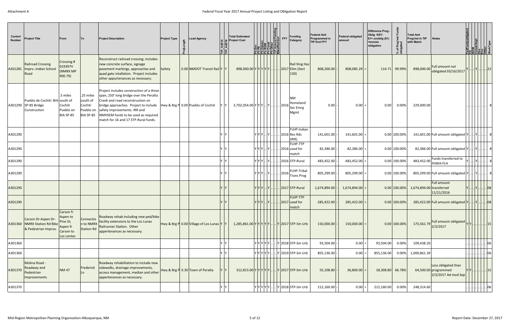| Control<br><b>Number</b> | <b>Project Title</b>                                                    | From                                                                     | <b>To</b>                                                  | <b>Project Description</b>                                                                                                                                                                                                                                                      | <b>Project Type</b> | <b>Lead Agency</b>                      |     | <b>Total Estimated</b><br>© Project Cost<br>≟ ן≟ |       |                  | Amend Pen<br>Amend Pen<br>/Ped Incl | FFY | <b>Funding</b><br>Category                               | <b>Federal Amt</b><br>Programmed in<br><b>TIP End FFY</b> | <b>Federal obligated</b><br>amount | Difference Prog -<br>Oblig KEY:<br>$$1=$ unoblig $($1)$<br>=excess<br>% of Prog'r<br> <br> obligated<br>obligation | <b>Total Amt</b><br>Prog'md in TIP<br>with Match | <b>Notes</b>                                                         | Hear unascol<br> ROW<br> CONST/Imp <br> CONG <br> MOVKTVDB<br> WOVKTVDB |         |      |
|--------------------------|-------------------------------------------------------------------------|--------------------------------------------------------------------------|------------------------------------------------------------|---------------------------------------------------------------------------------------------------------------------------------------------------------------------------------------------------------------------------------------------------------------------------------|---------------------|-----------------------------------------|-----|--------------------------------------------------|-------|------------------|-------------------------------------|-----|----------------------------------------------------------|-----------------------------------------------------------|------------------------------------|--------------------------------------------------------------------------------------------------------------------|--------------------------------------------------|----------------------------------------------------------------------|-------------------------------------------------------------------------|---------|------|
| A301281                  | <b>Railroad Crossing</b><br>Imprv.-Indian School<br>Road                | Crossing #<br>019397V<br>(NMRX MP<br>900.79)                             |                                                            | Reconstruct railroad crossing; includes<br>new concrete surface, signage<br>pavement markings, approaches and<br>quad gate intallation. Project includes<br>other appurtenances as necessary.                                                                                   | Safety              | 0.00 NMDOT Transit Rail Y Y             |     | 898,000.00 Y Y Y Y Y Y.                          |       |                  |                                     |     | <b>Rail Xing Haz</b><br>2017 Elim (Sect<br>$ 130\rangle$ | 808,200.00                                                | $808,085.29$ =                     | 114.71 99.99%                                                                                                      | 898,000.00                                       | Full amount not<br>obligated 03/16/2017                              |                                                                         |         | . 22 |
|                          | Pueblo de Cochiti: BIA south of<br>A301290 SP-85 Bridge<br>Construction | .5 miles<br>Cochiti<br>Pueblo on<br>BIA SP-85                            | .25 miles<br>south of<br>Cochiti<br>Pueblo on<br>BIA SP-85 | Project includes construction of a three<br>span, 250' long bridge over the Peralta<br>Creek and road reconstruction on<br>bridge approaches. Project to include<br>safety improvements. IRR and<br>NMHSEM funds to be used as required<br>match for 16 and 17 STP-Rural funds. |                     | Hwy & Brg P 0.00 Pueblo of Cochiti      | Y Y | $3,702,054.00 Y Y Y  Y    2016 $                 |       |                  |                                     |     | <b>NM</b><br>Homeland<br>Sec Emrg<br>Mgmt                | 0.00                                                      | $0.00 =$                           | 0.00%<br>0.00                                                                                                      | 229,000.00                                       |                                                                      |                                                                         |         |      |
| A301290                  |                                                                         |                                                                          |                                                            |                                                                                                                                                                                                                                                                                 |                     |                                         |     |                                                  |       |                  |                                     |     | FLHP-Indian<br>. Y  2016 Res Rds<br>(IRR)                | 141,601.00                                                | $141,601.00$ :                     | 0.00 100.00%                                                                                                       |                                                  | 141,601.00 Full amount obligated $ Y $ $ Y $                         |                                                                         |         |      |
| A301290                  |                                                                         |                                                                          |                                                            |                                                                                                                                                                                                                                                                                 |                     |                                         |     |                                                  | YYY I | . IY I I .       |                                     |     | FLHP-TTP<br>$.$ 2016 used for<br>match                   | 82,386.00                                                 | $82,386.00$ =                      | 0.00 100.00%                                                                                                       |                                                  | 82,386.00 Full amount obligated Y                                    |                                                                         |         |      |
| A301290                  |                                                                         |                                                                          |                                                            |                                                                                                                                                                                                                                                                                 |                     |                                         |     | - IY                                             |       |                  |                                     |     | $ Y Y X $ $ Y $ $  $   2016 STP-Rural                    | 483,452.00                                                | $483,452.00$ =                     | $0.00$ 100.00%                                                                                                     | 483,452.00                                       | Funds transferred to<br><b>FHWA-FLH</b>                              |                                                                         |         |      |
| A301290                  |                                                                         |                                                                          |                                                            |                                                                                                                                                                                                                                                                                 |                     |                                         |     |                                                  |       |                  |                                     |     | <b>FLHP-Tribal</b>                                       | 805,299.00                                                | $805,299.00$ =                     | $0.00$ 100.00%                                                                                                     |                                                  | 805,299.00 Full amount obligated $ Y $                               | .IYIII                                                                  |         |      |
| A301290                  |                                                                         |                                                                          |                                                            |                                                                                                                                                                                                                                                                                 |                     |                                         |     |                                                  |       | $Y[Y Y $ $[Y]$ . |                                     |     | $.$ 2017 STP-Rural                                       | 1,674,894.00                                              | $1,674,894.00$ =                   | $0.00$ 100.00%                                                                                                     | 1,674,894.00 transferred                         | <b>Full amount</b><br>11/21/2016                                     | . Y 08                                                                  |         |      |
| A301290                  |                                                                         |                                                                          |                                                            |                                                                                                                                                                                                                                                                                 |                     |                                         |     |                                                  |       | x x  Y           |                                     |     | <b>FLHP-TTP</b><br>$\lceil$ 2017 used for<br>match       | 285,422.00                                                | 285,422.00                         | $0.00$ 100.00%                                                                                                     |                                                  | 285,422.00 Full amount obligated Y.                                  | $ Y .$ . $ . $ . 08                                                     |         |      |
| A301360                  | Carson Dr-Aspen Dr-<br>NMRX Station Rd Bike<br>& Pedestrian Improv.     | Carson fr<br>Aspen to<br>Pine St;<br>Aspen fr<br>Carson to<br>Los Lentes | Connectio<br>n to NMRX<br>Station Rd                       | Roadway rehab including new ped/bike<br>facility extensions to the Los Lunas<br>Railrunner Station. Other<br>appertenances as necessary.                                                                                                                                        |                     | Hwy & Brg P 0.00 Village of Los Lunas Y |     | 1,285,861.00 Y Y Y Y Y  Y 2017 STP-Sm Urb        |       |                  |                                     |     |                                                          | 150,000.00                                                | $150,000.00$ =                     | 0.00 100.00%                                                                                                       | 175,561.79 2/3/2017                              | Full amount obligated                                                |                                                                         |         |      |
| A301360                  |                                                                         |                                                                          |                                                            |                                                                                                                                                                                                                                                                                 |                     |                                         |     |                                                  |       |                  |                                     |     | Y Y Y Y Y   Y  2018 STP-Sm Urb                           | 93,504.00                                                 | $0.00$ =                           | 93,504.00<br>0.00%                                                                                                 | 109,438.20                                       |                                                                      |                                                                         |         | 06   |
| A301360                  |                                                                         |                                                                          |                                                            |                                                                                                                                                                                                                                                                                 |                     |                                         |     |                                                  |       |                  |                                     |     | $ Y Y Y Y $ $ Y 2019 $ STP-Sm Urb                        | 855,136.00                                                | $0.00 =$                           | 855,136.00<br>0.00%                                                                                                | 1,000,861.39                                     |                                                                      |                                                                         |         | 06   |
| A301370                  | Molina Road -<br>Roadway and<br>Pedestrian<br>Improvements              | <b>NM47</b>                                                              | Frederick<br>Ln.                                           | Roadway rehabilitation to include new<br>sidewalks, drainage improvements,<br>access management, median and other<br>appertenances as necessary.                                                                                                                                |                     | Hwy & Brg P 0.30 Town of Peralta        |     | $312,815.00 Y Y Y Y Y  N 2017 STP-Sm$ Urb        |       |                  |                                     |     |                                                          | 55,108.80                                                 | 36,800.00                          | 18,308.80 66.78%                                                                                                   |                                                  | Less obligated than<br>$64,500.00$ programmed<br>2/3/2017 Ad mod Sep |                                                                         | .    15 |      |
| A301370                  |                                                                         |                                                                          |                                                            |                                                                                                                                                                                                                                                                                 |                     |                                         |     |                                                  |       |                  |                                     |     | $ Y Y Y Y Y  N 2018 STP-Sm$ Urb                          | 212,160.00                                                | $ 0.00 $ =                         | 212,160.00<br>0.00%                                                                                                | 248,314.60                                       |                                                                      |                                                                         |         | 06   |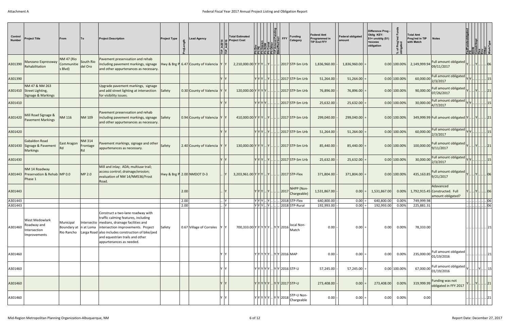| Control<br><b>Number</b> | <b>Project Title</b>                                                 | From                                       | To                              | <b>Project Description</b>                                                                                                                                                                                                                                                                                              | <b>Project Type</b>        |      | <b>Lead Agency</b>                                    | ≟ ן≗ׂ | <b>Total Estimated</b><br><b>Project Cost</b>                                                                                                                                 |     | FFY | <b>Funding</b><br>Category                                                                                                                                               | <b>Federal Amt</b><br>Programmed in<br><b>TIP End FFY</b> | <b>Federal obligated</b><br>amount | Difference Prog -<br>Oblig KEY:<br>$$1=$ unoblig $($1)$<br>=excess<br>obligation | % of Prog'ı<br>obligated | Total Amt<br>Prog'md in TIP<br>with Match | <b>Notes</b>                                                     | <b>istr/Impl</b><br>을  려립합당 정배 |           |                        |
|--------------------------|----------------------------------------------------------------------|--------------------------------------------|---------------------------------|-------------------------------------------------------------------------------------------------------------------------------------------------------------------------------------------------------------------------------------------------------------------------------------------------------------------------|----------------------------|------|-------------------------------------------------------|-------|-------------------------------------------------------------------------------------------------------------------------------------------------------------------------------|-----|-----|--------------------------------------------------------------------------------------------------------------------------------------------------------------------------|-----------------------------------------------------------|------------------------------------|----------------------------------------------------------------------------------|--------------------------|-------------------------------------------|------------------------------------------------------------------|--------------------------------|-----------|------------------------|
| A301390                  | Manzano Expressway<br>Rehabilitation                                 | <b>NM 47 (Rio</b><br>Communitie<br>s Blvd) | South Rio<br>del Oro            | Pavement preservsation and rehab<br>including pavement markings, signage<br>and other appurtenances as necessary.                                                                                                                                                                                                       |                            |      | Hwy & Brg P $\vert 6.47 \vert$ County of Valencia Y Y |       | $2,210,000.00 \mathsf{Y} \mathsf{Y} \mathsf{Y}  \mathsf{Y} $                                                                                                                  |     |     | $.$ 2017 STP-Sm Urb                                                                                                                                                      | 1,836,960.00                                              | 1,836,960.00                       |                                                                                  | 0.00 100.00%             | 2,149,999.94                              | Full amount obligated<br>09/11/2017                              |                                |           | .06                    |
| A301390                  |                                                                      |                                            |                                 |                                                                                                                                                                                                                                                                                                                         |                            |      |                                                       |       | YYY                                                                                                                                                                           |     |     | $2017$ STP-Sm Urb                                                                                                                                                        | 51,264.00                                                 | 51,264.00                          |                                                                                  | $0.00$ 100.00%           | 60,000.00                                 | Full amount obligated<br>2/3/2017                                |                                |           |                        |
|                          | NM 47 & NM 263<br>A301410 Street Lighting,<br>Signage & Markings     |                                            |                                 | Upgrade pavement markings, signage<br>and add street lighting at intersection<br>for visibility issues.                                                                                                                                                                                                                 | Safety                     |      | 0.30 County of Valencia                               |       | 120,000.00 Y Y Y Y                                                                                                                                                            |     |     | . 2017 STP-Sm Urb                                                                                                                                                        | 76,896.00                                                 | 76,896.00                          |                                                                                  | 0.00 100.00%             | 90,000.00                                 | Full amount obligated<br>07/26/2017                              |                                |           |                        |
| A301410                  |                                                                      |                                            |                                 |                                                                                                                                                                                                                                                                                                                         |                            |      |                                                       |       | YIYIYIY                                                                                                                                                                       |     |     | $2017$ STP-Sm Urb                                                                                                                                                        | 25,632.00                                                 | 25,632.00                          |                                                                                  | $0.00$ 100.00%           | 30,000.00                                 | Full amount obligated<br>4/7/2017                                |                                |           |                        |
| A301420                  | Mill Road Signage &<br><b>Pavement Markings</b>                      | <b>NM 116</b>                              | <b>NM 109</b>                   | Pavement preservsation and rehab<br>including pavement markings, signage<br>and other appurtenances as necessary.                                                                                                                                                                                                       | Safety                     |      | 0.94 County of Valencia                               |       | $410,000.00 \mathsf{Y} \mathsf{Y} \mathsf{Y} $ $ \mathsf{Y} $                                                                                                                 |     |     | . 2017 STP-Sm Urb                                                                                                                                                        | 299,040.00                                                | 299,040.00                         |                                                                                  | $0.00$ 100.00%           |                                           | 349,999.99 Full amount obligated Y                               |                                | . Y    21 |                        |
| A301420                  |                                                                      |                                            |                                 |                                                                                                                                                                                                                                                                                                                         |                            |      |                                                       |       | YYY                                                                                                                                                                           | IY. |     | . 2017 STP-Sm Urb                                                                                                                                                        | 51,264.00                                                 | 51,264.00                          |                                                                                  | $0.00$ 100.00%           | 60,000.00                                 | Full amount obligated<br>2/3/2017                                |                                |           |                        |
|                          | Gabaldon Road<br>A301430 Signage & Pavement<br><b>Markings</b>       | East Aragon<br>Rd                          | <b>NM 314</b><br>Frontage<br>Rd | Pavement markings, signage and other<br>appurtenances as necessary.                                                                                                                                                                                                                                                     | Safety                     |      | 2.40 County of Valencia                               |       | 130,000.00 Y Y Y  Y  2017 STP-Sm Urb                                                                                                                                          |     |     |                                                                                                                                                                          | 85,440.00                                                 | 85,440.00                          |                                                                                  | $0.00$ 100.00%           | 100,000.00                                | Full amount obligated<br>9/11/2017                               |                                |           |                        |
| A301430                  |                                                                      |                                            |                                 |                                                                                                                                                                                                                                                                                                                         |                            |      |                                                       |       | Y Y Y                                                                                                                                                                         |     |     | . 2017 STP-Sm Urb                                                                                                                                                        | 25,632.00                                                 | 25,632.00                          |                                                                                  | 0.00 100.00%             | 30,000.00                                 | Full amount obligated<br>2/3/2017                                |                                |           |                        |
| A301443                  | NM 14 Roadway<br>Preservation & Rehab MP 0.0<br>Phase 1              |                                            | MP 2.0                          | Mill and inlay; ADA; multiuse trail;<br>access control; drainage/erosion;<br>evaluation of NM 14/NM536/Frost<br>Road.                                                                                                                                                                                                   | Hwy & Brg P 2.00 NMDOT D-3 |      |                                                       |       | $3,203,961.00 Y Y Y  Y   12017 STP\text{-Flex}$                                                                                                                               |     |     |                                                                                                                                                                          | 371,804.00                                                | 371,804.00                         |                                                                                  | $0.00$ 100.00%           | 435,163.85                                | Full amount obligated<br>9/21/2017                               |                                |           | .  06                  |
| A301443                  |                                                                      |                                            |                                 |                                                                                                                                                                                                                                                                                                                         |                            | 2.00 |                                                       |       | YlYlYl.                                                                                                                                                                       |     |     | NHPP (Non-<br>$\left\vert \frac{1}{2017} \right\vert$ Chargeable)                                                                                                        | 1,531,867.00                                              | 0.00                               | 1,531,867.00                                                                     | 0.00%                    |                                           | Adavanced<br>1,792,915.45 Constructed. Full<br>amount obligated? |                                |           | .106                   |
| A301443                  |                                                                      |                                            |                                 |                                                                                                                                                                                                                                                                                                                         |                            | 2.00 |                                                       |       | YYY.Y                                                                                                                                                                         |     |     | 2018 STP-Flex                                                                                                                                                            | 640,800.00                                                | 0.00                               | 640,800.00                                                                       | 0.00%                    | 749,999.98                                |                                                                  |                                |           | $\frac{1}{2}$ 06<br>06 |
| A301443                  |                                                                      |                                            |                                 |                                                                                                                                                                                                                                                                                                                         |                            | 2.00 |                                                       | Y     | $YY Y $ . $Y$                                                                                                                                                                 |     |     | 2018 STP-Rural                                                                                                                                                           | 192,993.00                                                | $0.00 =$                           | 192,993.00                                                                       | 0.00%                    | 225,881.31                                |                                                                  |                                |           |                        |
| A301460                  | <b>West Medowlark</b><br>Roadway and<br>Intersection<br>Improvements | Municipal                                  |                                 | Construct a two-lane roadway with<br>traffic calming features, including<br>Intersectio   medians, drainage facilities and<br>Boundary at  n at Loma  intersection improvements. Project<br>Rio Rancho Larga Road also includes construction of bike/ped<br>and equestrian trails and other<br>appurtenances as needed. | Safety                     |      | 0.67 Village of Corrales                              | IY IY | 700,333.00 $\vert \mathsf{Y} \vert \mathsf{Y} \vert \mathsf{Y} \vert \mathsf{Y} \vert \mathsf{Y} \vert \cdot \vert \mathsf{Y} \vert \mathsf{Y} \vert 2016 \vert \text{Natch}$ |     |     | local Non-                                                                                                                                                               | 0.00                                                      | $0.00 =$                           | 0.00                                                                             | 0.00%                    | 78,333.00                                 |                                                                  |                                |           |                        |
| A301460                  |                                                                      |                                            |                                 |                                                                                                                                                                                                                                                                                                                         |                            |      |                                                       | ΛV    |                                                                                                                                                                               |     |     | Y Y Y Y Y  Y Y 2016 MAP                                                                                                                                                  | 0.00                                                      | 0.00                               | 0.00                                                                             | 0.00%                    | 235,000.00                                | Full amount obligated<br>01/19/2016                              |                                |           |                        |
| A301460                  |                                                                      |                                            |                                 |                                                                                                                                                                                                                                                                                                                         |                            |      |                                                       | Y Y   |                                                                                                                                                                               |     |     | $ Y Y Y Y Y  Y Y 2016 STP-U$                                                                                                                                             | 57,245.00                                                 | $57,245.00 =$                      |                                                                                  | 0.00 100.00%             | 67,000.00                                 | Full amount obligated<br>01/19/2016                              |                                |           |                        |
| A301460                  |                                                                      |                                            |                                 |                                                                                                                                                                                                                                                                                                                         |                            |      |                                                       |       |                                                                                                                                                                               |     |     | Υ Υ Υ Υ Υ  Υ Υ  2017 STP-U                                                                                                                                               | 273,408.00                                                | 0.00                               | 273,408.00                                                                       | 0.00%                    | 319,999.99                                | Funding was not<br>obligated in FFY 2017                         |                                |           | 21                     |
| A301460                  |                                                                      |                                            |                                 |                                                                                                                                                                                                                                                                                                                         |                            |      |                                                       | / IY  |                                                                                                                                                                               |     |     | $\vert \mathbf{v} \vert \mathbf{v} \vert \mathbf{v} \vert \mathbf{v} \vert \mathbf{v} \vert  \vert \mathbf{v} \vert \mathbf{v} \vert$ 2018 $\vert \mathbf{0}$ Chargeable | 0.00                                                      | 0.00                               | 0.00                                                                             | 0.00%                    | 0.00                                      |                                                                  |                                |           | . 21                   |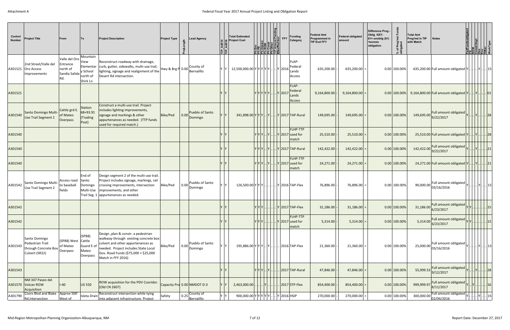| Control<br><b>Number</b> | <b>Project Title</b>                                                                 | From                                                          | To                                                   | <b>Project Description</b>                                                                                                                                                                                                | <b>Project Type</b> | <b>Lead Agency</b>                            | "⊫" | <b>Total Estimated</b><br>Project Cost |                     | <b>DENTIFY</b><br>BENDENTEY<br>BENDENTEY | <b>Funding</b><br>Category                                      | <b>Federal Amt</b><br>Programmed in<br><b>TIP End FFY</b> | <b>Federal obligated</b><br>lamount | Difference Prog -<br>Oblig KEY:<br>$$1=$ unoblig $($1)$<br>=excess<br>obligation | % of Prog'r<br>obligated | Total Amt<br>Prog'md in TIP<br>with Match | <b>Notes</b>                                                               | FedFundsobi<br>  RDM<br>  Constr/Imp <br>  Des<br>  MorkType<br>  WorkType |       |
|--------------------------|--------------------------------------------------------------------------------------|---------------------------------------------------------------|------------------------------------------------------|---------------------------------------------------------------------------------------------------------------------------------------------------------------------------------------------------------------------------|---------------------|-----------------------------------------------|-----|----------------------------------------|---------------------|------------------------------------------|-----------------------------------------------------------------|-----------------------------------------------------------|-------------------------------------|----------------------------------------------------------------------------------|--------------------------|-------------------------------------------|----------------------------------------------------------------------------|----------------------------------------------------------------------------|-------|
|                          | 2nd Street/Valle del<br>A301521 Oro Access<br>Improvements                           | Valle del Oro<br>Entrance<br>north of<br>Sandia Salida<br>Rd. | Mountain<br>View<br>y School<br>north of<br>Shirk Ln | Reconstruct roadway with drainage,<br>Elementar curb, gutter, sidewalks, multi-use trail,<br>lighting, signage and realignment of the<br>Desert Rd intersection.                                                          | Hwy & Brg P 0.00    | County of<br>Bernalillo                       | Y Y | 12,500,000.00 $ Y Y Y Y  $ $ Y $ 2016  |                     |                                          | FLAP-<br>Federal<br>Lands<br>Access                             | 635,200.00                                                | 635,200.00                          |                                                                                  | $0.00$ 100.00%           |                                           | 635,200.00 Full amount obligated Y                                         | . Y 15 I                                                                   |       |
| A301521                  |                                                                                      |                                                               |                                                      |                                                                                                                                                                                                                           |                     |                                               |     |                                        | Υ Υ Υ Υ Υ   Υ  2017 |                                          | <b>FLAP-</b><br>Federal<br>Lands<br>Access                      | 9,164,800.00                                              | 9,164,800.00                        |                                                                                  | $0.00$ 100.00%           |                                           |                                                                            |                                                                            |       |
| A301540                  | Santo Domingo Multi-<br>Use Trail Segment 1                                          | Cattle grd E.<br>of Mateo<br>Overpass                         | Station<br>68+93.91<br>(Trading<br>Post)             | Construct a multi-use trail. Project<br>includes lighting improvements,<br>signage and markings & other<br>appurtenances as needed. (TTP funds<br>used for required match.)                                               | Bike/Ped            | Pueblo of Santo<br>0.00<br>Domingo            |     |                                        |                     |                                          | $341,898.00 Y Y Y  Y  V 2017 TAP-Rural$                         | 149,695.00                                                | 149,695.00                          |                                                                                  | 0.00 100.00%             | 149,695.00                                | Full amount obligated<br>9/22/2017                                         |                                                                            | .  28 |
| A301540                  |                                                                                      |                                                               |                                                      |                                                                                                                                                                                                                           |                     |                                               |     |                                        |                     |                                          | FLHP-TTP<br>$ Y Y Y $ $ Y $ $ Y $ 2017 used for<br>match        | 25,510.00                                                 | 25,510.00                           |                                                                                  | $0.00$ 100.00%           |                                           |                                                                            |                                                                            |       |
| A301540                  |                                                                                      |                                                               |                                                      |                                                                                                                                                                                                                           |                     |                                               |     |                                        |                     |                                          | $ Y Y Y $ $ Y $ $ Y $ 2017 TAP-Rural                            | 142,422.00                                                | 142,422.00                          |                                                                                  | 0.00 100.00%             | 142,422.00                                | Full amount obligated<br>9/22/2017                                         |                                                                            | . 21  |
| A301540                  |                                                                                      |                                                               |                                                      |                                                                                                                                                                                                                           |                     |                                               |     |                                        |                     |                                          | <b>FLHP-TTP</b><br>$ Y Y Y $ $ Y $ $ Y $ 2017 used for<br>match | 24,271.00                                                 | $24,271.00$ :                       |                                                                                  | 0.00 100.00%             |                                           | 24,271.00 Full amount obligated Y                                          | $. Y .$ $. 21 $                                                            |       |
| A301542                  | Santo Domingo Multi-<br>Use Trail Segment 2                                          | Access road Santo<br>to baseball<br>fields                    | End of<br>Domingo<br>Multi-Use                       | Design segment 2 of the multi-use trail.<br>Project includes signage, markings, rail<br>crossing improvements, intersection<br>improvements, and other<br>Trail Seg. 1   appurtenances as needed.                         | Bike/Ped            | Pueblo of Santo<br>0.00<br>Domingo            | Y Y |                                        |                     |                                          | 126,500.00 Y Y Y  Y 2016 TAP-Flex                               | 76,896.00                                                 | 76,896.00                           |                                                                                  | $0.00$ 100.00%           | 90,000.00                                 | Full amount obligated<br>03/16/2016                                        |                                                                            |       |
| A301542                  |                                                                                      |                                                               |                                                      |                                                                                                                                                                                                                           |                     |                                               |     |                                        |                     |                                          |                                                                 | $31,186.00$ -                                             | 31,186.00                           |                                                                                  | $0.00$ 100.00%           |                                           | 31,186.00 Full amount obligated $\vert \mathsf{Y} \vert \mathsf{Y} \vert $ |                                                                            |       |
| A301542                  |                                                                                      |                                                               |                                                      |                                                                                                                                                                                                                           |                     |                                               |     |                                        |                     |                                          | FLHP-TTP<br>$\left  \right $ . Y 2017 used for<br>match         | 5,314.00                                                  | 5,314.00                            |                                                                                  | 0.00 100.00%             | 5,314.00                                  | Full amount obligated<br>6/23/2017                                         |                                                                            | .  15 |
| A301543                  | Santo Domingo<br>Pedestrian Trail<br>through Concrete Box Overpass<br>Culvert (SR22) | (SP88) West Cattle<br>of Mateo                                | (SP88)<br>Guard E o<br>Mateo<br>Overpass             | Design , plan & constr. a pedestrian<br>walkway through existing concrete box<br>culvert and other appurtenances as<br>needed. Project includes State Local<br>Gov. Road Funds (\$75,000 + \$25,000<br>Match in FFY 2016) | Bike/Ped            | Pueblo of Santo<br>$\vert 0.00 \vert$ Domingo | ΥY  |                                        |                     |                                          | 195,886.00 Y Y Y  Y  2016 TAP-Flex                              | 21,360.00                                                 | 21,360.00                           |                                                                                  | 0.00 100.00%             | 25,000.00                                 | Full amount obligated<br>03/16/2016                                        | Y    15                                                                    |       |
| A301543                  |                                                                                      |                                                               |                                                      |                                                                                                                                                                                                                           |                     |                                               |     |                                        | $Y[Y Y]$ .          |                                          | . 2017 TAP-Rural                                                | 47,846.00                                                 | $47,846.00$ :                       |                                                                                  | $0.00$ 100.00%           | 55,999.53                                 | Full amount obligated<br>9/12/2017                                         |                                                                            | 28    |
|                          | NM 347 Paseo del<br>A301570 Volcan ROW<br>Acquisition                                | $I-40$                                                        | <b>US 550</b>                                        | ROW acquisition for the PDV Cooridor.<br>(Old CN 2607)                                                                                                                                                                    |                     | Capacity Prd 0.00 NMDOT D-3                   |     | 2,463,000.00                           |                     |                                          | . 2017 STP-Flex                                                 | 854,400.00                                                | 854,400.00                          |                                                                                  | 0.00 100.00%             | 999,999.97                                | Full amount obligated<br>8/11/2017                                         |                                                                            |       |
| A301790                  | Coors Blvd and Blake   Approx 500'<br>Rd.Intersection                                | West of                                                       |                                                      | Reconstruct intersection while tying<br>Isleta Drain into adjacent infrastructure. Project                                                                                                                                | Safety              | 0.25 County of                                |     | 900,000.00 Y Y Y Y Y Y  .              |                     |                                          | Y 2016 HSIP                                                     | 270,000.00                                                | $270,000.00$ =                      |                                                                                  | $0.00$ 100.00%           |                                           | Full amount obligated<br>$300,000.00\Big \frac{02}{02/04/2016}\Big $       |                                                                            |       |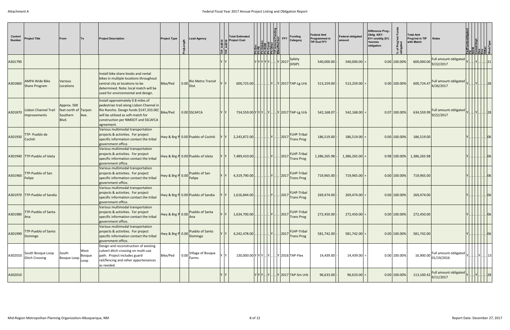| Control<br><b>Number</b> | <b>Project Title</b>                          | From                                                     | To             | <b>Project Description</b>                                                                                                                                                                                         | <b>Project Type</b>      | <b>Lead Agency</b>                             | ≟ ≞ַ' | <b>Total Estimated</b><br><b>Project Cost</b> |             | $\frac{ \mathsf{R}  \mathsf{R} }{ \mathsf{R}  \mathsf{R} }$ FFY     | <b>Funding</b><br>Category              | <b>Federal Amt</b><br><b>Programmed in</b><br><b>TIP End FFY</b> | <b>Federal obligated</b><br>lamount | Difference Prog -<br>Oblig KEY:<br>$$1=$ unoblig $($1)$<br>=excess<br>obligation | % of Prog'<br>obligated | Total Amt<br>Prog'md in TIP<br>with Match | <b>Notes</b>                                                                                           | str/Impl<br>E KOLO |        |
|--------------------------|-----------------------------------------------|----------------------------------------------------------|----------------|--------------------------------------------------------------------------------------------------------------------------------------------------------------------------------------------------------------------|--------------------------|------------------------------------------------|-------|-----------------------------------------------|-------------|---------------------------------------------------------------------|-----------------------------------------|------------------------------------------------------------------|-------------------------------------|----------------------------------------------------------------------------------|-------------------------|-------------------------------------------|--------------------------------------------------------------------------------------------------------|--------------------|--------|
| A301790                  |                                               |                                                          |                |                                                                                                                                                                                                                    |                          |                                                |       |                                               |             | $ \mathsf{Y} \mathsf{Y} \mathsf{Y} \mathsf{Y} $ $ \mathsf{Y} $ 2017 | Safety<br>(HSIP)                        | 540,000.00                                                       | 540,000.00                          |                                                                                  | $0.00$ 100.00%          | 600,000.00                                | Full amount obligated<br>9/22/2017                                                                     |                    | 21     |
| A301860                  | <b>AMPA Wide Bike</b><br><b>Share Program</b> | <b>Various</b><br>Locations                              |                | Install bike share kiosks and rental<br>bikes in multiple locations throughout<br>central city at locations to be<br>determined. Note: local match will be<br>used for environmental and design.                   | Bike/Ped                 | 0.00 Rio Metro Transit<br><b>Dist</b>          |       | 600,725.00                                    |             |                                                                     | .   Y  Y  2017 TAP-Lg Urb               | 513,259.00                                                       | 513,259.00                          |                                                                                  | $0.00$ 100.00%          | 600,724.47                                | Full amount obligated<br>4/26/2017                                                                     |                    | .  28  |
| A301870                  | <b>Lisbon Channel Trail</b><br>Improvements   | Approx. 500<br>feet north of Tarpon<br>Southern<br>Blvd. | Ave.           | Install approximately 0.8 miles of<br>pedestrian trail along Lisbon Channel in<br>Rio Rancho. Design funds \$147,333.00)<br>will be utilized as soft match for<br>construction per NMDOT and SSCAFCA<br>agreement. | Bike/Ped                 | 0.00 SSCAFCA                                   |       | 734,559.00 Y Y Y  Y  Y 2017 TAP-Lg Urb        |             |                                                                     |                                         | 542,168.07                                                       | 542,168.00                          |                                                                                  | $0.07$ 100.00%          | 634,559.99                                | Full amount obligated<br>9/22/2017                                                                     | Y    28            |        |
| A301930                  | TTP- Pueblo de<br> Cochiti                    |                                                          |                | Various multimodal transportation<br>projects & activities. For project<br>specific information contact the tribal<br>government office.                                                                           |                          | Hwy & Brg P 0.00 Pueblo of Cochiti             |       | 2,243,872.00                                  |             | .  2017                                                             | <b>FLHP-Tribal</b><br><b>Trans Prog</b> | 186,519.00                                                       | 186,519.00                          |                                                                                  | $0.00$ 100.00%          | 186,519.00                                |                                                                                                        |                    | 06     |
|                          | A301940 TTP-Pueblo of Isleta                  |                                                          |                | Various multimodal transportation<br>projects & activities. For project<br>specific information contact the tribal<br>government office.                                                                           |                          | Hwy & Brg P 0.00 Pueblo of Isleta              |       | 7,489,410.00                                  | .         Y | 2017                                                                | FLHP-Tribal<br><b>Trans Prog</b>        | 1,386,265.98                                                     | 1,386,265.00                        |                                                                                  | 0.98 100.00%            | 1,386,265.98                              |                                                                                                        |                    | 06     |
| A301960                  | <b>TTP-Pueblo of San</b><br><b>Felipe</b>     |                                                          |                | Various multimodal transportation<br>projects & activities. For project<br>specific information contact the tribal<br>government office.                                                                           | Hwy & Brg P 0.00 Felipe  | Pueblo of San                                  |       | 4,319,790.00                                  |             | .  2017                                                             | FLHP-Tribal<br><b>Trans Prog</b>        | 719,965.00                                                       | 719,965.00                          |                                                                                  | $0.00$ 100.00%          | 719,965.00                                |                                                                                                        |                    | .06    |
|                          | A301970 TTP-Pueblo of Sandia                  |                                                          |                | Various multimodal transportation<br>projects & activities. For project<br>specific information contact the tribal<br>government office.                                                                           |                          | Hwy & Brg P 0.00 Pueblo of Sandia              |       | 1,616,844.00                                  |             | .            Y         2017                                         | <b>FLHP-Tribal</b><br><b>Trans Prog</b> | 269,474.00                                                       | 269,474.00                          |                                                                                  | $0.00$ 100.00%          | 269,474.00                                |                                                                                                        |                    | . 06   |
| A301980                  | <b>TTP-Pueblo of Santa</b>                    |                                                          |                | Various multimodal transportation<br>projects & activities. For project<br>specific information contact the tribal<br>government office.                                                                           | Hwy & Brg P 0.00         | Pueblo of Santa                                |       | 1,634,700.00                                  |             | 2017                                                                | FLHP-Tribal<br><b>Trans Prog</b>        | 272,450.00                                                       | $272,450.00$ =                      |                                                                                  | 0.00 100.00%            | 272,450.00                                |                                                                                                        |                    | $.$ 06 |
| A301990                  | <b>TTP-Pueblo of Santo</b><br>Domingo         |                                                          |                | Various multimodal transportation<br>projects & activities. For project<br>specific information contact the tribal<br>government office.                                                                           | Hwy & Brg P 0.00 Domingo | Pueblo of Santo                                |       | $4,242,478.00$ .                              |             | .  2017                                                             | FLHP-Tribal<br><b>Trans Prog</b>        | $581,742.00$ -                                                   | 581,742.00                          |                                                                                  | $0.00$ 100.00%          | 581,742.00                                |                                                                                                        |                    | .06    |
| A302010                  | South Bosque Loop<br>Ditch Crossing           | South<br>Bosque Loop Loop                                | West<br>Bosque | Design and reconstruction of existing<br>culvert ditch crossing on multi-use<br>path. Project includes guard<br>rail/fencing and other appurtenances<br>as needed.                                                 | Bike/Ped                 | Village of Bosque<br>$  0.00  _{\text{Farms}}$ | Y Y   | 130,000.00 Y Y Y  Y  Y 2016 TAP-Flex          |             |                                                                     |                                         | 14,439.00                                                        | $14,439.00$ =                       |                                                                                  | 0.00 100.00%            | 16,900.00                                 | Full amount obligated<br>01/19/2016                                                                    |                    |        |
| A302010                  |                                               |                                                          |                |                                                                                                                                                                                                                    |                          |                                                |       |                                               |             |                                                                     | Y Y Y  Y   Y  2017 TAP-Sm Urb           | 96,633.00                                                        | 96,633.00                           |                                                                                  | 0.00 100.00%            |                                           | 113,100.42 Full amount obligated $\left  \frac{\text{Full amount obtained}}{\text{9/11/2017}} \right $ | $Y$ $Y$ $.98$      |        |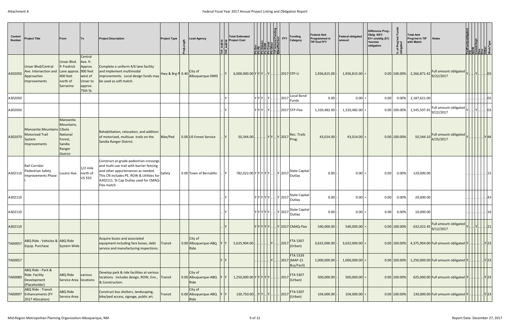| Control<br><b>Number</b> | <b>Project Title</b>                                                             | From                                                                                     | <b>ITo</b>                                                                   | <b>Project Description</b>                                                                                                                                                                                                    | <b>Project Type</b> | <b>Lead Agency</b>                                   | 이로 | <b>Total Estimated</b><br><b>Project Cost</b>                           |     | ia Pen               | Funding<br><b>FFY</b><br>Category                                                                                                                                                 |               | <b>Federal Amt</b><br>Programmed in<br><b>TIP End FFY</b> | <b>Federal obligated</b><br>amount | Difference Prog -<br>Oblig KEY:<br>$$1=$ unoblig $($1)$<br>=excess<br>obligation | % of Prog'r<br>obligated | <b>Total Amt</b><br>Prog'md in TIP<br>with Match | <b>Notes</b>                                                                                           | .OW<br>onstr/lmpl<br> 링쿄  정  업플링 |                     |    |
|--------------------------|----------------------------------------------------------------------------------|------------------------------------------------------------------------------------------|------------------------------------------------------------------------------|-------------------------------------------------------------------------------------------------------------------------------------------------------------------------------------------------------------------------------|---------------------|------------------------------------------------------|----|-------------------------------------------------------------------------|-----|----------------------|-----------------------------------------------------------------------------------------------------------------------------------------------------------------------------------|---------------|-----------------------------------------------------------|------------------------------------|----------------------------------------------------------------------------------|--------------------------|--------------------------------------------------|--------------------------------------------------------------------------------------------------------|----------------------------------|---------------------|----|
| A302050                  | <b>Unser Blvd/Central</b><br>Ave. Intersection and<br>Approaches<br>Improvements | Unser Blvd.<br>fr Fredrick<br>Lane approx. 900 feet<br>400 feet<br>north of<br>Sarracino | Central<br>Ave. fr.<br>Approx.<br>west of<br>Unser to<br>approx.<br>75th St. | Complete a uniform 4/6 lane facility<br>and implement multimodal<br>improvements. Local design funds may<br>be used as soft match.                                                                                            |                     | $Hwy & Brg P 0.40 \text{City of}$<br>Albuquerque-DMD |    | $6,000,000.00 \mathsf{Y} \mathsf{Y} \mathsf{Y}  \mathsf{Y}  $           |     |                      | . 2017 STP-U                                                                                                                                                                      |               | 1,936,815.00                                              | $1,936,815.00$ =                   |                                                                                  |                          | $0.00 100.00\% $ 2,266,871.42                    | Full amount obligated<br>9/22/2017                                                                     |                                  | $Y$ 03              |    |
| A302050                  |                                                                                  |                                                                                          |                                                                              |                                                                                                                                                                                                                               |                     |                                                      |    |                                                                         | YYY | Y  2017              | Funds                                                                                                                                                                             | Local Bond    | 0.00                                                      | $0.00$ =                           | $0.00\,$                                                                         |                          | $0.00\%$ 2,187,621.00                            |                                                                                                        |                                  |                     | 03 |
| A302050                  |                                                                                  |                                                                                          |                                                                              |                                                                                                                                                                                                                               |                     |                                                      |    |                                                                         |     | lylylyl Y            | $.$ 2017 STP-Flex                                                                                                                                                                 |               | 1,320,482.00                                              | 1,320,482.00                       |                                                                                  |                          | $0.00 100.00\% $ 1,545,507.91                    | Full amount obligated $\vert \sqrt{\vert}$<br>9/22/2017                                                |                                  |                     |    |
| A302070                  | Manzanita Mountains Cibola<br><b>Motorized Trail</b><br>System<br>Improvements   | Manzanita<br>Mountains,<br>National<br>Forest,<br>Sandia<br>Ranger<br>District           |                                                                              | Rehabilitation, relocation, and addition<br>of motorized, multiuse trails on the<br>Sandia Ranger District.                                                                                                                   | Bike/Ped            | 0.00 US Forest Service                               |    | $50,344.00$                                                             |     | Y Y  Y  2017         | Rec. Trails<br>Prog.                                                                                                                                                              |               | 43,014.00                                                 | 43,014.00                          |                                                                                  | $0.00$ 100.00%           | 50,344.10                                        | Full amount obligated $\vert \mathsf{v} \vert  \vert  \vert  \vert \mathsf{v} \vert$ 44  <br>4/25/2017 |                                  |                     |    |
| A302110                  | Rail Corridor<br>Pedestrian Safety<br>Improvements Phase                         | Lucero Ave. north of                                                                     | $1/2$ mile<br>US 550                                                         | Construct at-grade pedestrian crossings<br>and multi-use trail with barrier fencing<br>and other appurtenances as needed.<br>This CN includes PE, ROW & Utilities for<br>A302111. St Cap Outlay used for CMAQ-<br>Flex match. | Safety              | 0.00 Town of Bernalillo                              |    | 782,022.00 Y Y Y Y Y Y  Y 2017                                          |     |                      | Outlay                                                                                                                                                                            | State Capital | 0.00                                                      | $0.00$ =                           | 0.00                                                                             | 0.00%                    | 120,000.00                                       |                                                                                                        |                                  |                     |    |
| A302110                  |                                                                                  |                                                                                          |                                                                              |                                                                                                                                                                                                                               |                     |                                                      |    |                                                                         |     |                      | $ \mathbf{y} \mathbf{y} \mathbf{y} \mathbf{y} $ $ \mathbf{y} $ 2017 $ \mathbf{v} $ outlay                                                                                         | State Capital | 0.00                                                      | $0.00$ =                           | 0.00                                                                             | $0.00\%$                 | 20,000.00                                        |                                                                                                        |                                  |                     | 43 |
| A302110                  |                                                                                  |                                                                                          |                                                                              |                                                                                                                                                                                                                               |                     |                                                      |    |                                                                         |     |                      | $\left \mathsf{Y}\right \mathsf{Y}\left \mathsf{Y}\right \mathsf{Y}\left \right .\left \mathsf{Y}\right $ 2017 $\left \mathsf{State\ Capital}\right \left \mathsf{Output}\right $ |               | 0.00                                                      | 0.00                               | 0.00                                                                             | 0.00%                    | 10,000.00                                        |                                                                                                        |                                  |                     | 16 |
| A302110                  |                                                                                  |                                                                                          |                                                                              |                                                                                                                                                                                                                               |                     |                                                      |    |                                                                         |     | Y Y Y Y Y            | $\left  \right $ 2017 CMAQ-Flex                                                                                                                                                   |               | 540,000.00                                                | 540,000.00                         |                                                                                  | $0.00$ 100.00%           | 632,022.45                                       | Full amount obligated<br>9/12/2017                                                                     |                                  |                     | 21 |
| TA00057                  | ABQ Ride - Vehicles & ABQ Ride<br>Equip. Purchase                                | System Wide                                                                              |                                                                              | Acquire buses and associated<br>equipment including fare boxes, debt<br>service and manufacturing inspections.                                                                                                                | <b>Transit</b>      | City of<br>0.00 Albuquerque-ABQ<br>Ride              |    | $5,625,904.00$ .                                                        |     |                      | <b>FTA 5307</b><br> 2017<br>(Urban)                                                                                                                                               |               | 3,632,000.00                                              | $3,632,000.00$ =                   |                                                                                  |                          |                                                  | 0.00 100.00% 4,375,904.00 Full amount obligated Y                                                      |                                  |                     |    |
| TA00057                  |                                                                                  |                                                                                          |                                                                              |                                                                                                                                                                                                                               |                     |                                                      |    |                                                                         |     |                      | <b>FTA 5339</b><br>2017 (MAP-21<br>Bus/Facil)                                                                                                                                     |               | 1,000,000.00                                              | $1,000,000.00$ =                   |                                                                                  | 0.00 100.00%             |                                                  | 1,250,000.00 Full amount obligated $ Y $                                                               |                                  | $.  .  .  .  Y $ 23 |    |
| TA00080                  | ABQ Ride - Park &<br><b>Ride: Facility</b><br>Development<br>(Placeholder)       | <b>ABQ Ride</b><br>Service Area locations                                                | various                                                                      | Develop park & ride facilities at various<br>locations. Includes design, ROW, Env., Transit<br>& Construction.                                                                                                                |                     | City of<br>0.00 Albuquerque-ABQ<br>Ride              |    | $1,250,000.00 \mathsf{Y} \mathsf{Y} \mathsf{Y} \mathsf{Y} \mathsf{Y}$ . |     |                      | <b>FTA 5307</b><br> 2017<br>$ $ (Urban)                                                                                                                                           |               | 500,000.00                                                | $500,000.00$ =                     |                                                                                  | 0.00 100.00%             |                                                  | 625,000.00 Full amount obligated Y                                                                     |                                  | . Y 23              |    |
| TA00097                  | ABQ Ride - Transit<br><b>Enhancements (FY</b><br>2017 Allocation)                | ABQ Ride<br>Service Area                                                                 |                                                                              | Construct bus shelters, landscaping,<br>bike/ped access, signage, public art.                                                                                                                                                 | Transit             | City of<br>0.00 Albuquerque-ABQ<br>Ride              |    | 130,750.00                                                              |     | Y  Y     Y         . | <b>FTA 5307</b><br>$\lfloor 2017$<br>$ $ (Urban)                                                                                                                                  |               | 104,000.00                                                | 104,000.00                         |                                                                                  | $0.00$ 100.00%           |                                                  | 130,000.00 Full amount obligated Y     Y 23                                                            |                                  |                     |    |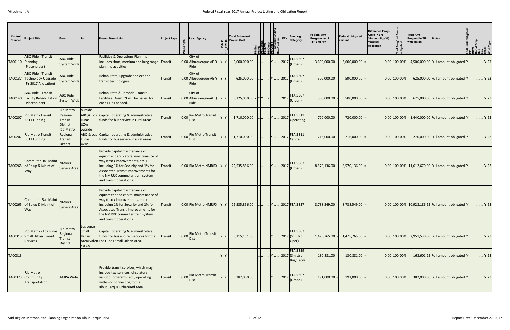| Control<br><b>Number</b> | <b>Project Title</b>                                                          | From                                                       | To                                     | <b>Project Description</b>                                                                                                                                                                                                                                   | <b>Project Type</b> |                     | <b>Lead Agency</b>              | <b>Total Estimated</b><br><b>Project Cost</b>        |                       | <b>Funding</b><br><b>FFY</b><br>Category        | <b>Federal Amt</b><br><b>Programmed in</b><br><b>TIP End FFY</b> | <b>Federal obligated</b><br>lamount | <b>Difference Prog-</b><br>Oblig KEY:<br>$$1=$ unoblig $($1)$<br>=excess<br>obligation | % of Prog'r<br>obligated | Total Amt<br>Prog'md in TIP<br>with Match | <b>Notes</b>                                       |      |                        |              |
|--------------------------|-------------------------------------------------------------------------------|------------------------------------------------------------|----------------------------------------|--------------------------------------------------------------------------------------------------------------------------------------------------------------------------------------------------------------------------------------------------------------|---------------------|---------------------|---------------------------------|------------------------------------------------------|-----------------------|-------------------------------------------------|------------------------------------------------------------------|-------------------------------------|----------------------------------------------------------------------------------------|--------------------------|-------------------------------------------|----------------------------------------------------|------|------------------------|--------------|
| TA00110 Planning         | ABQ Ride - Transit<br>(Placeholder)                                           | <b>ABQ Ride</b><br>System Wide                             |                                        | Facilities & Operations Planning.<br>Includes short, medium and long range Transit<br>planning activities.                                                                                                                                                   |                     | Ride                | City of<br>0.00 Albuquerque-ABQ | 9,000,000.00                                         |                       | <b>FTA 5307</b><br> 2017<br>(Urban)             | 3,600,000.00                                                     | 3,600,000.00                        |                                                                                        | $0.00$ 100.00%           |                                           | 4,500,000.00 Full amount obligated Y               |      |                        | . Y 27       |
|                          | ABQ Ride - Transit<br>TA00137 Technology Upgrade<br>(FY 2017 Allocation)      | <b>ABQ Ride</b><br>System Wide                             |                                        | Rehabilitate, upgrade and expand<br>transit technologies.                                                                                                                                                                                                    | <b>Transit</b>      | Ride                | City of<br>0.00 Albuquerque-ABQ | 625,000.00                                           |                       | <b>FTA 5307</b><br>. 2017<br>(Urban)            | 500,000.00                                                       | 500,000.00                          |                                                                                        | $0.00$ 100.00%           |                                           | 625,000.00 Full amount obligated Y                 |      | Y 23                   |              |
|                          | <b>ABQ Ride - Transit</b><br>TA00140 Facility Rehabilitation<br>(Placeholder) | <b>ABQ Ride</b><br>System Wide                             |                                        | Rehabilitate & Remodel Transit<br>Facilities. New CN will be issued for<br>each FY as needed.                                                                                                                                                                | Transit             | Ride                | City of<br>0.00 Albuquerque-ABQ | $3,125,000.00 \text{Y} \text{Y} \text{Y} \text{Y} .$ |                       | FTA 5307<br> 2017<br>(Urban)                    | 500,000.00                                                       | 500,000.00                          |                                                                                        | $0.00$ 100.00%           |                                           | 625,000.00 Full amount obligated Y                 |      |                        | .  Y 23      |
| TA00207                  | <b>Rio Metro Transit</b><br>5311 Funding                                      | <b>Rio Metro</b><br>Regional<br>Transit<br><b>District</b> | outside<br>Lunas<br><b>UZAs</b>        | ABQ & Los Capital, operating & administrative<br>funds for bus service in rural areas.                                                                                                                                                                       | Transit             | 0.00<br><b>Dist</b> | <b>Rio Metro Transit</b>        | 1,710,000.00                                         |                       | <b>FTA 5311</b><br>. 2017<br>Operating          | 720,000.00                                                       | 720,000.00                          |                                                                                        | $0.00$ 100.00%           |                                           | 1,440,000.00 Full amount obligated $ Y $           |      | .            Y   23    |              |
| TA00207                  | <b>Rio Metro Transit</b><br>5311 Funding                                      | <b>Rio Metro</b><br>Regional<br>Transit<br>District        | outside<br>Lunas<br><b>UZAs</b>        | ABQ & Los Capital, operating & administrative<br>funds for bus service in rural areas.                                                                                                                                                                       | Transit             | 0.00<br><b>Dist</b> | Rio Metro Transit               | 1,710,000.00                                         |                       | <b>FTA 5311</b><br>. 2017<br>Capital            | 216,000.00                                                       | 216,000.00                          |                                                                                        | $0.00$ 100.00%           |                                           | 270,000.00 Full amount obligated Y                 | Y 23 |                        |              |
| TA00265                  | Commuter Rail Maint<br>of Eqiup & Maint of<br> Way                            | <b>NMRRX</b><br>Service Area                               |                                        | Provide capital maintenance of<br>equipment and capital maintenance of<br>way (track improvements, etc.)<br>including 1% for Security and 1% for<br>Associated Transit Improvements for<br>the NMRRX commuter train system<br>and transit operations.        | Transit             |                     | 0.00 Rio Metro NMRRX            | 22,535,856.00                                        | Y .                   | FTA 5307<br> 2017<br>(Urban)                    | 8,570,136.00                                                     | 8,570,136.00                        |                                                                                        |                          |                                           | 0.00 100.00% 11,612,670.00 Full amount obligated Y |      |                        | $\vert$ Y 23 |
|                          | <b>Commuter Rail Maint</b><br>TA00265 of Eqiup & Maint of<br> Way             | NMRRX<br>Service Area                                      |                                        | Provide capital maintenance of<br>equipment and capital maintenance of<br>way (track improvements, etc.)<br>including 1% for Security and 1% for<br><b>Associated Transit Improvements for</b><br>the NMRRX commuter train system<br>and transit operations. | Transit             |                     | 0.00 Rio Metro NMRRX            |                                                      |                       | 2017 FTA 5337                                   | 8,738,549.00                                                     | 8,738,549.00                        |                                                                                        |                          |                                           |                                                    |      |                        |              |
|                          | Rio Metro - Los Lunas<br>TA00313 Small Urban Transit<br><b>Services</b>       | <b>Rio Metro</b><br>Regional<br><b>Tranist</b><br>District | Los Lunas<br>Small<br>Urban<br>cia Co. | Capital, operating & administrative<br>funds for bus and rail services for the<br>Area/Valen Los Lunas Small Urban Area.                                                                                                                                     | Transit             | 0.00<br>Dist        | <b>Rio Metro Transit</b>        |                                                      |                       | <b>FTA 5307</b><br>$.$ 2017 (Sm Urb<br>Oper)    | $1,475,765.00$ -                                                 | $1,475,765.00$ =                    |                                                                                        | $0.00$ 100.00%           |                                           | 2,951,530.00 Full amount obligated Y               |      | $\vert$ Y 23           |              |
| TA00313                  |                                                                               |                                                            |                                        |                                                                                                                                                                                                                                                              |                     |                     |                                 |                                                      |                       | <b>FTA 5339</b><br>. 2017 (Sm Urb<br>Bus/Facil) | 130,881.00                                                       | $130,881.00$ =                      |                                                                                        | $0.00$ 100.00%           |                                           | 163,601.25 Full amount obligated Y                 |      | $\lfloor \rfloor$ Y 23 |              |
| TA00323                  | <b>Rio Metro</b><br>Community<br>Transportation                               | <b>AMPA Wide</b>                                           |                                        | Provide transit services, which may<br>include taxi services, circulators,<br>vanpool programs, etc., operating<br>within or connecting to the<br>albuquerque Urbanized Area.                                                                                | Transit             | 0.00<br><b>Dist</b> | Rio Metro Transit               | 382,000.00.                                          | .        Y       2017 | <b>FTA 5307</b><br>(Urban)                      | 191,000.00                                                       | 191,000.00                          |                                                                                        | 0.00 100.00%             |                                           | 382,000.00 Full amount obligated Y                 | Y 23 |                        |              |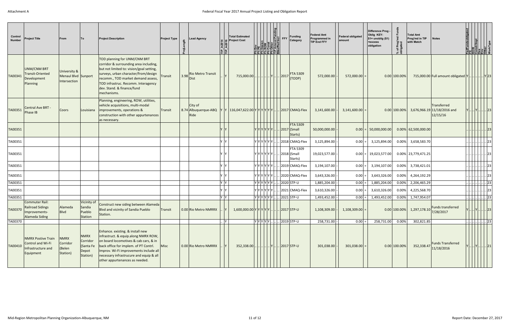| Control<br><b>Number</b> | <b>Project Title</b>                                                              | From                                                | <b>ITo</b>                                                | <b>Project Description</b>                                                                                                                                                                                                                                                           | <b>Project Type</b> | <b>Lead Agency</b>                      | :' ≘' | <b>Total Estimated</b><br><b>Project Cost</b>                                   | ◎ 기이히질리키<br><u>이라티</u> 리키키 |                                                 | Funding<br>FFY<br>Category                                | <b>Federal Amt</b><br><b>Programmed in</b><br><b>TIP End FFY</b> | <b>Federal obligated</b><br>amount                              | =excess<br>obligation | Difference Prog -<br>Oblig KEY:<br>$$1=$ unoblig $($1)$ | Prog'<br>lated<br>% of I<br>oblig: | <b>Total Amt</b><br>Prog'md in TIP<br>with Match | <b>Notes</b>                                                                                                                                          | W<br>nstr/lmpl<br><u>slerogrijej š</u>         |                            |       |
|--------------------------|-----------------------------------------------------------------------------------|-----------------------------------------------------|-----------------------------------------------------------|--------------------------------------------------------------------------------------------------------------------------------------------------------------------------------------------------------------------------------------------------------------------------------------|---------------------|-----------------------------------------|-------|---------------------------------------------------------------------------------|----------------------------|-------------------------------------------------|-----------------------------------------------------------|------------------------------------------------------------------|-----------------------------------------------------------------|-----------------------|---------------------------------------------------------|------------------------------------|--------------------------------------------------|-------------------------------------------------------------------------------------------------------------------------------------------------------|------------------------------------------------|----------------------------|-------|
| TA00341                  | <b>UNM/CNM BRT</b><br><b>Transit-Oriented</b><br>Development<br>Planning          | University &<br>Menaul Blvd Sunport<br>Intersection |                                                           | TOD planning for UNM/CNM BRT<br>corridor & surrounding area including,<br>but not limited to: vision/goal setting,<br>surveys, urban character/from/design<br>recomm., TOD market demand assess,<br>TOD infrastruc. Recomm. Interagency<br>dev. Stand. & finance/fund<br>mechanisms. | Transit             | 3.98 Rio Metro Transit<br><b>Dist</b>   |       | 715,000.00                                                                      |                            | $\vert \cdot \vert$ Y $\vert \cdot \cdot \vert$ | <b>FTA 5309</b><br> 2017<br>(TODP)                        | 572,000.00                                                       | $572,000.00$ =                                                  |                       |                                                         | $0.00$ 100.00%                     |                                                  | 715,000.00 Full amount obligated Y                                                                                                                    |                                                | Y 23                       |       |
| TA00351                  | Central Ave BRT -<br>Phase IB                                                     | Coors                                               | Louisiana                                                 | Planning, engineering, ROW, utilities,<br>vehicle acquisitions, multi-modal<br>improvements, operations &<br>construction with other appurtenances<br>as necessary.                                                                                                                  | Transit             | City of<br>8.74 Albuquerque-ABQ<br>Ride |       | $ 116,047,622.00 Y Y Y Y Y .$ 2017 CMAQ-Flex                                    |                            |                                                 |                                                           | 3,141,600.00                                                     | 3,141,600.00                                                    |                       |                                                         | $0.00$ 100.00%                     |                                                  | Transferred<br>3,676,966.19 11/18/2016 and<br>12/15/16                                                                                                | $    .  $ Y $    .  .  $ 23                    |                            |       |
| TA00351                  |                                                                                   |                                                     |                                                           |                                                                                                                                                                                                                                                                                      |                     |                                         |       |                                                                                 | YYYYYYYI.                  |                                                 | <b>FTA 5309</b><br>. 2017 (Small<br>Starts)               | 50,000,000.00                                                    |                                                                 |                       | $ 0.00  =  50,000,000.00 $                              |                                    | $0.00\%$ 62,500,000.00                           |                                                                                                                                                       |                                                |                            | . 23  |
| TA00351                  |                                                                                   |                                                     |                                                           |                                                                                                                                                                                                                                                                                      |                     |                                         | 'γ    |                                                                                 |                            |                                                 | Υ Υ Υ Υ Υ Υ    2018 CMAQ-Flex                             | 3,125,894.00                                                     | $0.00 =$                                                        |                       | 3,125,894.00                                            |                                    | $0.00\%$ 3,658,583.70                            |                                                                                                                                                       |                                                |                            | . 23  |
| TA00351                  |                                                                                   |                                                     |                                                           |                                                                                                                                                                                                                                                                                      |                     |                                         |       |                                                                                 |                            |                                                 | <b>FTA 5309</b><br>$ Y Y Y Y Y   2018 $ (Small<br>Starts) | 19,023,577.00                                                    |                                                                 |                       | $0.00$ = 19,023,577.00                                  |                                    | $0.00\%$ 23,779,471.25                           |                                                                                                                                                       |                                                |                            | . 231 |
| TA00351                  |                                                                                   |                                                     |                                                           |                                                                                                                                                                                                                                                                                      |                     |                                         |       |                                                                                 | YYYYYYYI.                  |                                                 | . 2019 CMAQ-Flex                                          | 3,194,107.00                                                     | $0.00 =$                                                        |                       | 3,194,107.00                                            |                                    | $0.00\%$ 3,738,421.01                            |                                                                                                                                                       |                                                |                            | . 23  |
| TA00351                  |                                                                                   |                                                     |                                                           |                                                                                                                                                                                                                                                                                      |                     |                                         |       |                                                                                 |                            |                                                 | Υ Υ Υ Υ Υ Υ    2020 CMAQ-Flex                             | 3,643,326.00                                                     | $0.00 =$                                                        |                       | 3,643,326.00                                            | 0.00%                              | 4,264,192.29                                     |                                                                                                                                                       |                                                |                            | . 23  |
| TA00351                  |                                                                                   |                                                     |                                                           |                                                                                                                                                                                                                                                                                      |                     |                                         | Yγ    |                                                                                 |                            |                                                 | $ Y Y Y Y Y Y  $ . 2020 STP-U                             | 1,885,204.00                                                     | 0.00                                                            |                       | 1,885,204.00                                            | 0.00%                              | 2,206,465.29                                     |                                                                                                                                                       |                                                |                            | 23    |
| TA00351                  |                                                                                   |                                                     |                                                           |                                                                                                                                                                                                                                                                                      |                     |                                         |       |                                                                                 |                            |                                                 | Υ Υ Υ Υ Υ Υ    2021 CMAQ-Flex                             | 3,610,326.00                                                     | $0.00 =$                                                        |                       | 3,610,326.00                                            | 0.00%                              | 4,225,568.70                                     |                                                                                                                                                       |                                                |                            | . 23  |
| TA00351                  |                                                                                   |                                                     |                                                           |                                                                                                                                                                                                                                                                                      |                     |                                         | Y Y   |                                                                                 |                            |                                                 | $Y Y Y Y Y Y   2021 STP-U$                                | 1,493,452.00                                                     | $0.00 =$                                                        |                       | 1,493,452.00                                            |                                    | 0.00% 1,747,954.07                               |                                                                                                                                                       |                                                | $\left  \ldots \right $ 23 |       |
| TA00370                  | <b>Commuter Rail:</b><br>Railroad Sidings<br>Improvements-<br>Alameda Siding      | Alameda<br>Blvd                                     | Vicinity of<br>Sandia<br>Pueblo<br>Station                | Construct new siding between Alameda<br>Blvd and vicinity of Sandia Pueblo<br>Station.                                                                                                                                                                                               | Transit             | 0.00 Rio Metro NMRRX                    |       | $1,600,000.00 \mathsf{Y} \mathsf{Y} \mathsf{Y} \mathsf{Y}  2017 \mathsf{STP-U}$ |                            |                                                 |                                                           |                                                                  | $1,108,309.00$ - $\begin{vmatrix} 1,108,309.00 \end{vmatrix}$ = |                       |                                                         |                                    |                                                  | $\begin{array}{ c c c c }\hline 0.000&1.00000&1.297,178.10&\text{Funds transferred}\ \hline 7/28/2017& &\text{Funds transferred}\ \hline \end{array}$ | $\left  \ldots  X  \ldots \right  \ldots  Z3 $ |                            |       |
| TA00370                  |                                                                                   |                                                     |                                                           |                                                                                                                                                                                                                                                                                      |                     |                                         | Y     |                                                                                 |                            |                                                 | VYYYYX2019 STP-U                                          | 258,731.00 -                                                     | $0.00$ =                                                        |                       | 258,731.00 0.00%                                        |                                    | 302,821.85                                       |                                                                                                                                                       | .      23                                      |                            |       |
| TA00410                  | <b>NMRX Postive Train</b><br>Control and Wi-Fi<br>Infrastructure and<br>Equipment | <b>NMRX</b><br>Corridor<br>(Belen<br>Station)       | <b>NMRX</b><br>Corridor<br>(Santa Fe<br>Depot<br>Station) | Enhance. existing. & install new<br>infrastruct. & equip.along NMRX ROW,<br>on board locomotives & cab cars, & in<br>back office for implem. of PT Contrl.<br>Improv. Wi-Fi improvements include all<br>necessary infrastrucure and equip & all<br>other appurtenances as needed.    | Misc                | 0.00 Rio Metro NMRRX                    |       | 352,338.00                                                                      |                            | . IYI                                           | $.$ 2017 STP-U                                            | 301,038.00                                                       | $301,038.00$ =                                                  |                       |                                                         | 0.00 100.00%                       | 352,338.47                                       | Funds Transferred<br>11/18/2016                                                                                                                       |                                                |                            | . 21  |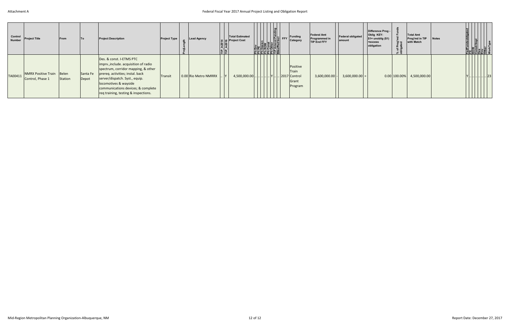| Control<br>Number | <b>Project Title</b>                          | <b>IFrom</b> | <b>To</b>         | <b>Project Description</b>                                                                                                                                                                                                                                                            | <b>Project Type</b> | <b>Lead Agency</b>   | <b>Total Estimated</b><br><b>The Project Cost</b><br><b>Example 1</b><br><b>E</b><br><b>E</b><br><b>E</b><br><b>E</b><br>医底底底底腔 | Funding<br>$\frac{ \mathsf{R}^\mathsf{u}_\mathsf{E} }{ \mathsf{R}^\mathsf{u}_\mathsf{E} }$ FFY<br>Category | <b>Federal Amt</b><br>Programmed in<br>TIP End FFY | Federal obligated<br>amount | Difference Prog -<br>Oblig KEY:<br>$$1=$ unoblig $$1)$<br>$=$ excess<br>obligation | % of Prog'r<br>obligated | <b>Total Amt</b><br>Prog'md in TIP<br>with Match | <b>Notes</b> |  |       |  |
|-------------------|-----------------------------------------------|--------------|-------------------|---------------------------------------------------------------------------------------------------------------------------------------------------------------------------------------------------------------------------------------------------------------------------------------|---------------------|----------------------|---------------------------------------------------------------------------------------------------------------------------------|------------------------------------------------------------------------------------------------------------|----------------------------------------------------|-----------------------------|------------------------------------------------------------------------------------|--------------------------|--------------------------------------------------|--------------|--|-------|--|
| TA00411           | NMRX Positive Train Belen<br>Control, Phase 1 | Station      | Santa Fe<br>Depot | Des. & const. I-ETMS PTC<br>imprv., include. acquisition of radio<br>spectrum, corridor mapping, & other<br>prereq. activities; instal. back<br>server/dispatch. Syst., equip.<br>locomotives & wayside<br>communications devices; & complete<br>req training, testing & inspections. | Transit             | 0.00 Rio Metro NMRRX | $4,500,000.00$ .                                                                                                                | Positive<br>Train<br>. Y 2017 Control<br>Grant<br>Program                                                  | 3,600,000.00                                       | $3,600,000.00$ =            |                                                                                    | $0.00$ 100.00%           | 4,500,000.00                                     |              |  | .  23 |  |

## Federal Fiscal Year <sup>2017</sup> Annual Project Listing and Obligation Report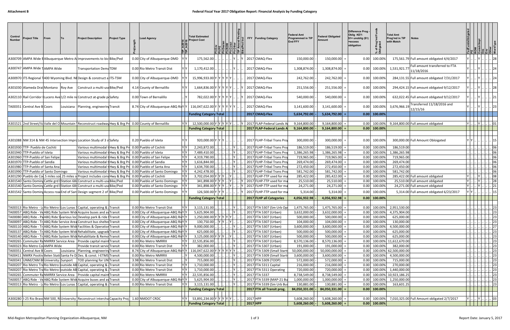| Control<br><b>Number</b> | Project Title                        | From | lTo l | <b>Project Description</b>                                                                                                                           | <b>Project Type</b> | ead Agency.                                                                                           |                               | <b>Total Estimated</b><br><b>Project Cost</b> |           |        |  | FFY Funding Category                                     | Federal Amt<br><b>Programmed in TIP</b><br><b>End FFY</b> | Federal Obligated<br>Amount | Difference Prog -<br>Oblig KEY:<br>\$1= unoblig (\$1)<br>=excess<br>obligation | Prog<br>lated<br>$\overline{\sigma}$ : | <b>Total Amt</b><br>Prog'md in TIP<br>with Match | <b>Notes</b>                                |              |                                                         |                                                   |
|--------------------------|--------------------------------------|------|-------|------------------------------------------------------------------------------------------------------------------------------------------------------|---------------------|-------------------------------------------------------------------------------------------------------|-------------------------------|-----------------------------------------------|-----------|--------|--|----------------------------------------------------------|-----------------------------------------------------------|-----------------------------|--------------------------------------------------------------------------------|----------------------------------------|--------------------------------------------------|---------------------------------------------|--------------|---------------------------------------------------------|---------------------------------------------------|
|                          |                                      |      |       | A300709 AMPA Wide EAlbuquerque Metro Allmprovements to bic Bike/Ped                                                                                  |                     | 0.00 City of Albuquerque-DMD                                                                          |                               | 175,562.00                                    |           |        |  | 2017 CMAQ-Flex                                           | 150,000.00                                                | 150,000.00                  | 0.00                                                                           | 100.00%                                |                                                  | 175,561.79 Full amount obligated 4/4/2017   |              |                                                         |                                                   |
|                          | A300747  AMPA Wide TAMPA Wide        |      |       | <b>Transportation DemaTDM</b>                                                                                                                        |                     | 0.00 Rio Metro Transit Dist                                                                           |                               | 1,170,412.00                                  |           |        |  | 2017 CMAQ-Flex                                           | 1,308,874.00                                              | 1,308,874.00                | 0.00                                                                           | 100.00%                                | 1,531,921.77                                     | Full amount transferred to FTA              |              |                                                         |                                                   |
|                          |                                      |      |       |                                                                                                                                                      |                     |                                                                                                       |                               |                                               |           |        |  |                                                          |                                                           |                             |                                                                                |                                        |                                                  | 11/18/2016                                  |              |                                                         |                                                   |
|                          |                                      |      |       | A300970  ITS Regional 1400 Wyoming Blvd. NEDesign & construct a ITS-TSM                                                                              |                     | 0.00 City of Albuquerque-DMD                                                                          |                               | 15,996,933.00 Y Y                             |           |        |  | 2017 CMAQ-Flex                                           | 242,762.00                                                | 242,762.00                  | 0.00                                                                           | 100.00%                                |                                                  | 284,131.55 Full amount obligated 7/31/2017  |              |                                                         |                                                   |
|                          | A301030 Alameda Drai Montano Roy Ave |      |       | Construct a multi-use Bike/Ped                                                                                                                       |                     | 4.14 County of Bernalillo                                                                             |                               | 1,664,836.00 Y Y Y                            |           |        |  | 2017 CMAQ-Flex                                           | 251,556.00                                                | 251,556.00                  | 0.00                                                                           | 100.00%                                |                                                  | 294,424.15 Full amount obligated 9/12/2017  |              |                                                         |                                                   |
|                          |                                      |      |       | A302110 Rail Corridor Lucero Ave 1/2 mile nd Construct at-grade pl Safety                                                                            |                     | 0.00 Town of Bernalillo                                                                               |                               | 782,022.00 Y Y Y Y Y                          |           |        |  | 2017 CMAQ-Flex                                           | 540,000.00                                                | 540,000.00                  | 0.00                                                                           | 100.00%                                |                                                  | 632,022.45 Full amount obligated 9/12/2017  |              |                                                         |                                                   |
|                          | TA00351  Central Ave B Coors         |      |       | Louisiana   Planning, engineering Transit                                                                                                            |                     | 8.74 City of Albuquerque-ABQ Rilly Y                                                                  |                               | $116,047,622.00$ Y Y                          |           |        |  | 2017 CMAQ-Flex                                           | 3,141,600.00                                              | 3,141,600.00                | 0.00                                                                           | 100.00%                                | 3,676,966.19                                     | Transferred 11/18/2016 and<br>12/15/16      |              |                                                         |                                                   |
|                          |                                      |      |       |                                                                                                                                                      |                     |                                                                                                       |                               | <b>Funding Category Total</b>                 |           |        |  | 2017 CMAQ-Flex                                           | 5,634,792.00                                              | 5,634,792.00                |                                                                                | $0.00$ 100.00%                         |                                                  |                                             |              |                                                         |                                                   |
|                          |                                      |      |       |                                                                                                                                                      |                     |                                                                                                       |                               |                                               |           |        |  |                                                          |                                                           |                             |                                                                                |                                        |                                                  |                                             |              |                                                         |                                                   |
|                          |                                      |      |       |                                                                                                                                                      |                     | A301521 2nd Street/Va Valle del O Mountain Reconstruct roadwa Hwy & Brg Pro 0.00 County of Bernalillo | YY                            | 12,500,000.00 Y Y Y Y Y Y .                   |           |        |  | Y   2017 FLAP-Federal Lands A                            | 9,164,800.00                                              | 9,164,800.00                | 0.00                                                                           | 100.00%                                |                                                  | 9,164,800.00 Full amount obligated          |              |                                                         | $\ldots$ 01                                       |
|                          |                                      |      |       |                                                                                                                                                      |                     |                                                                                                       |                               | <b>Funding Category Total</b>                 |           |        |  | 2017 FLAP-Federal Lands A                                | 9,164,800.00                                              | 9,164,800.00                | 0.00                                                                           | 100.00%                                |                                                  |                                             |              |                                                         |                                                   |
|                          |                                      |      |       |                                                                                                                                                      |                     |                                                                                                       |                               |                                               |           |        |  |                                                          |                                                           |                             |                                                                                |                                        |                                                  |                                             |              |                                                         |                                                   |
|                          |                                      |      |       | A301088 NM 314 & NM 45 Intersection ImproLocation Study of 3 s Safety                                                                                |                     | 0.20 Pueblo of Isleta                                                                                 |                               | 920,000.00 Y Y Y                              |           |        |  | 2017 FLHP-Tribal Trans Pro                               | 300,000.00                                                | 300,000.00                  | 0.00                                                                           | 100.00%                                |                                                  | 300,000.00 Full Amount Obloigated           |              |                                                         |                                                   |
|                          | A301930 TTP- Pueblo de Cochiti       |      |       | Various multimodal tHwy & Brg Pro 0.00 Pueblo of Cochiti                                                                                             |                     |                                                                                                       |                               | 2,243,872.00                                  |           |        |  | 2017 FLHP-Tribal Trans Pro                               | 186,519.00                                                | 186,519.00                  | 0.00                                                                           | 100.00%                                | 186,519.00                                       |                                             |              |                                                         |                                                   |
|                          | A301940 TTP-Pueblo of Isleta         |      |       | Various multimodal tHwy & Brg Pro 0.00 Pueblo of Isleta                                                                                              |                     |                                                                                                       | YY                            | 7,489,410.00                                  |           |        |  | 2017 FLHP-Tribal Trans Pro                               | 1,386,265.98                                              | 1,386,265.98                | 0.00                                                                           | 100.00%                                | 1,386,265.98                                     |                                             |              |                                                         |                                                   |
|                          | A301960 TTP-Pueblo of San Felipe     |      |       |                                                                                                                                                      |                     | Various multimodal tHwy & Brg Pro 0.00 Pueblo of San Felipe                                           | YY                            | 4,319,790.00                                  |           |        |  | 2017 FLHP-Tribal Trans Pro                               | 719,965.00                                                | 719,965.00                  | 0.00                                                                           | 100.00%                                | 719,965.00                                       |                                             |              |                                                         | $\log$                                            |
|                          | A301970 TTP-Pueblo of Sandia         |      |       | Various multimodal tHwy & Brg Pro 0.00 Pueblo of Sandia                                                                                              |                     |                                                                                                       | Y Y                           | 1,616,844.00                                  |           |        |  | 2017 FLHP-Tribal Trans Pro                               | 269,474.00                                                | 269,474.00                  | 0.00                                                                           | 100.00%                                | 269,474.00                                       |                                             |              |                                                         | 06                                                |
|                          | A301980 TTP-Pueblo of Santa Ana      |      |       |                                                                                                                                                      |                     | Various multimodal tHwy & Brg Pro 0.00 Pueblo of Santa Ana                                            |                               | 1,634,700.00                                  |           |        |  | 2017 FLHP-Tribal Trans Pro                               | 272,450.00                                                | 272,450.00                  | 0.00                                                                           | 100.00%                                | 272,450.00                                       |                                             |              |                                                         |                                                   |
|                          | A301990 TTP-Pueblo of Santo Domingo  |      |       | Various multimodal tHwy & Brg Pri                                                                                                                    |                     | 0.00 Pueblo of Santo Domingo                                                                          |                               | 4,242,478.00                                  |           |        |  | 2017 FLHP-Tribal Trans Pro                               | 581,742.00                                                | 581,742.00                  | 0.00                                                                           | 100.00%                                | 581,742.00                                       |                                             |              |                                                         | 06                                                |
|                          |                                      |      |       | A301290 Pueblo de Co. 5 miles sol. 25 miles sol Project includes cons Hwy & Brg Pro 0.00 Pueblo of Cochiti                                           |                     |                                                                                                       |                               | 3,702,054.00                                  |           |        |  | 2017 FLHP-TTP used for m                                 | 285,422.00                                                | 285,422.00                  | 0.00                                                                           | 100.00%                                |                                                  | 285,422.00 Full amount obligated            |              |                                                         | . 08                                              |
|                          |                                      |      |       | A301540 Santo Doming Cattle grd IStation 68- Construct a multi-use Bike/Ped                                                                          |                     | 0.00 Pueblo of Santo Domingo                                                                          | YY                            | 341,898.00 Y Y Y                              |           |        |  | 2017 FLHP-TTP used for m                                 | 25,510.00                                                 | 25,510.00                   | 0.00                                                                           | 100.00%                                |                                                  | 25,510.00 Full amount obligated             |              |                                                         | 28                                                |
|                          |                                      |      |       | A301540 Santo Doming Cattle grd IStation 68- Construct a multi-use Bike/Ped                                                                          |                     | 0.00 Pueblo of Santo Domingo                                                                          | $\mathsf{Y}$                  | 341,898.00 Y Y Y                              |           |        |  | 2017 FLHP-TTP used for m                                 | 24,271.00                                                 | 24,271.00                   | 0.00                                                                           | 100.00%                                |                                                  | 24,271.00 Full amount obligated             |              |                                                         | 21                                                |
|                          |                                      |      |       | A301542 Santo Doming Access road End of Sant Design segment 2 of Bike/Ped                                                                            |                     | 0.00 Pueblo of Santo Domingo                                                                          |                               | 126,500.00                                    |           |        |  | 2017 FLHP-TTP used for ma                                | 5,314.00                                                  | 5,314.00                    | 0.00                                                                           | 100.00%                                |                                                  | 5,314.00 Full amount obligated 6/23/2017    |              |                                                         |                                                   |
|                          |                                      |      |       |                                                                                                                                                      |                     |                                                                                                       |                               | <b>Funding Category Total</b>                 |           |        |  | 2017 FLHP all Categories                                 | 4,056,932.98                                              | 4,056,932.98                |                                                                                | $0.00$ 100.00%                         |                                                  |                                             |              |                                                         |                                                   |
|                          |                                      |      |       |                                                                                                                                                      |                     |                                                                                                       |                               |                                               |           |        |  |                                                          |                                                           |                             |                                                                                |                                        |                                                  |                                             |              |                                                         |                                                   |
|                          |                                      |      |       | TA00313 Rio Metro - Lo Rio Metro Los Lunas SCapital, operating & Transit                                                                             |                     | 0.00 Rio Metro Transit Dist                                                                           | YYI                           | $3,115,131.00$                                |           |        |  | Y  . 2017 FTA 5307 (Sm Urb Ope                           | $1,475,765.00$ -                                          | 1,475,765.00                |                                                                                |                                        | 0.00 100.00% 2,951,530.00                        |                                             |              |                                                         | . 23                                              |
|                          |                                      |      |       | TA00057 ABQ Ride - Ve ABQ Ride System Wide Acquire buses and as Transit                                                                              |                     | 0.00 City of Albuquerque-ABQ Rivy Y                                                                   |                               | 5,625,904.00.                                 |           | . ly I |  | 2017 FTA 5307 (Urban)                                    | 3,632,000.00                                              | 3,632,000.00                | 0.00                                                                           | 100.00%                                | 4,375,904.00                                     |                                             |              |                                                         | $\begin{array}{c c} \ . & . & . \ \end{array}$ 23 |
|                          |                                      |      |       | TA00080 ABQ Ride - Pa ABQ Ride Svarious loc Develop park & ride Transit<br>TA00097 ABQ Ride - Tr ABQ Ride Service Area Construct bus shelter Transit |                     | 0.00 City of Albuquerque-ABQ RivYY<br>0.00 City of Albuquerque-ABQ RivYY                              |                               | $1,250,000.00$ Y Y Y Y Y I.<br>130,750.00     | . Iy Iy I | IY I I |  | 2017 FTA 5307 (Urban)<br>$\boxed{2017}$ FTA 5307 (Urban) | 500,000.00<br>104,000.00                                  | 500,000.00<br>104,000.00    | 0.00<br>0.00                                                                   | 100.00%<br>100.00%                     | 625,000.00<br>130,000.00                         |                                             |              | <u>     23</u><br>       23                             |                                                   |
|                          |                                      |      |       | TA00110 ABQ Ride - Tr ABQ Ride System Wide Facilities & Operation Transit                                                                            |                     | 0.00 City of Albuquerque-ABQ RivYY                                                                    |                               | 9,000,000.00                                  |           |        |  | 2017 FTA 5307 (Urban)                                    | 3,600,000.00                                              | 3,600,000.00                | 0.00                                                                           | 100.00%                                | 4,500,000.00                                     |                                             |              |                                                         | $\frac{1}{27}$                                    |
|                          |                                      |      |       | TA00137 ABQ Ride - Tr ABQ Ride System Wide Rehabilitate, upgrade Transit                                                                             |                     | 0.00 City of Albuquerque-ABQ RivYY                                                                    |                               | 625,000.00                                    |           |        |  | 2017 FTA 5307 (Urban)                                    | 500,000.00                                                | 500,000.00                  | 0.00                                                                           | 100.00%                                | 625,000.00                                       |                                             |              |                                                         | $\begin{array}{c c} \ . & . & . \ \end{array}$ 23 |
|                          |                                      |      |       | TA00140 ABQ Ride - Tr ABQ Ride System Wide Rehabilitate & Remo Transit                                                                               |                     | 0.00 City of Albuquerque-ABQ RivYY                                                                    |                               | 3,125,000.00 Y Y Y  Y                         |           |        |  | 2017 FTA 5307 (Urban)                                    | 500,000.00                                                | 500,000.00                  | 0.00                                                                           | 100.00%                                | 625,000.00                                       |                                             |              | <u>  .   .   .   .   .   .   23  </u>                   |                                                   |
|                          |                                      |      |       | TA00265 Commuter RaNMRRX Service Area Provide capital maint Transit                                                                                  |                     | 0.00 Rio Metro NMRRX                                                                                  | $\overline{Y}$ $\overline{Y}$ | 22,535,856.00                                 |           |        |  | 2017 FTA 5307 (Urban)                                    | 8,570,136.00                                              | 8,570,136.00                | 0.00                                                                           |                                        | 100.00% 11,612,670.00                            |                                             |              | 23                                                      |                                                   |
|                          | TA00323 Rio Metro Col AMPA Wide      |      |       | Provide transit servid Transit                                                                                                                       |                     | 0.00 Rio Metro Transit Dist                                                                           | $Y$ $Y$                       | 382,000.00                                    |           |        |  | 2017 FTA 5307 (Urban)                                    | 191,000.00                                                | 191,000.00                  | 0.00                                                                           | 100.00%                                | 382,000.00                                       |                                             |              | $\left   \right $ $\left   \right $ $\left  23 \right $ |                                                   |
|                          | TA00351 Central Ave B Coors          |      |       | Louisiana Planning, engineering Transit                                                                                                              |                     | 8.74 City of Albuquerque-ABQ RivY 116,047,622.00 Y Y Y Y Y Y Y                                        |                               |                                               |           |        |  | 2017 FTA 5309 (Small Start                               | 50,000,000.00                                             | 50,000,000.00               | 0.00                                                                           |                                        | 100.00% 62,500,000.00                            |                                             |              | <u>          23</u>                                     |                                                   |
|                          |                                      |      |       | TA00411 NMRX Positiv Belen Stati Santa Fe D Des. & const. I-ETMS Transit                                                                             |                     | 0.00 Rio Metro NMRRX                                                                                  |                               | 4,500,000.00                                  |           |        |  | 2017 FTA 5309 (Small Starts                              | 3,600,000.00                                              | $3,600,000.00$ =            | 0.00                                                                           | 100.00%                                | 4,500,000.00                                     |                                             |              | $\left  \ldots \right  \ldots \left  \ldots \right $ 23 |                                                   |
|                          | TA00341 UNM/CNM B University Sunport |      |       | TOD planning for UN Transit                                                                                                                          |                     | 3.98 Rio Metro Transit Dist                                                                           |                               | 715,000.00.                                   |           |        |  | 2017 FTA 5309 (TODP)                                     | 572,000.00                                                | 572,000.00                  | 0.00                                                                           | 100.00%                                | 715,000.00                                       |                                             |              |                                                         | $\therefore$ 23                                   |
|                          |                                      |      |       | TA00207 Rio Metro Tra Rio Metro loutside AB Capital, operating & Transit                                                                             |                     | 0.00 Rio Metro Transit Dist                                                                           | YY                            | 1,710,000.00                                  |           |        |  | 2017 FTA 5311 Capital                                    | 216,000.00                                                | 216,000.00                  | 0.00                                                                           | 100.00%                                | 270,000.00                                       |                                             |              |                                                         | $\lceil 23 \rceil$                                |
|                          |                                      |      |       | TA00207 Rio Metro Tra Rio Metro outside AB Capital, operating & Transit                                                                              |                     | 0.00 Rio Metro Transit Dist                                                                           |                               | 1,710,000.00                                  |           |        |  | 2017 FTA 5311 Operating                                  | 720,000.00                                                | 720,000.00                  | 0.00                                                                           | 100.00%                                | 1,440,000.00                                     |                                             |              |                                                         | $\begin{array}{c c} \hline \end{array}$ 23        |
|                          |                                      |      |       | TA00265 Commuter RaNMRRX Service Area Provide capital maint Transit                                                                                  |                     | 0.00 Rio Metro NMRRX<br>0.00 City of Albuquerque-ABQ RivYY                                            | YY                            | 22,535,856.00                                 |           |        |  | 2017 FTA 5337                                            | 8,738,549.00                                              | 8,738,549.00                | 0.00                                                                           |                                        | 100.00% 10,923,186.25                            |                                             |              | 23                                                      | $\ldots$ 23                                       |
|                          |                                      |      |       | TA00057 ABQ Ride - Ve ABQ Ride System Wide Acquire buses and as Transit<br>TA00313 Rio Metro - Lo Rio Metro Los Lunas SCapital, operating & Transit  |                     | 0.00 Rio Metro Transit Dist                                                                           |                               | 5,625,904.00<br>3,115,131.00                  |           |        |  | 2017 FTA 5339 (MAP-21 Bu<br>2017 FTA 5339 (Sm Urb Bus    | 1,000,000.00<br>130,881.00                                | 1,000,000.00<br>130,881.00  | 0.00<br>0.00                                                                   | 100.00%<br>100.00%                     | 1,250,000.00<br>163,601.25                       |                                             |              |                                                         | $\vert$ 23                                        |
|                          |                                      |      |       |                                                                                                                                                      |                     |                                                                                                       |                               | <b>Funding Category Total</b>                 |           |        |  | 2017 FTA all Transit prog.                               | 84,050,331.00                                             | 84,050,331.00               | 0.00                                                                           | 100.00%                                |                                                  |                                             |              |                                                         |                                                   |
|                          |                                      |      |       |                                                                                                                                                      |                     |                                                                                                       |                               |                                               |           |        |  |                                                          |                                                           |                             |                                                                                |                                        |                                                  |                                             |              |                                                         |                                                   |
|                          |                                      |      |       | A300280   -25 Rio Bravd NM 500, RIUniversity Reconstruct intercha Capacity Proj   1.60 NMDOT CRDC                                                    |                     |                                                                                                       |                               | YY 53,891,234.00 Y Y Y Y Y  2017 HPP          |           |        |  |                                                          | 5,608,260.00                                              | 5,608,260.00                | 0.00                                                                           | 100.00%                                |                                                  | 7,010,325.00 Full Amount obligated 2/7/2017 | $Y$ . $Y$ 03 |                                                         |                                                   |
|                          |                                      |      |       |                                                                                                                                                      |                     |                                                                                                       |                               | <b>Funding Category Total</b>                 |           |        |  |                                                          | 5,608,260.00                                              | $5,608,260.00$ =            |                                                                                | $0.00$ 100.00%                         |                                                  |                                             |              |                                                         |                                                   |
|                          |                                      |      |       |                                                                                                                                                      |                     |                                                                                                       |                               |                                               |           |        |  |                                                          |                                                           |                             |                                                                                |                                        |                                                  |                                             |              |                                                         |                                                   |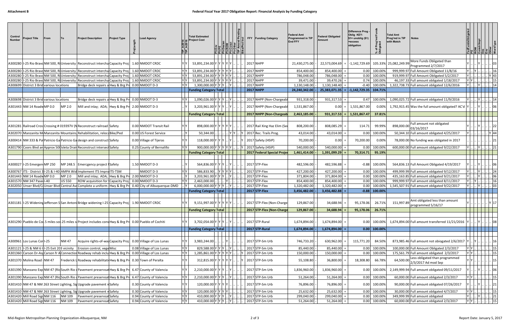| More Funds Obligated than<br>2017 NHPP<br>$-1,142,729.69$<br>105.33% 25,082,249.99<br>A300280   I-25 Rio Bravd NM 500, RiUniversity   Reconstruct interchal Capacity Proj  <br>1.60 NMDOT CRDC<br>53,891,234.00 Y<br>21,430,275.00<br>22,573,004.69<br>Programmed 2/7/2017<br>YY<br>-25 Rio Bravo NM 500, RiUniversity Reconstruct intercha Capacity Proj<br>1.60 NMDOT CRDC<br>53,891,234.00 Y Y Y Y Y<br>2017 NHPP<br>854,400.00<br>100.00%<br>854,400.00<br>0.00<br>999,999.97 Full Amount Obligated 11/8/16<br>A300280<br>YY<br>2017 NHPP<br>I-25 Rio Bravo NM 500, RiUniversity Reconstruct intercha Capacity Proj<br>1.60 NMDOT CRDC<br>53,891,234.00 Y Y Y<br>786,048.00<br>786,048.00<br>0.00<br>100.00%<br>919,999.97 Full Amount Obligated 5/2/2017<br>A300280<br>I-25 Rio Bravo NM 500, Ri University Reconstruct intercha Capacity Proj<br>YY<br>53,891,234.00 Y Y Y Y Y Y<br>2017 NHPP<br>0.74<br>1.60 NMDOT CRDC<br>39,471.00<br>39,470.26<br>100.00%<br>46,197.33 Full amount obligated 1/18/2017<br>A300280<br>YY<br>$1,300,000.00 \text{Y} $ Y<br>2017 NHPP<br>1,322,738.73 Full amount obligated 12/6/2016<br>A300699 District 3 Brid various locations<br>Bridge deck repairs a Hwy & Brg Pre<br>$0.00$ NMDOT D-3<br>1,130,148.00<br>1,130,148.40<br>$-0.40$<br>100.009<br><b>Funding Category Total</b><br><b>2017 NHPP</b><br>24,240,342.00<br>$=  -1,142,729.35 $<br>104.71%<br>25,383,071.35<br>YY<br>1,090,026.00 Y Y Y<br>Bridge deck repairs a Hwy & Brg Pr 0.00 NMDOT D-3<br>2017 NHPP (Non-Chargeabl<br>931,318.00<br>1,090,025.72 Full amount obligated 11/9/2016<br>A300698 District 3 Brid various locations<br>931,317.53<br>0.47<br>100.00%<br>2017 NHPP (Non-Chargeab<br>1,531,867.00<br>1,792,915.45 Was the full amount obligated? AC'd<br>A301443  NM 14 RoadwMP 0.0<br>MP 2.0<br>Mill and inlay; ADA; Hwy & Brg Pri 2.00 NMDOT D-3<br>3,203,961.00 Y<br>1,531,867.00<br>0.00<br>$0.00\%$<br>2017 NHPP (Non-Chargeab<br>2,463,185.00<br>$ 931,317.53  =   1,531,867.47$<br>37.81%<br><b>Funding Category Total</b><br>Full amount not obligated<br>2017 Rail Xing Haz Elim (Seo<br>99.99%<br>898,000.00<br>A301281 Railroad Cros Crossing # 019397V (NReconstruct railroad Safety<br>0.00 NMDOT Transit Rail<br>898,000.00<br>808,200.00<br>808,085.29<br>114.71<br>03/16/2017<br>A302070 Manzanita M Manzanita Mountains Rehabilitation, reloca Bike/Ped<br>. IY<br>$\vert$ Y 2017 Rec. Trails Prog.<br>0.00 US Forest Service<br>50,344.00<br>43,014.00<br>43,014.00<br>0.00<br>100.00%<br>50,344.10 Full amount obligated 4/25/2017<br>0.00 Village of Tijeras<br>2017 Safety (HSIP)<br>70,200.00<br>0.00%<br>78,000.00 No funding was obligated in 2017<br>A300414 NM 333 & Pa Patricio Ga Patricio Ga design and construct Safety<br>118,000.00 Y Y Y<br>70,200.00<br>0.00<br>YY<br>A301790 Coors Blvd an Approx 500 Isleta Drain Reconstruct intersec Safety<br>YY<br>900,000.00 Y Y Y Y Y Y<br>2017 Safety (HSIP)<br>100.00%<br>540,000.00<br>540,000.00<br>0.00<br>600,000.00 Full amount obligated 9/22/2017<br>0.25 County of Bernalillo<br>IY.<br>2017 Federal Special Projec<br>70,314.71<br>95.19%<br><b>Funding Category Total</b><br>1,461,414.00<br>1,391,099.29<br>2017 STP-Flex<br>A300027 I-25 Emergen MP 250<br>MP 248.5<br>1.50 NMDOT D-3<br>564,836.00<br>482,596.00<br>482,596.88<br>$-0.88$<br>100.00%<br>564,836.13 Full Amount Obligated 4/19/2017<br>Emercgency project fSafety<br>2017 STP-Flex<br>499,999.99 Full amount obligated 9/12/2017<br>A300767  ITS - District 3I-25 & I-40 AMPA Wid Implement ITS ImproITS-TSM<br>NMDOT D-3<br><b>YY</b><br>586,833.90<br>427,200.00<br>100.00%<br>427,200.00<br>0.00<br>2017 STP-Flex<br>2.00 NMDOT D-3<br>371,804.00<br>371,804.00<br>100.00%<br>435,163.85 Full amount obligated 9/21/2017<br>A301443 NM 14 Roadw MP 0.0<br>MP 2.0<br>Mill and inlay; ADA; Hwy & Brg Pre<br>3,203,961.00 Y Y<br>0.00<br>$Y$ $Y$<br>A301570 NM 347 Pase I-40<br><b>US 550</b><br>ROW acquisition for Capacity Proj<br>$0.00$ NMDOT D-3<br>2,463,000.00<br>2017 STP-Flex<br>854,400.00<br>854,400.00<br>0.00<br>100.00%<br>999,999.97 Full amount obligated 8/11/2017<br>6,000,000.00 Y Y Y  Y<br>2017 STP-Flex<br>1,320,482.00<br>1,320,482.00<br>0.00<br>100.00%<br>1,545,507.91 Full amount obligated 9/22/2017<br>A302050 Unser Blvd/CdUnser Blvd Central AvdComplete a uniform Huy & Brg Pro<br>0.40 City of Albuquerque-DMD<br>2017 STP-Flex<br>3,456,482.00<br>3,456,482.88<br>$-0.88$<br>100.00%<br><b>Funding Category Total</b><br>Amt obligated less than amount<br>2017 STP-Flex (Non-Charge<br>129,867.00<br>1.90 NMDOT CRDC<br>9,151,997.00 Y Y<br>34,688.94<br>95,178.06<br>26.71%<br>151,997.89<br>A301181   -25 WideningJefferson S San Antoni Bridge widening I-25 Capacity Proj<br>programmed 5/16/17<br><b>Funding Category Total</b><br>2017 STP-Flex (Non-Charge<br>129,867.00<br>$34,688.94$ =<br>95,178.06<br>$26.71\%$<br>A301290 Pueblo de Col.5 miles sol.25 miles stProject includes consHwy & Brg Prt 0.00 Pueblo of Cochiti<br>2017 STP-Rural<br>1,674,894.00<br>1,674,894.00 Full amount transferred 11/21/2016<br>3,702,054.00 Y Y Y<br>1,674,894.00<br>0.00<br>100.00%<br>2017 STP-Rural<br>1,674,894.00<br>1,674,894.00<br>$0.00$ 100.00%<br><b>Funding Category Total</b><br>0.00 Village of Los Lunas<br>2017 STP-Sm Urb<br>630,962.00<br>115,771.20<br>84.50%<br>873,985.46 Full amount not obiogated 2/6/2017<br>A300961 Los Lunas Corl-25<br><b>NM47</b><br>Acquire rights-of-way Capacity Proj<br>3,983,244.00<br>746,733.20<br>YY<br>Y Y<br>829,588.00 Y Y Y  Y .<br>. 2017 STP-Sm Urb<br>A301121   I-25 & NM 6   I-25 Exit 203 vicinity<br>Erosion control, vege Misc<br>0.08 Village of Los Lunas<br>85,440.00<br>100.00%<br>100,000.00 Full Amount Obligated 2/3/2017<br>85,440.00<br>0.00<br>$Y$ $Y$<br>$YY$ .<br>1,285,861.00 Y Y Y Y Y Y  . Y<br>2017 STP-Sm Urb<br>A301360 Carson Dr-Ast Carson fr A Connection Roadway rehab inclu Hwy & Brg Pr<br>150,000.00<br>0.00<br>100.00%<br>175,561.79 Full amount obligated 2/3/2017<br>0.00 Village of Los Lunas<br>150,000.00<br>64,500.00 Less obligated than programmed<br>$2/3/2017$ Ad mod Sep<br>2017 STP-Sm Urb<br>A301370 Molina Road NM 47<br>Frederick LRoadway rehabilitati Hwy & Brg Pr<br>0.30 Town of Peralta<br>312,815.00 Y Y Y Y Y Y<br>18,308.80<br>66.78%<br>55,108.80<br>36,800.00<br>A301390 Manzano Exp NM 47 (RidSouth Rio dPavement preservsat Hwy & Brg Pr<br>6.47 County of Valencia<br>2,210,000.00 Y Y Y<br>2017 STP-Sm Urb<br>1,836,960.00<br>1,836,960.00<br>100.00%<br>2,149,999.94 Full amount obligated 09/11/2017<br>0.00<br>YY<br>$YY$ .<br>2,210,000.00 Y Y Y  Y<br>A301390 Manzano Exp NM 47 (RidSouth Rio dPavement preservsat Hwy & Brg Pr<br>6.47 County of Valencia<br>2017 STP-Sm Urb<br>100.00%<br>60,000.00 Full amount obligated 2/3/2017<br>51,264.00<br>51,264.00<br>0.00<br>     15  <br>0.30 County of Valencia<br>120,000.00 Y<br>2017 STP-Sm Urb<br>100.00%<br>90,000.00 Full amount obligated 07/26/2017<br>A301410 NM 47 & NM 263 Street Lighting, SigUpgrade pavement n Safety<br>76,896.00<br>$76,896.00 =$<br>0.00<br>IY IY<br>$Y$ $Y$<br>2017 STP-Sm Urb<br>$YY$ .<br>120,000.00 Y Y Y Y J L. J.<br>30,000.00 Full amount obligated 4/7/2017<br>A301410 NM 47 & NM 263 Street Lighting, Sig Upgrade pavement nSafety<br>0.30 County of Valencia<br>25,632.00<br>0.00<br>100.00%<br>$\ldots$ $\ldots$ $\boxed{15}$<br>25,632.00<br>YY<br>$Y \cup$<br>A301420 Mill Road Sign NM 116<br>410,000.00 Y Y Y  Y .<br>2017 STP-Sm Urb<br>349,999.99 Full amount obligated<br>$Y$ $\left \right $ $\left \right $ $\left 21\right $<br><b>NM 109</b><br>Pavement preservsat Safety<br>0.94 County of Valencia<br>299,040.00<br>299,040.00<br>100.00%<br>0.00<br>$\overline{YY}$<br>410,000.00 Y Y Y  Y   2017 STP-Sm Urb<br>$Y$ $Y$ $\ldots$ $\ldots$ $\ldots$ $\ldots$ 15<br>A301420 Mill Road Sign NM 116<br>60,000.00 Full amount obligated 2/3/2017<br>0.94 County of Valencia<br>Pavement preservsat Safety | Control<br><b>Number</b> | Project Title | From |        | <b>Project Description</b> | <b>Project Type</b> | ead Agency | <b>Total Estimated</b><br><b>Project Cost</b> |  | <b>FFY</b> | <b>Funding Category</b> | <b>Federal Amt</b><br>Programmed in TIP<br><b>End FFY</b> | <b>Federal Obligated</b><br><b>Amount</b> | Difference Prog -<br>Oblig KEY:<br>$$1=$ unoblig $($1)$<br>=excess<br>obligation | Prog<br>Jated<br>৳ | <b>Total Amt</b><br>Prog'md in TIP<br>with Match | <b>Notes</b> |  |      |                 |
|----------------------------------------------------------------------------------------------------------------------------------------------------------------------------------------------------------------------------------------------------------------------------------------------------------------------------------------------------------------------------------------------------------------------------------------------------------------------------------------------------------------------------------------------------------------------------------------------------------------------------------------------------------------------------------------------------------------------------------------------------------------------------------------------------------------------------------------------------------------------------------------------------------------------------------------------------------------------------------------------------------------------------------------------------------------------------------------------------------------------------------------------------------------------------------------------------------------------------------------------------------------------------------------------------------------------------------------------------------------------------------------------------------------------------------------------------------------------------------------------------------------------------------------------------------------------------------------------------------------------------------------------------------------------------------------------------------------------------------------------------------------------------------------------------------------------------------------------------------------------------------------------------------------------------------------------------------------------------------------------------------------------------------------------------------------------------------------------------------------------------------------------------------------------------------------------------------------------------------------------------------------------------------------------------------------------------------------------------------------------------------------------------------------------------------------------------------------------------------------------------------------------------------------------------------------------------------------------------------------------------------------------------------------------------------------------------------------------------------------------------------------------------------------------------------------------------------------------------------------------------------------------------------------------------------------------------------------------------------------------------------------------------------------------------------------------------------------------------------------------------------------------------------------------------------------------------------------------------------------------------------------------------------------------------------------------------------------------------------------------------------------------------------------------------------------------------------------------------------------------------------------------------------------------------------------------------------------------------------------------------------------------------------------------------------------------------------------------------------------------------------------------------------------------------------------------------------------------------------------------------------------------------------------------------------------------------------------------------------------------------------------------------------------------------------------------------------------------------------------------------------------------------------------------------------------------------------------------------------------------------------------------------------------------------------------------------------------------------------------------------------------------------------------------------------------------------------------------------------------------------------------------------------------------------------------------------------------------------------------------------------------------------------------------------------------------------------------------------------------------------------------------------------------------------------------------------------------------------------------------------------------------------------------------------------------------------------------------------------------------------------------------------------------------------------------------------------------------------------------------------------------------------------------------------------------------------------------------------------------------------------------------------------------------------------------------------------------------------------------------------------------------------------------------------------------------------------------------------------------------------------------------------------------------------------------------------------------------------------------------------------------------------------------------------------------------------------------------------------------------------------------------------------------------------------------------------------------------------------------------------------------------------------------------------------------------------------------------------------------------------------------------------------------------------------------------------------------------------------------------------------------------------------------------------------------------------------------------------------------------------------------------------------------------------------------------------------------------------------------------------------------------------------------------------------------------------------------------------------------------------------------------------------------------------------------------------------------------------------------------------------------------------------------------------------------------------------------------------------------------------------------------------------------------------------------------------------------------------------------------------------------------------------------------------------------------------------------------------------------------------------------------------------------------------------------------------------------------------------------------------------------------------------------------------------------------------------------------------------------------------------------------------------------------------------------------------------------------------------------------------------------------------------------------------------------------------------------------------------------------------------------------------------------------------------------------------------------------------------------------------------------------------------------------------------------------------------------------------------------------------------------------------------------------------------------------------------------------------------------------------------------------------------------------------------------------------------------------------------------------------------------------------------------------------------|--------------------------|---------------|------|--------|----------------------------|---------------------|------------|-----------------------------------------------|--|------------|-------------------------|-----------------------------------------------------------|-------------------------------------------|----------------------------------------------------------------------------------|--------------------|--------------------------------------------------|--------------|--|------|-----------------|
|                                                                                                                                                                                                                                                                                                                                                                                                                                                                                                                                                                                                                                                                                                                                                                                                                                                                                                                                                                                                                                                                                                                                                                                                                                                                                                                                                                                                                                                                                                                                                                                                                                                                                                                                                                                                                                                                                                                                                                                                                                                                                                                                                                                                                                                                                                                                                                                                                                                                                                                                                                                                                                                                                                                                                                                                                                                                                                                                                                                                                                                                                                                                                                                                                                                                                                                                                                                                                                                                                                                                                                                                                                                                                                                                                                                                                                                                                                                                                                                                                                                                                                                                                                                                                                                                                                                                                                                                                                                                                                                                                                                                                                                                                                                                                                                                                                                                                                                                                                                                                                                                                                                                                                                                                                                                                                                                                                                                                                                                                                                                                                                                                                                                                                                                                                                                                                                                                                                                                                                                                                                                                                                                                                                                                                                                                                                                                                                                                                                                                                                                                                                                                                                                                                                                                                                                                                                                                                                                                                                                                                                                                                                                                                                                                                                                                                                                                                                                                                                                                                                                                                                                                                                                                                                                                                                                                                                                                                                                                                                                                                                          |                          |               |      |        |                            |                     |            |                                               |  |            |                         |                                                           |                                           |                                                                                  |                    |                                                  |              |  |      |                 |
|                                                                                                                                                                                                                                                                                                                                                                                                                                                                                                                                                                                                                                                                                                                                                                                                                                                                                                                                                                                                                                                                                                                                                                                                                                                                                                                                                                                                                                                                                                                                                                                                                                                                                                                                                                                                                                                                                                                                                                                                                                                                                                                                                                                                                                                                                                                                                                                                                                                                                                                                                                                                                                                                                                                                                                                                                                                                                                                                                                                                                                                                                                                                                                                                                                                                                                                                                                                                                                                                                                                                                                                                                                                                                                                                                                                                                                                                                                                                                                                                                                                                                                                                                                                                                                                                                                                                                                                                                                                                                                                                                                                                                                                                                                                                                                                                                                                                                                                                                                                                                                                                                                                                                                                                                                                                                                                                                                                                                                                                                                                                                                                                                                                                                                                                                                                                                                                                                                                                                                                                                                                                                                                                                                                                                                                                                                                                                                                                                                                                                                                                                                                                                                                                                                                                                                                                                                                                                                                                                                                                                                                                                                                                                                                                                                                                                                                                                                                                                                                                                                                                                                                                                                                                                                                                                                                                                                                                                                                                                                                                                                                          |                          |               |      |        |                            |                     |            |                                               |  |            |                         |                                                           |                                           |                                                                                  |                    |                                                  |              |  |      |                 |
|                                                                                                                                                                                                                                                                                                                                                                                                                                                                                                                                                                                                                                                                                                                                                                                                                                                                                                                                                                                                                                                                                                                                                                                                                                                                                                                                                                                                                                                                                                                                                                                                                                                                                                                                                                                                                                                                                                                                                                                                                                                                                                                                                                                                                                                                                                                                                                                                                                                                                                                                                                                                                                                                                                                                                                                                                                                                                                                                                                                                                                                                                                                                                                                                                                                                                                                                                                                                                                                                                                                                                                                                                                                                                                                                                                                                                                                                                                                                                                                                                                                                                                                                                                                                                                                                                                                                                                                                                                                                                                                                                                                                                                                                                                                                                                                                                                                                                                                                                                                                                                                                                                                                                                                                                                                                                                                                                                                                                                                                                                                                                                                                                                                                                                                                                                                                                                                                                                                                                                                                                                                                                                                                                                                                                                                                                                                                                                                                                                                                                                                                                                                                                                                                                                                                                                                                                                                                                                                                                                                                                                                                                                                                                                                                                                                                                                                                                                                                                                                                                                                                                                                                                                                                                                                                                                                                                                                                                                                                                                                                                                                          |                          |               |      |        |                            |                     |            |                                               |  |            |                         |                                                           |                                           |                                                                                  |                    |                                                  |              |  |      |                 |
|                                                                                                                                                                                                                                                                                                                                                                                                                                                                                                                                                                                                                                                                                                                                                                                                                                                                                                                                                                                                                                                                                                                                                                                                                                                                                                                                                                                                                                                                                                                                                                                                                                                                                                                                                                                                                                                                                                                                                                                                                                                                                                                                                                                                                                                                                                                                                                                                                                                                                                                                                                                                                                                                                                                                                                                                                                                                                                                                                                                                                                                                                                                                                                                                                                                                                                                                                                                                                                                                                                                                                                                                                                                                                                                                                                                                                                                                                                                                                                                                                                                                                                                                                                                                                                                                                                                                                                                                                                                                                                                                                                                                                                                                                                                                                                                                                                                                                                                                                                                                                                                                                                                                                                                                                                                                                                                                                                                                                                                                                                                                                                                                                                                                                                                                                                                                                                                                                                                                                                                                                                                                                                                                                                                                                                                                                                                                                                                                                                                                                                                                                                                                                                                                                                                                                                                                                                                                                                                                                                                                                                                                                                                                                                                                                                                                                                                                                                                                                                                                                                                                                                                                                                                                                                                                                                                                                                                                                                                                                                                                                                                          |                          |               |      |        |                            |                     |            |                                               |  |            |                         |                                                           |                                           |                                                                                  |                    |                                                  |              |  |      | $Y$ 43          |
|                                                                                                                                                                                                                                                                                                                                                                                                                                                                                                                                                                                                                                                                                                                                                                                                                                                                                                                                                                                                                                                                                                                                                                                                                                                                                                                                                                                                                                                                                                                                                                                                                                                                                                                                                                                                                                                                                                                                                                                                                                                                                                                                                                                                                                                                                                                                                                                                                                                                                                                                                                                                                                                                                                                                                                                                                                                                                                                                                                                                                                                                                                                                                                                                                                                                                                                                                                                                                                                                                                                                                                                                                                                                                                                                                                                                                                                                                                                                                                                                                                                                                                                                                                                                                                                                                                                                                                                                                                                                                                                                                                                                                                                                                                                                                                                                                                                                                                                                                                                                                                                                                                                                                                                                                                                                                                                                                                                                                                                                                                                                                                                                                                                                                                                                                                                                                                                                                                                                                                                                                                                                                                                                                                                                                                                                                                                                                                                                                                                                                                                                                                                                                                                                                                                                                                                                                                                                                                                                                                                                                                                                                                                                                                                                                                                                                                                                                                                                                                                                                                                                                                                                                                                                                                                                                                                                                                                                                                                                                                                                                                                          |                          |               |      |        |                            |                     |            |                                               |  |            |                         |                                                           |                                           |                                                                                  |                    |                                                  |              |  |      |                 |
|                                                                                                                                                                                                                                                                                                                                                                                                                                                                                                                                                                                                                                                                                                                                                                                                                                                                                                                                                                                                                                                                                                                                                                                                                                                                                                                                                                                                                                                                                                                                                                                                                                                                                                                                                                                                                                                                                                                                                                                                                                                                                                                                                                                                                                                                                                                                                                                                                                                                                                                                                                                                                                                                                                                                                                                                                                                                                                                                                                                                                                                                                                                                                                                                                                                                                                                                                                                                                                                                                                                                                                                                                                                                                                                                                                                                                                                                                                                                                                                                                                                                                                                                                                                                                                                                                                                                                                                                                                                                                                                                                                                                                                                                                                                                                                                                                                                                                                                                                                                                                                                                                                                                                                                                                                                                                                                                                                                                                                                                                                                                                                                                                                                                                                                                                                                                                                                                                                                                                                                                                                                                                                                                                                                                                                                                                                                                                                                                                                                                                                                                                                                                                                                                                                                                                                                                                                                                                                                                                                                                                                                                                                                                                                                                                                                                                                                                                                                                                                                                                                                                                                                                                                                                                                                                                                                                                                                                                                                                                                                                                                                          |                          |               |      |        |                            |                     |            |                                               |  |            |                         |                                                           |                                           |                                                                                  |                    |                                                  |              |  |      |                 |
|                                                                                                                                                                                                                                                                                                                                                                                                                                                                                                                                                                                                                                                                                                                                                                                                                                                                                                                                                                                                                                                                                                                                                                                                                                                                                                                                                                                                                                                                                                                                                                                                                                                                                                                                                                                                                                                                                                                                                                                                                                                                                                                                                                                                                                                                                                                                                                                                                                                                                                                                                                                                                                                                                                                                                                                                                                                                                                                                                                                                                                                                                                                                                                                                                                                                                                                                                                                                                                                                                                                                                                                                                                                                                                                                                                                                                                                                                                                                                                                                                                                                                                                                                                                                                                                                                                                                                                                                                                                                                                                                                                                                                                                                                                                                                                                                                                                                                                                                                                                                                                                                                                                                                                                                                                                                                                                                                                                                                                                                                                                                                                                                                                                                                                                                                                                                                                                                                                                                                                                                                                                                                                                                                                                                                                                                                                                                                                                                                                                                                                                                                                                                                                                                                                                                                                                                                                                                                                                                                                                                                                                                                                                                                                                                                                                                                                                                                                                                                                                                                                                                                                                                                                                                                                                                                                                                                                                                                                                                                                                                                                                          |                          |               |      |        |                            |                     |            |                                               |  |            |                         |                                                           |                                           |                                                                                  |                    |                                                  |              |  |      |                 |
|                                                                                                                                                                                                                                                                                                                                                                                                                                                                                                                                                                                                                                                                                                                                                                                                                                                                                                                                                                                                                                                                                                                                                                                                                                                                                                                                                                                                                                                                                                                                                                                                                                                                                                                                                                                                                                                                                                                                                                                                                                                                                                                                                                                                                                                                                                                                                                                                                                                                                                                                                                                                                                                                                                                                                                                                                                                                                                                                                                                                                                                                                                                                                                                                                                                                                                                                                                                                                                                                                                                                                                                                                                                                                                                                                                                                                                                                                                                                                                                                                                                                                                                                                                                                                                                                                                                                                                                                                                                                                                                                                                                                                                                                                                                                                                                                                                                                                                                                                                                                                                                                                                                                                                                                                                                                                                                                                                                                                                                                                                                                                                                                                                                                                                                                                                                                                                                                                                                                                                                                                                                                                                                                                                                                                                                                                                                                                                                                                                                                                                                                                                                                                                                                                                                                                                                                                                                                                                                                                                                                                                                                                                                                                                                                                                                                                                                                                                                                                                                                                                                                                                                                                                                                                                                                                                                                                                                                                                                                                                                                                                                          |                          |               |      |        |                            |                     |            |                                               |  |            |                         |                                                           |                                           |                                                                                  |                    |                                                  |              |  |      |                 |
|                                                                                                                                                                                                                                                                                                                                                                                                                                                                                                                                                                                                                                                                                                                                                                                                                                                                                                                                                                                                                                                                                                                                                                                                                                                                                                                                                                                                                                                                                                                                                                                                                                                                                                                                                                                                                                                                                                                                                                                                                                                                                                                                                                                                                                                                                                                                                                                                                                                                                                                                                                                                                                                                                                                                                                                                                                                                                                                                                                                                                                                                                                                                                                                                                                                                                                                                                                                                                                                                                                                                                                                                                                                                                                                                                                                                                                                                                                                                                                                                                                                                                                                                                                                                                                                                                                                                                                                                                                                                                                                                                                                                                                                                                                                                                                                                                                                                                                                                                                                                                                                                                                                                                                                                                                                                                                                                                                                                                                                                                                                                                                                                                                                                                                                                                                                                                                                                                                                                                                                                                                                                                                                                                                                                                                                                                                                                                                                                                                                                                                                                                                                                                                                                                                                                                                                                                                                                                                                                                                                                                                                                                                                                                                                                                                                                                                                                                                                                                                                                                                                                                                                                                                                                                                                                                                                                                                                                                                                                                                                                                                                          |                          |               |      |        |                            |                     |            |                                               |  |            |                         |                                                           |                                           |                                                                                  |                    |                                                  |              |  |      |                 |
|                                                                                                                                                                                                                                                                                                                                                                                                                                                                                                                                                                                                                                                                                                                                                                                                                                                                                                                                                                                                                                                                                                                                                                                                                                                                                                                                                                                                                                                                                                                                                                                                                                                                                                                                                                                                                                                                                                                                                                                                                                                                                                                                                                                                                                                                                                                                                                                                                                                                                                                                                                                                                                                                                                                                                                                                                                                                                                                                                                                                                                                                                                                                                                                                                                                                                                                                                                                                                                                                                                                                                                                                                                                                                                                                                                                                                                                                                                                                                                                                                                                                                                                                                                                                                                                                                                                                                                                                                                                                                                                                                                                                                                                                                                                                                                                                                                                                                                                                                                                                                                                                                                                                                                                                                                                                                                                                                                                                                                                                                                                                                                                                                                                                                                                                                                                                                                                                                                                                                                                                                                                                                                                                                                                                                                                                                                                                                                                                                                                                                                                                                                                                                                                                                                                                                                                                                                                                                                                                                                                                                                                                                                                                                                                                                                                                                                                                                                                                                                                                                                                                                                                                                                                                                                                                                                                                                                                                                                                                                                                                                                                          |                          |               |      |        |                            |                     |            |                                               |  |            |                         |                                                           |                                           |                                                                                  |                    |                                                  |              |  |      |                 |
|                                                                                                                                                                                                                                                                                                                                                                                                                                                                                                                                                                                                                                                                                                                                                                                                                                                                                                                                                                                                                                                                                                                                                                                                                                                                                                                                                                                                                                                                                                                                                                                                                                                                                                                                                                                                                                                                                                                                                                                                                                                                                                                                                                                                                                                                                                                                                                                                                                                                                                                                                                                                                                                                                                                                                                                                                                                                                                                                                                                                                                                                                                                                                                                                                                                                                                                                                                                                                                                                                                                                                                                                                                                                                                                                                                                                                                                                                                                                                                                                                                                                                                                                                                                                                                                                                                                                                                                                                                                                                                                                                                                                                                                                                                                                                                                                                                                                                                                                                                                                                                                                                                                                                                                                                                                                                                                                                                                                                                                                                                                                                                                                                                                                                                                                                                                                                                                                                                                                                                                                                                                                                                                                                                                                                                                                                                                                                                                                                                                                                                                                                                                                                                                                                                                                                                                                                                                                                                                                                                                                                                                                                                                                                                                                                                                                                                                                                                                                                                                                                                                                                                                                                                                                                                                                                                                                                                                                                                                                                                                                                                                          |                          |               |      |        |                            |                     |            |                                               |  |            |                         |                                                           |                                           |                                                                                  |                    |                                                  |              |  |      |                 |
|                                                                                                                                                                                                                                                                                                                                                                                                                                                                                                                                                                                                                                                                                                                                                                                                                                                                                                                                                                                                                                                                                                                                                                                                                                                                                                                                                                                                                                                                                                                                                                                                                                                                                                                                                                                                                                                                                                                                                                                                                                                                                                                                                                                                                                                                                                                                                                                                                                                                                                                                                                                                                                                                                                                                                                                                                                                                                                                                                                                                                                                                                                                                                                                                                                                                                                                                                                                                                                                                                                                                                                                                                                                                                                                                                                                                                                                                                                                                                                                                                                                                                                                                                                                                                                                                                                                                                                                                                                                                                                                                                                                                                                                                                                                                                                                                                                                                                                                                                                                                                                                                                                                                                                                                                                                                                                                                                                                                                                                                                                                                                                                                                                                                                                                                                                                                                                                                                                                                                                                                                                                                                                                                                                                                                                                                                                                                                                                                                                                                                                                                                                                                                                                                                                                                                                                                                                                                                                                                                                                                                                                                                                                                                                                                                                                                                                                                                                                                                                                                                                                                                                                                                                                                                                                                                                                                                                                                                                                                                                                                                                                          |                          |               |      |        |                            |                     |            |                                               |  |            |                         |                                                           |                                           |                                                                                  |                    |                                                  |              |  |      |                 |
|                                                                                                                                                                                                                                                                                                                                                                                                                                                                                                                                                                                                                                                                                                                                                                                                                                                                                                                                                                                                                                                                                                                                                                                                                                                                                                                                                                                                                                                                                                                                                                                                                                                                                                                                                                                                                                                                                                                                                                                                                                                                                                                                                                                                                                                                                                                                                                                                                                                                                                                                                                                                                                                                                                                                                                                                                                                                                                                                                                                                                                                                                                                                                                                                                                                                                                                                                                                                                                                                                                                                                                                                                                                                                                                                                                                                                                                                                                                                                                                                                                                                                                                                                                                                                                                                                                                                                                                                                                                                                                                                                                                                                                                                                                                                                                                                                                                                                                                                                                                                                                                                                                                                                                                                                                                                                                                                                                                                                                                                                                                                                                                                                                                                                                                                                                                                                                                                                                                                                                                                                                                                                                                                                                                                                                                                                                                                                                                                                                                                                                                                                                                                                                                                                                                                                                                                                                                                                                                                                                                                                                                                                                                                                                                                                                                                                                                                                                                                                                                                                                                                                                                                                                                                                                                                                                                                                                                                                                                                                                                                                                                          |                          |               |      |        |                            |                     |            |                                               |  |            |                         |                                                           |                                           |                                                                                  |                    |                                                  |              |  |      | $Y$ 44          |
|                                                                                                                                                                                                                                                                                                                                                                                                                                                                                                                                                                                                                                                                                                                                                                                                                                                                                                                                                                                                                                                                                                                                                                                                                                                                                                                                                                                                                                                                                                                                                                                                                                                                                                                                                                                                                                                                                                                                                                                                                                                                                                                                                                                                                                                                                                                                                                                                                                                                                                                                                                                                                                                                                                                                                                                                                                                                                                                                                                                                                                                                                                                                                                                                                                                                                                                                                                                                                                                                                                                                                                                                                                                                                                                                                                                                                                                                                                                                                                                                                                                                                                                                                                                                                                                                                                                                                                                                                                                                                                                                                                                                                                                                                                                                                                                                                                                                                                                                                                                                                                                                                                                                                                                                                                                                                                                                                                                                                                                                                                                                                                                                                                                                                                                                                                                                                                                                                                                                                                                                                                                                                                                                                                                                                                                                                                                                                                                                                                                                                                                                                                                                                                                                                                                                                                                                                                                                                                                                                                                                                                                                                                                                                                                                                                                                                                                                                                                                                                                                                                                                                                                                                                                                                                                                                                                                                                                                                                                                                                                                                                                          |                          |               |      |        |                            |                     |            |                                               |  |            |                         |                                                           |                                           |                                                                                  |                    |                                                  |              |  |      |                 |
|                                                                                                                                                                                                                                                                                                                                                                                                                                                                                                                                                                                                                                                                                                                                                                                                                                                                                                                                                                                                                                                                                                                                                                                                                                                                                                                                                                                                                                                                                                                                                                                                                                                                                                                                                                                                                                                                                                                                                                                                                                                                                                                                                                                                                                                                                                                                                                                                                                                                                                                                                                                                                                                                                                                                                                                                                                                                                                                                                                                                                                                                                                                                                                                                                                                                                                                                                                                                                                                                                                                                                                                                                                                                                                                                                                                                                                                                                                                                                                                                                                                                                                                                                                                                                                                                                                                                                                                                                                                                                                                                                                                                                                                                                                                                                                                                                                                                                                                                                                                                                                                                                                                                                                                                                                                                                                                                                                                                                                                                                                                                                                                                                                                                                                                                                                                                                                                                                                                                                                                                                                                                                                                                                                                                                                                                                                                                                                                                                                                                                                                                                                                                                                                                                                                                                                                                                                                                                                                                                                                                                                                                                                                                                                                                                                                                                                                                                                                                                                                                                                                                                                                                                                                                                                                                                                                                                                                                                                                                                                                                                                                          |                          |               |      |        |                            |                     |            |                                               |  |            |                         |                                                           |                                           |                                                                                  |                    |                                                  |              |  |      |                 |
|                                                                                                                                                                                                                                                                                                                                                                                                                                                                                                                                                                                                                                                                                                                                                                                                                                                                                                                                                                                                                                                                                                                                                                                                                                                                                                                                                                                                                                                                                                                                                                                                                                                                                                                                                                                                                                                                                                                                                                                                                                                                                                                                                                                                                                                                                                                                                                                                                                                                                                                                                                                                                                                                                                                                                                                                                                                                                                                                                                                                                                                                                                                                                                                                                                                                                                                                                                                                                                                                                                                                                                                                                                                                                                                                                                                                                                                                                                                                                                                                                                                                                                                                                                                                                                                                                                                                                                                                                                                                                                                                                                                                                                                                                                                                                                                                                                                                                                                                                                                                                                                                                                                                                                                                                                                                                                                                                                                                                                                                                                                                                                                                                                                                                                                                                                                                                                                                                                                                                                                                                                                                                                                                                                                                                                                                                                                                                                                                                                                                                                                                                                                                                                                                                                                                                                                                                                                                                                                                                                                                                                                                                                                                                                                                                                                                                                                                                                                                                                                                                                                                                                                                                                                                                                                                                                                                                                                                                                                                                                                                                                                          |                          |               |      |        |                            |                     |            |                                               |  |            |                         |                                                           |                                           |                                                                                  |                    |                                                  |              |  |      |                 |
|                                                                                                                                                                                                                                                                                                                                                                                                                                                                                                                                                                                                                                                                                                                                                                                                                                                                                                                                                                                                                                                                                                                                                                                                                                                                                                                                                                                                                                                                                                                                                                                                                                                                                                                                                                                                                                                                                                                                                                                                                                                                                                                                                                                                                                                                                                                                                                                                                                                                                                                                                                                                                                                                                                                                                                                                                                                                                                                                                                                                                                                                                                                                                                                                                                                                                                                                                                                                                                                                                                                                                                                                                                                                                                                                                                                                                                                                                                                                                                                                                                                                                                                                                                                                                                                                                                                                                                                                                                                                                                                                                                                                                                                                                                                                                                                                                                                                                                                                                                                                                                                                                                                                                                                                                                                                                                                                                                                                                                                                                                                                                                                                                                                                                                                                                                                                                                                                                                                                                                                                                                                                                                                                                                                                                                                                                                                                                                                                                                                                                                                                                                                                                                                                                                                                                                                                                                                                                                                                                                                                                                                                                                                                                                                                                                                                                                                                                                                                                                                                                                                                                                                                                                                                                                                                                                                                                                                                                                                                                                                                                                                          |                          |               |      |        |                            |                     |            |                                               |  |            |                         |                                                           |                                           |                                                                                  |                    |                                                  |              |  |      |                 |
|                                                                                                                                                                                                                                                                                                                                                                                                                                                                                                                                                                                                                                                                                                                                                                                                                                                                                                                                                                                                                                                                                                                                                                                                                                                                                                                                                                                                                                                                                                                                                                                                                                                                                                                                                                                                                                                                                                                                                                                                                                                                                                                                                                                                                                                                                                                                                                                                                                                                                                                                                                                                                                                                                                                                                                                                                                                                                                                                                                                                                                                                                                                                                                                                                                                                                                                                                                                                                                                                                                                                                                                                                                                                                                                                                                                                                                                                                                                                                                                                                                                                                                                                                                                                                                                                                                                                                                                                                                                                                                                                                                                                                                                                                                                                                                                                                                                                                                                                                                                                                                                                                                                                                                                                                                                                                                                                                                                                                                                                                                                                                                                                                                                                                                                                                                                                                                                                                                                                                                                                                                                                                                                                                                                                                                                                                                                                                                                                                                                                                                                                                                                                                                                                                                                                                                                                                                                                                                                                                                                                                                                                                                                                                                                                                                                                                                                                                                                                                                                                                                                                                                                                                                                                                                                                                                                                                                                                                                                                                                                                                                                          |                          |               |      |        |                            |                     |            |                                               |  |            |                         |                                                           |                                           |                                                                                  |                    |                                                  |              |  |      | 24              |
|                                                                                                                                                                                                                                                                                                                                                                                                                                                                                                                                                                                                                                                                                                                                                                                                                                                                                                                                                                                                                                                                                                                                                                                                                                                                                                                                                                                                                                                                                                                                                                                                                                                                                                                                                                                                                                                                                                                                                                                                                                                                                                                                                                                                                                                                                                                                                                                                                                                                                                                                                                                                                                                                                                                                                                                                                                                                                                                                                                                                                                                                                                                                                                                                                                                                                                                                                                                                                                                                                                                                                                                                                                                                                                                                                                                                                                                                                                                                                                                                                                                                                                                                                                                                                                                                                                                                                                                                                                                                                                                                                                                                                                                                                                                                                                                                                                                                                                                                                                                                                                                                                                                                                                                                                                                                                                                                                                                                                                                                                                                                                                                                                                                                                                                                                                                                                                                                                                                                                                                                                                                                                                                                                                                                                                                                                                                                                                                                                                                                                                                                                                                                                                                                                                                                                                                                                                                                                                                                                                                                                                                                                                                                                                                                                                                                                                                                                                                                                                                                                                                                                                                                                                                                                                                                                                                                                                                                                                                                                                                                                                                          |                          |               |      |        |                            |                     |            |                                               |  |            |                         |                                                           |                                           |                                                                                  |                    |                                                  |              |  |      |                 |
|                                                                                                                                                                                                                                                                                                                                                                                                                                                                                                                                                                                                                                                                                                                                                                                                                                                                                                                                                                                                                                                                                                                                                                                                                                                                                                                                                                                                                                                                                                                                                                                                                                                                                                                                                                                                                                                                                                                                                                                                                                                                                                                                                                                                                                                                                                                                                                                                                                                                                                                                                                                                                                                                                                                                                                                                                                                                                                                                                                                                                                                                                                                                                                                                                                                                                                                                                                                                                                                                                                                                                                                                                                                                                                                                                                                                                                                                                                                                                                                                                                                                                                                                                                                                                                                                                                                                                                                                                                                                                                                                                                                                                                                                                                                                                                                                                                                                                                                                                                                                                                                                                                                                                                                                                                                                                                                                                                                                                                                                                                                                                                                                                                                                                                                                                                                                                                                                                                                                                                                                                                                                                                                                                                                                                                                                                                                                                                                                                                                                                                                                                                                                                                                                                                                                                                                                                                                                                                                                                                                                                                                                                                                                                                                                                                                                                                                                                                                                                                                                                                                                                                                                                                                                                                                                                                                                                                                                                                                                                                                                                                                          |                          |               |      |        |                            |                     |            |                                               |  |            |                         |                                                           |                                           |                                                                                  |                    |                                                  |              |  |      | . 161           |
|                                                                                                                                                                                                                                                                                                                                                                                                                                                                                                                                                                                                                                                                                                                                                                                                                                                                                                                                                                                                                                                                                                                                                                                                                                                                                                                                                                                                                                                                                                                                                                                                                                                                                                                                                                                                                                                                                                                                                                                                                                                                                                                                                                                                                                                                                                                                                                                                                                                                                                                                                                                                                                                                                                                                                                                                                                                                                                                                                                                                                                                                                                                                                                                                                                                                                                                                                                                                                                                                                                                                                                                                                                                                                                                                                                                                                                                                                                                                                                                                                                                                                                                                                                                                                                                                                                                                                                                                                                                                                                                                                                                                                                                                                                                                                                                                                                                                                                                                                                                                                                                                                                                                                                                                                                                                                                                                                                                                                                                                                                                                                                                                                                                                                                                                                                                                                                                                                                                                                                                                                                                                                                                                                                                                                                                                                                                                                                                                                                                                                                                                                                                                                                                                                                                                                                                                                                                                                                                                                                                                                                                                                                                                                                                                                                                                                                                                                                                                                                                                                                                                                                                                                                                                                                                                                                                                                                                                                                                                                                                                                                                          |                          |               |      |        |                            |                     |            |                                               |  |            |                         |                                                           |                                           |                                                                                  |                    |                                                  |              |  |      | . 103 l         |
|                                                                                                                                                                                                                                                                                                                                                                                                                                                                                                                                                                                                                                                                                                                                                                                                                                                                                                                                                                                                                                                                                                                                                                                                                                                                                                                                                                                                                                                                                                                                                                                                                                                                                                                                                                                                                                                                                                                                                                                                                                                                                                                                                                                                                                                                                                                                                                                                                                                                                                                                                                                                                                                                                                                                                                                                                                                                                                                                                                                                                                                                                                                                                                                                                                                                                                                                                                                                                                                                                                                                                                                                                                                                                                                                                                                                                                                                                                                                                                                                                                                                                                                                                                                                                                                                                                                                                                                                                                                                                                                                                                                                                                                                                                                                                                                                                                                                                                                                                                                                                                                                                                                                                                                                                                                                                                                                                                                                                                                                                                                                                                                                                                                                                                                                                                                                                                                                                                                                                                                                                                                                                                                                                                                                                                                                                                                                                                                                                                                                                                                                                                                                                                                                                                                                                                                                                                                                                                                                                                                                                                                                                                                                                                                                                                                                                                                                                                                                                                                                                                                                                                                                                                                                                                                                                                                                                                                                                                                                                                                                                                                          |                          |               |      |        |                            |                     |            |                                               |  |            |                         |                                                           |                                           |                                                                                  |                    |                                                  |              |  |      |                 |
|                                                                                                                                                                                                                                                                                                                                                                                                                                                                                                                                                                                                                                                                                                                                                                                                                                                                                                                                                                                                                                                                                                                                                                                                                                                                                                                                                                                                                                                                                                                                                                                                                                                                                                                                                                                                                                                                                                                                                                                                                                                                                                                                                                                                                                                                                                                                                                                                                                                                                                                                                                                                                                                                                                                                                                                                                                                                                                                                                                                                                                                                                                                                                                                                                                                                                                                                                                                                                                                                                                                                                                                                                                                                                                                                                                                                                                                                                                                                                                                                                                                                                                                                                                                                                                                                                                                                                                                                                                                                                                                                                                                                                                                                                                                                                                                                                                                                                                                                                                                                                                                                                                                                                                                                                                                                                                                                                                                                                                                                                                                                                                                                                                                                                                                                                                                                                                                                                                                                                                                                                                                                                                                                                                                                                                                                                                                                                                                                                                                                                                                                                                                                                                                                                                                                                                                                                                                                                                                                                                                                                                                                                                                                                                                                                                                                                                                                                                                                                                                                                                                                                                                                                                                                                                                                                                                                                                                                                                                                                                                                                                                          |                          |               |      |        |                            |                     |            |                                               |  |            |                         |                                                           |                                           |                                                                                  |                    |                                                  |              |  |      |                 |
|                                                                                                                                                                                                                                                                                                                                                                                                                                                                                                                                                                                                                                                                                                                                                                                                                                                                                                                                                                                                                                                                                                                                                                                                                                                                                                                                                                                                                                                                                                                                                                                                                                                                                                                                                                                                                                                                                                                                                                                                                                                                                                                                                                                                                                                                                                                                                                                                                                                                                                                                                                                                                                                                                                                                                                                                                                                                                                                                                                                                                                                                                                                                                                                                                                                                                                                                                                                                                                                                                                                                                                                                                                                                                                                                                                                                                                                                                                                                                                                                                                                                                                                                                                                                                                                                                                                                                                                                                                                                                                                                                                                                                                                                                                                                                                                                                                                                                                                                                                                                                                                                                                                                                                                                                                                                                                                                                                                                                                                                                                                                                                                                                                                                                                                                                                                                                                                                                                                                                                                                                                                                                                                                                                                                                                                                                                                                                                                                                                                                                                                                                                                                                                                                                                                                                                                                                                                                                                                                                                                                                                                                                                                                                                                                                                                                                                                                                                                                                                                                                                                                                                                                                                                                                                                                                                                                                                                                                                                                                                                                                                                          |                          |               |      |        |                            |                     |            |                                               |  |            |                         |                                                           |                                           |                                                                                  |                    |                                                  |              |  |      |                 |
|                                                                                                                                                                                                                                                                                                                                                                                                                                                                                                                                                                                                                                                                                                                                                                                                                                                                                                                                                                                                                                                                                                                                                                                                                                                                                                                                                                                                                                                                                                                                                                                                                                                                                                                                                                                                                                                                                                                                                                                                                                                                                                                                                                                                                                                                                                                                                                                                                                                                                                                                                                                                                                                                                                                                                                                                                                                                                                                                                                                                                                                                                                                                                                                                                                                                                                                                                                                                                                                                                                                                                                                                                                                                                                                                                                                                                                                                                                                                                                                                                                                                                                                                                                                                                                                                                                                                                                                                                                                                                                                                                                                                                                                                                                                                                                                                                                                                                                                                                                                                                                                                                                                                                                                                                                                                                                                                                                                                                                                                                                                                                                                                                                                                                                                                                                                                                                                                                                                                                                                                                                                                                                                                                                                                                                                                                                                                                                                                                                                                                                                                                                                                                                                                                                                                                                                                                                                                                                                                                                                                                                                                                                                                                                                                                                                                                                                                                                                                                                                                                                                                                                                                                                                                                                                                                                                                                                                                                                                                                                                                                                                          |                          |               |      |        |                            |                     |            |                                               |  |            |                         |                                                           |                                           |                                                                                  |                    |                                                  |              |  |      |                 |
|                                                                                                                                                                                                                                                                                                                                                                                                                                                                                                                                                                                                                                                                                                                                                                                                                                                                                                                                                                                                                                                                                                                                                                                                                                                                                                                                                                                                                                                                                                                                                                                                                                                                                                                                                                                                                                                                                                                                                                                                                                                                                                                                                                                                                                                                                                                                                                                                                                                                                                                                                                                                                                                                                                                                                                                                                                                                                                                                                                                                                                                                                                                                                                                                                                                                                                                                                                                                                                                                                                                                                                                                                                                                                                                                                                                                                                                                                                                                                                                                                                                                                                                                                                                                                                                                                                                                                                                                                                                                                                                                                                                                                                                                                                                                                                                                                                                                                                                                                                                                                                                                                                                                                                                                                                                                                                                                                                                                                                                                                                                                                                                                                                                                                                                                                                                                                                                                                                                                                                                                                                                                                                                                                                                                                                                                                                                                                                                                                                                                                                                                                                                                                                                                                                                                                                                                                                                                                                                                                                                                                                                                                                                                                                                                                                                                                                                                                                                                                                                                                                                                                                                                                                                                                                                                                                                                                                                                                                                                                                                                                                                          |                          |               |      |        |                            |                     |            |                                               |  |            |                         |                                                           |                                           |                                                                                  |                    |                                                  |              |  |      |                 |
|                                                                                                                                                                                                                                                                                                                                                                                                                                                                                                                                                                                                                                                                                                                                                                                                                                                                                                                                                                                                                                                                                                                                                                                                                                                                                                                                                                                                                                                                                                                                                                                                                                                                                                                                                                                                                                                                                                                                                                                                                                                                                                                                                                                                                                                                                                                                                                                                                                                                                                                                                                                                                                                                                                                                                                                                                                                                                                                                                                                                                                                                                                                                                                                                                                                                                                                                                                                                                                                                                                                                                                                                                                                                                                                                                                                                                                                                                                                                                                                                                                                                                                                                                                                                                                                                                                                                                                                                                                                                                                                                                                                                                                                                                                                                                                                                                                                                                                                                                                                                                                                                                                                                                                                                                                                                                                                                                                                                                                                                                                                                                                                                                                                                                                                                                                                                                                                                                                                                                                                                                                                                                                                                                                                                                                                                                                                                                                                                                                                                                                                                                                                                                                                                                                                                                                                                                                                                                                                                                                                                                                                                                                                                                                                                                                                                                                                                                                                                                                                                                                                                                                                                                                                                                                                                                                                                                                                                                                                                                                                                                                                          |                          |               |      |        |                            |                     |            |                                               |  |            |                         |                                                           |                                           |                                                                                  |                    |                                                  |              |  |      |                 |
|                                                                                                                                                                                                                                                                                                                                                                                                                                                                                                                                                                                                                                                                                                                                                                                                                                                                                                                                                                                                                                                                                                                                                                                                                                                                                                                                                                                                                                                                                                                                                                                                                                                                                                                                                                                                                                                                                                                                                                                                                                                                                                                                                                                                                                                                                                                                                                                                                                                                                                                                                                                                                                                                                                                                                                                                                                                                                                                                                                                                                                                                                                                                                                                                                                                                                                                                                                                                                                                                                                                                                                                                                                                                                                                                                                                                                                                                                                                                                                                                                                                                                                                                                                                                                                                                                                                                                                                                                                                                                                                                                                                                                                                                                                                                                                                                                                                                                                                                                                                                                                                                                                                                                                                                                                                                                                                                                                                                                                                                                                                                                                                                                                                                                                                                                                                                                                                                                                                                                                                                                                                                                                                                                                                                                                                                                                                                                                                                                                                                                                                                                                                                                                                                                                                                                                                                                                                                                                                                                                                                                                                                                                                                                                                                                                                                                                                                                                                                                                                                                                                                                                                                                                                                                                                                                                                                                                                                                                                                                                                                                                                          |                          |               |      |        |                            |                     |            |                                               |  |            |                         |                                                           |                                           |                                                                                  |                    |                                                  |              |  | . 15 |                 |
|                                                                                                                                                                                                                                                                                                                                                                                                                                                                                                                                                                                                                                                                                                                                                                                                                                                                                                                                                                                                                                                                                                                                                                                                                                                                                                                                                                                                                                                                                                                                                                                                                                                                                                                                                                                                                                                                                                                                                                                                                                                                                                                                                                                                                                                                                                                                                                                                                                                                                                                                                                                                                                                                                                                                                                                                                                                                                                                                                                                                                                                                                                                                                                                                                                                                                                                                                                                                                                                                                                                                                                                                                                                                                                                                                                                                                                                                                                                                                                                                                                                                                                                                                                                                                                                                                                                                                                                                                                                                                                                                                                                                                                                                                                                                                                                                                                                                                                                                                                                                                                                                                                                                                                                                                                                                                                                                                                                                                                                                                                                                                                                                                                                                                                                                                                                                                                                                                                                                                                                                                                                                                                                                                                                                                                                                                                                                                                                                                                                                                                                                                                                                                                                                                                                                                                                                                                                                                                                                                                                                                                                                                                                                                                                                                                                                                                                                                                                                                                                                                                                                                                                                                                                                                                                                                                                                                                                                                                                                                                                                                                                          |                          |               |      |        |                            |                     |            |                                               |  |            |                         |                                                           |                                           |                                                                                  |                    |                                                  |              |  |      | $\therefore$ 15 |
|                                                                                                                                                                                                                                                                                                                                                                                                                                                                                                                                                                                                                                                                                                                                                                                                                                                                                                                                                                                                                                                                                                                                                                                                                                                                                                                                                                                                                                                                                                                                                                                                                                                                                                                                                                                                                                                                                                                                                                                                                                                                                                                                                                                                                                                                                                                                                                                                                                                                                                                                                                                                                                                                                                                                                                                                                                                                                                                                                                                                                                                                                                                                                                                                                                                                                                                                                                                                                                                                                                                                                                                                                                                                                                                                                                                                                                                                                                                                                                                                                                                                                                                                                                                                                                                                                                                                                                                                                                                                                                                                                                                                                                                                                                                                                                                                                                                                                                                                                                                                                                                                                                                                                                                                                                                                                                                                                                                                                                                                                                                                                                                                                                                                                                                                                                                                                                                                                                                                                                                                                                                                                                                                                                                                                                                                                                                                                                                                                                                                                                                                                                                                                                                                                                                                                                                                                                                                                                                                                                                                                                                                                                                                                                                                                                                                                                                                                                                                                                                                                                                                                                                                                                                                                                                                                                                                                                                                                                                                                                                                                                                          |                          |               |      |        |                            |                     |            |                                               |  |            |                         |                                                           |                                           |                                                                                  |                    |                                                  |              |  |      |                 |
|                                                                                                                                                                                                                                                                                                                                                                                                                                                                                                                                                                                                                                                                                                                                                                                                                                                                                                                                                                                                                                                                                                                                                                                                                                                                                                                                                                                                                                                                                                                                                                                                                                                                                                                                                                                                                                                                                                                                                                                                                                                                                                                                                                                                                                                                                                                                                                                                                                                                                                                                                                                                                                                                                                                                                                                                                                                                                                                                                                                                                                                                                                                                                                                                                                                                                                                                                                                                                                                                                                                                                                                                                                                                                                                                                                                                                                                                                                                                                                                                                                                                                                                                                                                                                                                                                                                                                                                                                                                                                                                                                                                                                                                                                                                                                                                                                                                                                                                                                                                                                                                                                                                                                                                                                                                                                                                                                                                                                                                                                                                                                                                                                                                                                                                                                                                                                                                                                                                                                                                                                                                                                                                                                                                                                                                                                                                                                                                                                                                                                                                                                                                                                                                                                                                                                                                                                                                                                                                                                                                                                                                                                                                                                                                                                                                                                                                                                                                                                                                                                                                                                                                                                                                                                                                                                                                                                                                                                                                                                                                                                                                          |                          |               |      |        |                            |                     |            |                                               |  |            |                         |                                                           |                                           |                                                                                  |                    |                                                  |              |  |      |                 |
|                                                                                                                                                                                                                                                                                                                                                                                                                                                                                                                                                                                                                                                                                                                                                                                                                                                                                                                                                                                                                                                                                                                                                                                                                                                                                                                                                                                                                                                                                                                                                                                                                                                                                                                                                                                                                                                                                                                                                                                                                                                                                                                                                                                                                                                                                                                                                                                                                                                                                                                                                                                                                                                                                                                                                                                                                                                                                                                                                                                                                                                                                                                                                                                                                                                                                                                                                                                                                                                                                                                                                                                                                                                                                                                                                                                                                                                                                                                                                                                                                                                                                                                                                                                                                                                                                                                                                                                                                                                                                                                                                                                                                                                                                                                                                                                                                                                                                                                                                                                                                                                                                                                                                                                                                                                                                                                                                                                                                                                                                                                                                                                                                                                                                                                                                                                                                                                                                                                                                                                                                                                                                                                                                                                                                                                                                                                                                                                                                                                                                                                                                                                                                                                                                                                                                                                                                                                                                                                                                                                                                                                                                                                                                                                                                                                                                                                                                                                                                                                                                                                                                                                                                                                                                                                                                                                                                                                                                                                                                                                                                                                          |                          |               |      |        |                            |                     |            |                                               |  |            |                         |                                                           |                                           |                                                                                  |                    |                                                  |              |  |      |                 |
|                                                                                                                                                                                                                                                                                                                                                                                                                                                                                                                                                                                                                                                                                                                                                                                                                                                                                                                                                                                                                                                                                                                                                                                                                                                                                                                                                                                                                                                                                                                                                                                                                                                                                                                                                                                                                                                                                                                                                                                                                                                                                                                                                                                                                                                                                                                                                                                                                                                                                                                                                                                                                                                                                                                                                                                                                                                                                                                                                                                                                                                                                                                                                                                                                                                                                                                                                                                                                                                                                                                                                                                                                                                                                                                                                                                                                                                                                                                                                                                                                                                                                                                                                                                                                                                                                                                                                                                                                                                                                                                                                                                                                                                                                                                                                                                                                                                                                                                                                                                                                                                                                                                                                                                                                                                                                                                                                                                                                                                                                                                                                                                                                                                                                                                                                                                                                                                                                                                                                                                                                                                                                                                                                                                                                                                                                                                                                                                                                                                                                                                                                                                                                                                                                                                                                                                                                                                                                                                                                                                                                                                                                                                                                                                                                                                                                                                                                                                                                                                                                                                                                                                                                                                                                                                                                                                                                                                                                                                                                                                                                                                          |                          |               |      |        |                            |                     |            |                                               |  |            |                         |                                                           |                                           |                                                                                  |                    |                                                  |              |  |      | 21              |
|                                                                                                                                                                                                                                                                                                                                                                                                                                                                                                                                                                                                                                                                                                                                                                                                                                                                                                                                                                                                                                                                                                                                                                                                                                                                                                                                                                                                                                                                                                                                                                                                                                                                                                                                                                                                                                                                                                                                                                                                                                                                                                                                                                                                                                                                                                                                                                                                                                                                                                                                                                                                                                                                                                                                                                                                                                                                                                                                                                                                                                                                                                                                                                                                                                                                                                                                                                                                                                                                                                                                                                                                                                                                                                                                                                                                                                                                                                                                                                                                                                                                                                                                                                                                                                                                                                                                                                                                                                                                                                                                                                                                                                                                                                                                                                                                                                                                                                                                                                                                                                                                                                                                                                                                                                                                                                                                                                                                                                                                                                                                                                                                                                                                                                                                                                                                                                                                                                                                                                                                                                                                                                                                                                                                                                                                                                                                                                                                                                                                                                                                                                                                                                                                                                                                                                                                                                                                                                                                                                                                                                                                                                                                                                                                                                                                                                                                                                                                                                                                                                                                                                                                                                                                                                                                                                                                                                                                                                                                                                                                                                                          |                          |               |      |        |                            |                     |            |                                               |  |            |                         |                                                           |                                           |                                                                                  |                    |                                                  |              |  |      |                 |
|                                                                                                                                                                                                                                                                                                                                                                                                                                                                                                                                                                                                                                                                                                                                                                                                                                                                                                                                                                                                                                                                                                                                                                                                                                                                                                                                                                                                                                                                                                                                                                                                                                                                                                                                                                                                                                                                                                                                                                                                                                                                                                                                                                                                                                                                                                                                                                                                                                                                                                                                                                                                                                                                                                                                                                                                                                                                                                                                                                                                                                                                                                                                                                                                                                                                                                                                                                                                                                                                                                                                                                                                                                                                                                                                                                                                                                                                                                                                                                                                                                                                                                                                                                                                                                                                                                                                                                                                                                                                                                                                                                                                                                                                                                                                                                                                                                                                                                                                                                                                                                                                                                                                                                                                                                                                                                                                                                                                                                                                                                                                                                                                                                                                                                                                                                                                                                                                                                                                                                                                                                                                                                                                                                                                                                                                                                                                                                                                                                                                                                                                                                                                                                                                                                                                                                                                                                                                                                                                                                                                                                                                                                                                                                                                                                                                                                                                                                                                                                                                                                                                                                                                                                                                                                                                                                                                                                                                                                                                                                                                                                                          |                          |               |      | NM 109 |                            |                     |            |                                               |  |            |                         | 51,264.00                                                 | 51,264.00                                 | 0.00                                                                             | 100.00%            |                                                  |              |  |      |                 |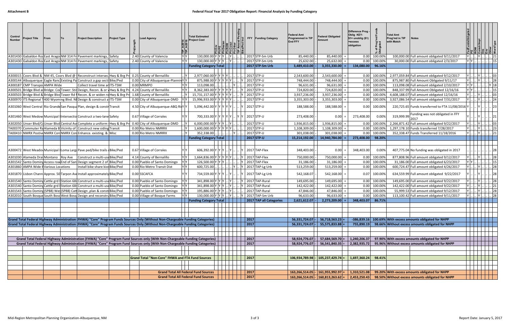| YY<br> Y        21  <br>A301430 Gabaldon Roa East Arago NM 314 Fre Pavement markings, Safety<br>130,000.00 Y Y Y  Y  . 2017 STP-Sm Urb<br>85,440.00<br>100.00%<br>100,000.00 Full amount obligated 9/11/2017<br>2.40 County of Valencia<br>85,440.00<br>0.00<br>YY<br>YY<br>A301430 Gabaldon Roa East Arago NM 314 Fr Pavement markings, Safety<br>130,000.00 Y Y Y<br>2017 STP-Sm Urb<br>30,000.00 Full amount obligated 2/3/2017<br>25,632.00<br>25,632.00<br>100.00%<br>2.40 County of Valencia<br>0.00<br>2017 STP-Sm Urb<br><b>Funding Category Total</b><br>3,355,330.00<br>134,080.00<br>96.16%<br>3,489,410.00<br>2,977,060.00 Y Y Y Y<br>2017 STP-U<br>2,543,600.00<br>2,543,600.00<br>2,977,059.84 Full amount obligated 9/12/2017<br>A300015 Coors Blvd & NM 45, Coors Blvd @ (Reconstruct intersect Hwy & Brg Pr 0.25 County of Bernalillo<br>0.00<br>100.00%<br>YY I<br>A300144 Albuquerque Eagle Ranc Existing Pa Construct a gap secti Bike/Ped<br>0.00 City of Albuquerque-Plann<br>748,444.00<br>875,987.80 Full Amount Obligated 9/11/17<br>875,988.00 Y Y Y<br>2017 STP-U<br>748,444.00<br>0.00<br>100.00%<br>YY<br>A300187 CMP Transpo AMPA Wide<br>2017 STP-U<br>96,631.00<br>113,098.08 Full amount obligated 2/10/2017<br>Collect travel time an ITS-TSM<br>0.00 MRMPO<br>113,098.00<br>96,631.00<br>0.00<br>100.00%<br>A300501 Bridge Blvd an Bridge: Cod Tower: Stin Design, Recon. & or Hwy & Brg Pri<br>2017 STP-U<br>0.00<br>4.24 County of Bernalillo<br>8,362,383.00<br>724,820.00<br>724,820.00<br>100.00%<br>848,337.99 Full Amount Obligated 12/16/16<br>3,937,236.00<br>100.00%<br>4,608,188.07 Full amount obligated 12/16/16<br>A300503 Bridge Blvd & Bridge Blvd Tower Rd f Recon. & or widen rd Hwy & Brg Pr<br>1.68 County of Bernalillo<br>15,731,157.00 Y Y Y Y Y Y<br>2017 STP-U<br>3,937,236.00<br>0.00<br>A300970   ITS Regional 1400 Wyoming Blvd. NEDesign & construct a ITS-TSM<br>0.00 City of Albuquerque-DMD<br>15,996,933.00 Y Y Y Y Y<br>2017 STP-U<br>3,355,303.00<br>0.00<br>100.00%<br>3,927,086.54 Full amount obligated 7/31/2017<br>3,355,303.00<br>5,096,442.00 Y Y Y Y Y Y<br>2017 STP-U<br>188,588.00<br>A301060 West Central Rio Grande San Pasqua Plan, design & constriTransit<br>4.50 City of Albuquerque-ABQ RilY<br>188,588.00<br>100.00%<br>220,725.65 Funds transferred to FTA 11/08/2016 Y<br>0.00<br>Funding was not obligated in FFY<br>319,999.99<br>0.00%<br>A301460 West Medow Municipal Intersectio Construct a two-lane Safety<br>0.67 Village of Corrales<br>700,333.00 Y Y Y<br>2017 STP-U<br>273,408.00<br>0.00<br>273,408.00<br>2017<br>A302050 Unser Blvd/C Unser Blvd Central Av Complete a uniform Hwy & Brg Pr<br>0.40 City of Albuquerque-DMD<br>6,000,000.00 Y Y Y<br>2017 STP-U<br>1,936,815.00<br>1,936,815.00<br>100.00<br>2,266,871.42 Full amount obligated 9/22/2017<br>0.00<br>TA00370 Commuter Ra Alameda B Vicinity of Construct new siding Transit<br>2017 STP-U<br>1,297,178.10 Funds transferred 7/28/2017<br>0.00 Rio Metro NMRRX<br>$1,600,000.00$ Y Y Y Y<br>1,108,309.00<br>1,108,309.00<br>0.00<br>100.009<br>TA00410 NMRX Postive NMRX CorrNMRX CorrEnhance. existing. & Misc<br>352,338.00<br>2017 STP-U<br>0.00<br>100.00%<br>0.00 Rio Metro NMRRX<br>301,038.00<br>301,038.00<br>352,338.47 Funds Transferred 11/18/2016<br>2017 STP-U<br>15,214,192.00<br>14,940,784.00<br>273,408.00<br>98.20%<br><b>Funding Category Total</b><br>0.00<br>348,403.00<br>0.00%<br>A300472 West Meadov Municipal ILoma LargaPave ped/bike trails dBike/Ped<br>0.67 Village of Corrales<br>606,392.00 Y Y Y<br>2017 TAP-Flex<br>348,403.00<br>407,775.04 No funding was obligated in 2017<br>4.14 County of Bernalillo<br>1,664,836.00 Y Y Y Y Y Y<br>2017 TAP-Flex<br>877,808.96 Full amount obligated 9/12/2017<br>A301030 Alameda Drai Montano Roy Ave<br>Construct a multi-use Bike/Ped<br>750,000.00<br>750,000.00<br>100.00%<br>0.00<br>2017 TAP-Flex<br>31,186.00 Full amount obligated 6/23/2017<br>A301542 Santo Doming Access road End of San Design segment 2 of Bike/Ped<br>0.00 Pueblo of Santo Domingo<br>126,500.00 Y Y Y<br>31,186.00<br>31,186.00<br>0.00<br>100.00%<br>Y Y I<br>600,725.00<br>2017 TAP-Lg Urb<br>513,259.00<br>513,259.00<br>600,724.47 Full amount obligated 4/26/2017<br>A301860 AMPA Wide EVarious Locations<br>Install bike share kios Bike/Ped<br>0.00<br>100.00%<br>0.00 Rio Metro Transit Dist<br>0.00 SSCAFCA<br>542,168.00<br>634,559.99 Full amount obligated 9/22/2017<br>A301870 Lisbon Chann Approx. 50 Tarpon Avelnstall approximately Bike/Ped<br>734,559.00<br>2017 TAP-Lg Urb<br>542,168.07<br>0.07<br>100.00%<br>149,695.00 Full amount obligated 9/22/2017<br>A301540 Santo Doming Cattle grd §Station 68- Construct a multi-use Bike/Ped<br>0.00 Pueblo of Santo Domingo<br>Y Y I<br>341,898.00 Y Y Y<br>$\therefore$ Y 2017 TAP-Rural<br>149,695.00<br>149,695.00<br>100.00%<br>0.00<br>142,422.00 Full amount obligated 9/22/2017<br>A301540 Santo Doming Cattle grd Station 68- Construct a multi-use Bike/Ped<br>341,898.00 Y Y Y<br>2017 TAP-Rural<br>142,422.00<br>100.00%<br>0.00 Pueblo of Santo Domingo<br>142,422.00<br>0.00<br>A301543 Santo Doming (SP88) Wes (SP88) Catt Design , plan & constr Bike/Ped<br>0.00 Pueblo of Santo Domingo<br>195,886.00 Y Y Y<br>2017 TAP-Rural<br>47,846.00<br>47,846.00<br>0.00<br>100.00%<br>55,999.53 Full amount obligated 9/12/2017<br>130,000.00 Y Y Y<br>2017 TAP-Sm Urb<br>A302010 South Bosque South Bosq West Bosq Design and reconstru Bike/Ped<br>0.00 Village of Bosque Farms<br>96,633.00<br>96,633.00<br>0.00<br>100.00%<br>113,100.42 Full amount obligated 9/11/2017<br>86.71%<br>2017 TAP all Categories<br>2,621,612.07<br>2,273,209.00<br>348,403.07<br><b>Funding Category Total</b><br>Grand Total Federal Highway Administration (FHWA) "Core" Program Funds Sources Only (Without Non-Chargeable Funding Categories)<br>2017<br>100.69% With excess amounts obligated for NHPP<br>56,331,724.07<br>$56,718,563.23$ =<br>$-386,839.16$<br>2017<br>Grand Total Federal Highway Administration (FHWA) "Core" Program Funds Sources Only (Without Non-Chargeable Funding Categories)<br>56,331,724.07<br>55,575,833.88<br>98.66% Without excess amounts obligated for NHPP<br>755,890.19<br>Grand Total Federal Highway Administration (FHWA) "Core" Program Fund Sources only (With Non-Chargeable Funding Categories)<br>$\begin{array}{ c c }\n\hline\n\end{array}$<br>57,684,569.70 =<br>97.90% With excess amounts obligated for NHPP<br>58,924,776.07<br>1,240,206.37<br>2017<br>Grand Total Federal Highway Administration (FHWA) "Core" Program Fund Sources only (With Non-Chargeable Funding Categories)<br>56,541,840.35<br>2,382,935.72<br>95.96% Without excess amounts obligated for NHPP<br>58,924,776.07<br><b>Grand Total "Non-Core" FHWA and FTA Fund Sources</b><br>2017<br> 105,237,429.74 <br>1,697,360.24<br>98.41%<br>106,934,789.98<br><b>Grand Total All Federal Fund Sources</b><br>2017<br> 161,955,992.97 <br>1,310,521.08<br>99.20% With excess amounts obligated for NHPP<br>163,266,514.05<br>98.50% Without excess amounts obligated for NHPP<br><b>Grand Total All Federal Fund Sources</b><br>2017<br>163,266,514.05 -<br>$\vert$ 160,813,263.62 =<br> 2,453,250.43 | Control<br><b>Number</b> | Project Title | From | lTo l | <b>Project Description</b> | <b>Project Type</b> | ead Agency. | <b>Total Estimated</b><br>Project Cost |  | $\frac{p}{E}$ | FFY Funding Category | Federal Amt<br>Programmed in TIP<br><b>End FFY</b> | Federal Obligated<br>Amount | Difference Prog -<br><b>Oblig KEY:</b><br>$$1=$ unoblig $($1)$<br>=excess<br>obligation | of Prog'<br>bligated | <b>Total Amt</b><br>Prog'md in TIP<br>with Match | <b>Notes</b> |  |            |
|--------------------------------------------------------------------------------------------------------------------------------------------------------------------------------------------------------------------------------------------------------------------------------------------------------------------------------------------------------------------------------------------------------------------------------------------------------------------------------------------------------------------------------------------------------------------------------------------------------------------------------------------------------------------------------------------------------------------------------------------------------------------------------------------------------------------------------------------------------------------------------------------------------------------------------------------------------------------------------------------------------------------------------------------------------------------------------------------------------------------------------------------------------------------------------------------------------------------------------------------------------------------------------------------------------------------------------------------------------------------------------------------------------------------------------------------------------------------------------------------------------------------------------------------------------------------------------------------------------------------------------------------------------------------------------------------------------------------------------------------------------------------------------------------------------------------------------------------------------------------------------------------------------------------------------------------------------------------------------------------------------------------------------------------------------------------------------------------------------------------------------------------------------------------------------------------------------------------------------------------------------------------------------------------------------------------------------------------------------------------------------------------------------------------------------------------------------------------------------------------------------------------------------------------------------------------------------------------------------------------------------------------------------------------------------------------------------------------------------------------------------------------------------------------------------------------------------------------------------------------------------------------------------------------------------------------------------------------------------------------------------------------------------------------------------------------------------------------------------------------------------------------------------------------------------------------------------------------------------------------------------------------------------------------------------------------------------------------------------------------------------------------------------------------------------------------------------------------------------------------------------------------------------------------------------------------------------------------------------------------------------------------------------------------------------------------------------------------------------------------------------------------------------------------------------------------------------------------------------------------------------------------------------------------------------------------------------------------------------------------------------------------------------------------------------------------------------------------------------------------------------------------------------------------------------------------------------------------------------------------------------------------------------------------------------------------------------------------------------------------------------------------------------------------------------------------------------------------------------------------------------------------------------------------------------------------------------------------------------------------------------------------------------------------------------------------------------------------------------------------------------------------------------------------------------------------------------------------------------------------------------------------------------------------------------------------------------------------------------------------------------------------------------------------------------------------------------------------------------------------------------------------------------------------------------------------------------------------------------------------------------------------------------------------------------------------------------------------------------------------------------------------------------------------------------------------------------------------------------------------------------------------------------------------------------------------------------------------------------------------------------------------------------------------------------------------------------------------------------------------------------------------------------------------------------------------------------------------------------------------------------------------------------------------------------------------------------------------------------------------------------------------------------------------------------------------------------------------------------------------------------------------------------------------------------------------------------------------------------------------------------------------------------------------------------------------------------------------------------------------------------------------------------------------------------------------------------------------------------------------------------------------------------------------------------------------------------------------------------------------------------------------------------------------------------------------------------------------------------------------------------------------------------------------------------------------------------------------------------------------------------------------------------------------------------------------------------------------------------------------------------------------------------------------------------------------------------------------------------------------------------------------------------------------------------------------------------------------------------------------------------------------------------------------------------------------------|--------------------------|---------------|------|-------|----------------------------|---------------------|-------------|----------------------------------------|--|---------------|----------------------|----------------------------------------------------|-----------------------------|-----------------------------------------------------------------------------------------|----------------------|--------------------------------------------------|--------------|--|------------|
|                                                                                                                                                                                                                                                                                                                                                                                                                                                                                                                                                                                                                                                                                                                                                                                                                                                                                                                                                                                                                                                                                                                                                                                                                                                                                                                                                                                                                                                                                                                                                                                                                                                                                                                                                                                                                                                                                                                                                                                                                                                                                                                                                                                                                                                                                                                                                                                                                                                                                                                                                                                                                                                                                                                                                                                                                                                                                                                                                                                                                                                                                                                                                                                                                                                                                                                                                                                                                                                                                                                                                                                                                                                                                                                                                                                                                                                                                                                                                                                                                                                                                                                                                                                                                                                                                                                                                                                                                                                                                                                                                                                                                                                                                                                                                                                                                                                                                                                                                                                                                                                                                                                                                                                                                                                                                                                                                                                                                                                                                                                                                                                                                                                                                                                                                                                                                                                                                                                                                                                                                                                                                                                                                                                                                                                                                                                                                                                                                                                                                                                                                                                                                                                                                                                                                                                                                                                                                                                                                                                                                                                                                                                                                                                                                                                                                                                          |                          |               |      |       |                            |                     |             |                                        |  |               |                      |                                                    |                             |                                                                                         |                      |                                                  |              |  |            |
|                                                                                                                                                                                                                                                                                                                                                                                                                                                                                                                                                                                                                                                                                                                                                                                                                                                                                                                                                                                                                                                                                                                                                                                                                                                                                                                                                                                                                                                                                                                                                                                                                                                                                                                                                                                                                                                                                                                                                                                                                                                                                                                                                                                                                                                                                                                                                                                                                                                                                                                                                                                                                                                                                                                                                                                                                                                                                                                                                                                                                                                                                                                                                                                                                                                                                                                                                                                                                                                                                                                                                                                                                                                                                                                                                                                                                                                                                                                                                                                                                                                                                                                                                                                                                                                                                                                                                                                                                                                                                                                                                                                                                                                                                                                                                                                                                                                                                                                                                                                                                                                                                                                                                                                                                                                                                                                                                                                                                                                                                                                                                                                                                                                                                                                                                                                                                                                                                                                                                                                                                                                                                                                                                                                                                                                                                                                                                                                                                                                                                                                                                                                                                                                                                                                                                                                                                                                                                                                                                                                                                                                                                                                                                                                                                                                                                                                          |                          |               |      |       |                            |                     |             |                                        |  |               |                      |                                                    |                             |                                                                                         |                      |                                                  |              |  | 15         |
|                                                                                                                                                                                                                                                                                                                                                                                                                                                                                                                                                                                                                                                                                                                                                                                                                                                                                                                                                                                                                                                                                                                                                                                                                                                                                                                                                                                                                                                                                                                                                                                                                                                                                                                                                                                                                                                                                                                                                                                                                                                                                                                                                                                                                                                                                                                                                                                                                                                                                                                                                                                                                                                                                                                                                                                                                                                                                                                                                                                                                                                                                                                                                                                                                                                                                                                                                                                                                                                                                                                                                                                                                                                                                                                                                                                                                                                                                                                                                                                                                                                                                                                                                                                                                                                                                                                                                                                                                                                                                                                                                                                                                                                                                                                                                                                                                                                                                                                                                                                                                                                                                                                                                                                                                                                                                                                                                                                                                                                                                                                                                                                                                                                                                                                                                                                                                                                                                                                                                                                                                                                                                                                                                                                                                                                                                                                                                                                                                                                                                                                                                                                                                                                                                                                                                                                                                                                                                                                                                                                                                                                                                                                                                                                                                                                                                                                          |                          |               |      |       |                            |                     |             |                                        |  |               |                      |                                                    |                             |                                                                                         |                      |                                                  |              |  |            |
|                                                                                                                                                                                                                                                                                                                                                                                                                                                                                                                                                                                                                                                                                                                                                                                                                                                                                                                                                                                                                                                                                                                                                                                                                                                                                                                                                                                                                                                                                                                                                                                                                                                                                                                                                                                                                                                                                                                                                                                                                                                                                                                                                                                                                                                                                                                                                                                                                                                                                                                                                                                                                                                                                                                                                                                                                                                                                                                                                                                                                                                                                                                                                                                                                                                                                                                                                                                                                                                                                                                                                                                                                                                                                                                                                                                                                                                                                                                                                                                                                                                                                                                                                                                                                                                                                                                                                                                                                                                                                                                                                                                                                                                                                                                                                                                                                                                                                                                                                                                                                                                                                                                                                                                                                                                                                                                                                                                                                                                                                                                                                                                                                                                                                                                                                                                                                                                                                                                                                                                                                                                                                                                                                                                                                                                                                                                                                                                                                                                                                                                                                                                                                                                                                                                                                                                                                                                                                                                                                                                                                                                                                                                                                                                                                                                                                                                          |                          |               |      |       |                            |                     |             |                                        |  |               |                      |                                                    |                             |                                                                                         |                      |                                                  |              |  |            |
|                                                                                                                                                                                                                                                                                                                                                                                                                                                                                                                                                                                                                                                                                                                                                                                                                                                                                                                                                                                                                                                                                                                                                                                                                                                                                                                                                                                                                                                                                                                                                                                                                                                                                                                                                                                                                                                                                                                                                                                                                                                                                                                                                                                                                                                                                                                                                                                                                                                                                                                                                                                                                                                                                                                                                                                                                                                                                                                                                                                                                                                                                                                                                                                                                                                                                                                                                                                                                                                                                                                                                                                                                                                                                                                                                                                                                                                                                                                                                                                                                                                                                                                                                                                                                                                                                                                                                                                                                                                                                                                                                                                                                                                                                                                                                                                                                                                                                                                                                                                                                                                                                                                                                                                                                                                                                                                                                                                                                                                                                                                                                                                                                                                                                                                                                                                                                                                                                                                                                                                                                                                                                                                                                                                                                                                                                                                                                                                                                                                                                                                                                                                                                                                                                                                                                                                                                                                                                                                                                                                                                                                                                                                                                                                                                                                                                                                          |                          |               |      |       |                            |                     |             |                                        |  |               |                      |                                                    |                             |                                                                                         |                      |                                                  |              |  |            |
|                                                                                                                                                                                                                                                                                                                                                                                                                                                                                                                                                                                                                                                                                                                                                                                                                                                                                                                                                                                                                                                                                                                                                                                                                                                                                                                                                                                                                                                                                                                                                                                                                                                                                                                                                                                                                                                                                                                                                                                                                                                                                                                                                                                                                                                                                                                                                                                                                                                                                                                                                                                                                                                                                                                                                                                                                                                                                                                                                                                                                                                                                                                                                                                                                                                                                                                                                                                                                                                                                                                                                                                                                                                                                                                                                                                                                                                                                                                                                                                                                                                                                                                                                                                                                                                                                                                                                                                                                                                                                                                                                                                                                                                                                                                                                                                                                                                                                                                                                                                                                                                                                                                                                                                                                                                                                                                                                                                                                                                                                                                                                                                                                                                                                                                                                                                                                                                                                                                                                                                                                                                                                                                                                                                                                                                                                                                                                                                                                                                                                                                                                                                                                                                                                                                                                                                                                                                                                                                                                                                                                                                                                                                                                                                                                                                                                                                          |                          |               |      |       |                            |                     |             |                                        |  |               |                      |                                                    |                             |                                                                                         |                      |                                                  |              |  |            |
|                                                                                                                                                                                                                                                                                                                                                                                                                                                                                                                                                                                                                                                                                                                                                                                                                                                                                                                                                                                                                                                                                                                                                                                                                                                                                                                                                                                                                                                                                                                                                                                                                                                                                                                                                                                                                                                                                                                                                                                                                                                                                                                                                                                                                                                                                                                                                                                                                                                                                                                                                                                                                                                                                                                                                                                                                                                                                                                                                                                                                                                                                                                                                                                                                                                                                                                                                                                                                                                                                                                                                                                                                                                                                                                                                                                                                                                                                                                                                                                                                                                                                                                                                                                                                                                                                                                                                                                                                                                                                                                                                                                                                                                                                                                                                                                                                                                                                                                                                                                                                                                                                                                                                                                                                                                                                                                                                                                                                                                                                                                                                                                                                                                                                                                                                                                                                                                                                                                                                                                                                                                                                                                                                                                                                                                                                                                                                                                                                                                                                                                                                                                                                                                                                                                                                                                                                                                                                                                                                                                                                                                                                                                                                                                                                                                                                                                          |                          |               |      |       |                            |                     |             |                                        |  |               |                      |                                                    |                             |                                                                                         |                      |                                                  |              |  |            |
|                                                                                                                                                                                                                                                                                                                                                                                                                                                                                                                                                                                                                                                                                                                                                                                                                                                                                                                                                                                                                                                                                                                                                                                                                                                                                                                                                                                                                                                                                                                                                                                                                                                                                                                                                                                                                                                                                                                                                                                                                                                                                                                                                                                                                                                                                                                                                                                                                                                                                                                                                                                                                                                                                                                                                                                                                                                                                                                                                                                                                                                                                                                                                                                                                                                                                                                                                                                                                                                                                                                                                                                                                                                                                                                                                                                                                                                                                                                                                                                                                                                                                                                                                                                                                                                                                                                                                                                                                                                                                                                                                                                                                                                                                                                                                                                                                                                                                                                                                                                                                                                                                                                                                                                                                                                                                                                                                                                                                                                                                                                                                                                                                                                                                                                                                                                                                                                                                                                                                                                                                                                                                                                                                                                                                                                                                                                                                                                                                                                                                                                                                                                                                                                                                                                                                                                                                                                                                                                                                                                                                                                                                                                                                                                                                                                                                                                          |                          |               |      |       |                            |                     |             |                                        |  |               |                      |                                                    |                             |                                                                                         |                      |                                                  |              |  |            |
|                                                                                                                                                                                                                                                                                                                                                                                                                                                                                                                                                                                                                                                                                                                                                                                                                                                                                                                                                                                                                                                                                                                                                                                                                                                                                                                                                                                                                                                                                                                                                                                                                                                                                                                                                                                                                                                                                                                                                                                                                                                                                                                                                                                                                                                                                                                                                                                                                                                                                                                                                                                                                                                                                                                                                                                                                                                                                                                                                                                                                                                                                                                                                                                                                                                                                                                                                                                                                                                                                                                                                                                                                                                                                                                                                                                                                                                                                                                                                                                                                                                                                                                                                                                                                                                                                                                                                                                                                                                                                                                                                                                                                                                                                                                                                                                                                                                                                                                                                                                                                                                                                                                                                                                                                                                                                                                                                                                                                                                                                                                                                                                                                                                                                                                                                                                                                                                                                                                                                                                                                                                                                                                                                                                                                                                                                                                                                                                                                                                                                                                                                                                                                                                                                                                                                                                                                                                                                                                                                                                                                                                                                                                                                                                                                                                                                                                          |                          |               |      |       |                            |                     |             |                                        |  |               |                      |                                                    |                             |                                                                                         |                      |                                                  |              |  |            |
|                                                                                                                                                                                                                                                                                                                                                                                                                                                                                                                                                                                                                                                                                                                                                                                                                                                                                                                                                                                                                                                                                                                                                                                                                                                                                                                                                                                                                                                                                                                                                                                                                                                                                                                                                                                                                                                                                                                                                                                                                                                                                                                                                                                                                                                                                                                                                                                                                                                                                                                                                                                                                                                                                                                                                                                                                                                                                                                                                                                                                                                                                                                                                                                                                                                                                                                                                                                                                                                                                                                                                                                                                                                                                                                                                                                                                                                                                                                                                                                                                                                                                                                                                                                                                                                                                                                                                                                                                                                                                                                                                                                                                                                                                                                                                                                                                                                                                                                                                                                                                                                                                                                                                                                                                                                                                                                                                                                                                                                                                                                                                                                                                                                                                                                                                                                                                                                                                                                                                                                                                                                                                                                                                                                                                                                                                                                                                                                                                                                                                                                                                                                                                                                                                                                                                                                                                                                                                                                                                                                                                                                                                                                                                                                                                                                                                                                          |                          |               |      |       |                            |                     |             |                                        |  |               |                      |                                                    |                             |                                                                                         |                      |                                                  |              |  | . 24       |
|                                                                                                                                                                                                                                                                                                                                                                                                                                                                                                                                                                                                                                                                                                                                                                                                                                                                                                                                                                                                                                                                                                                                                                                                                                                                                                                                                                                                                                                                                                                                                                                                                                                                                                                                                                                                                                                                                                                                                                                                                                                                                                                                                                                                                                                                                                                                                                                                                                                                                                                                                                                                                                                                                                                                                                                                                                                                                                                                                                                                                                                                                                                                                                                                                                                                                                                                                                                                                                                                                                                                                                                                                                                                                                                                                                                                                                                                                                                                                                                                                                                                                                                                                                                                                                                                                                                                                                                                                                                                                                                                                                                                                                                                                                                                                                                                                                                                                                                                                                                                                                                                                                                                                                                                                                                                                                                                                                                                                                                                                                                                                                                                                                                                                                                                                                                                                                                                                                                                                                                                                                                                                                                                                                                                                                                                                                                                                                                                                                                                                                                                                                                                                                                                                                                                                                                                                                                                                                                                                                                                                                                                                                                                                                                                                                                                                                                          |                          |               |      |       |                            |                     |             |                                        |  |               |                      |                                                    |                             |                                                                                         |                      |                                                  |              |  | 23         |
|                                                                                                                                                                                                                                                                                                                                                                                                                                                                                                                                                                                                                                                                                                                                                                                                                                                                                                                                                                                                                                                                                                                                                                                                                                                                                                                                                                                                                                                                                                                                                                                                                                                                                                                                                                                                                                                                                                                                                                                                                                                                                                                                                                                                                                                                                                                                                                                                                                                                                                                                                                                                                                                                                                                                                                                                                                                                                                                                                                                                                                                                                                                                                                                                                                                                                                                                                                                                                                                                                                                                                                                                                                                                                                                                                                                                                                                                                                                                                                                                                                                                                                                                                                                                                                                                                                                                                                                                                                                                                                                                                                                                                                                                                                                                                                                                                                                                                                                                                                                                                                                                                                                                                                                                                                                                                                                                                                                                                                                                                                                                                                                                                                                                                                                                                                                                                                                                                                                                                                                                                                                                                                                                                                                                                                                                                                                                                                                                                                                                                                                                                                                                                                                                                                                                                                                                                                                                                                                                                                                                                                                                                                                                                                                                                                                                                                                          |                          |               |      |       |                            |                     |             |                                        |  |               |                      |                                                    |                             |                                                                                         |                      |                                                  |              |  |            |
|                                                                                                                                                                                                                                                                                                                                                                                                                                                                                                                                                                                                                                                                                                                                                                                                                                                                                                                                                                                                                                                                                                                                                                                                                                                                                                                                                                                                                                                                                                                                                                                                                                                                                                                                                                                                                                                                                                                                                                                                                                                                                                                                                                                                                                                                                                                                                                                                                                                                                                                                                                                                                                                                                                                                                                                                                                                                                                                                                                                                                                                                                                                                                                                                                                                                                                                                                                                                                                                                                                                                                                                                                                                                                                                                                                                                                                                                                                                                                                                                                                                                                                                                                                                                                                                                                                                                                                                                                                                                                                                                                                                                                                                                                                                                                                                                                                                                                                                                                                                                                                                                                                                                                                                                                                                                                                                                                                                                                                                                                                                                                                                                                                                                                                                                                                                                                                                                                                                                                                                                                                                                                                                                                                                                                                                                                                                                                                                                                                                                                                                                                                                                                                                                                                                                                                                                                                                                                                                                                                                                                                                                                                                                                                                                                                                                                                                          |                          |               |      |       |                            |                     |             |                                        |  |               |                      |                                                    |                             |                                                                                         |                      |                                                  |              |  | 03         |
|                                                                                                                                                                                                                                                                                                                                                                                                                                                                                                                                                                                                                                                                                                                                                                                                                                                                                                                                                                                                                                                                                                                                                                                                                                                                                                                                                                                                                                                                                                                                                                                                                                                                                                                                                                                                                                                                                                                                                                                                                                                                                                                                                                                                                                                                                                                                                                                                                                                                                                                                                                                                                                                                                                                                                                                                                                                                                                                                                                                                                                                                                                                                                                                                                                                                                                                                                                                                                                                                                                                                                                                                                                                                                                                                                                                                                                                                                                                                                                                                                                                                                                                                                                                                                                                                                                                                                                                                                                                                                                                                                                                                                                                                                                                                                                                                                                                                                                                                                                                                                                                                                                                                                                                                                                                                                                                                                                                                                                                                                                                                                                                                                                                                                                                                                                                                                                                                                                                                                                                                                                                                                                                                                                                                                                                                                                                                                                                                                                                                                                                                                                                                                                                                                                                                                                                                                                                                                                                                                                                                                                                                                                                                                                                                                                                                                                                          |                          |               |      |       |                            |                     |             |                                        |  |               |                      |                                                    |                             |                                                                                         |                      |                                                  |              |  | 23         |
|                                                                                                                                                                                                                                                                                                                                                                                                                                                                                                                                                                                                                                                                                                                                                                                                                                                                                                                                                                                                                                                                                                                                                                                                                                                                                                                                                                                                                                                                                                                                                                                                                                                                                                                                                                                                                                                                                                                                                                                                                                                                                                                                                                                                                                                                                                                                                                                                                                                                                                                                                                                                                                                                                                                                                                                                                                                                                                                                                                                                                                                                                                                                                                                                                                                                                                                                                                                                                                                                                                                                                                                                                                                                                                                                                                                                                                                                                                                                                                                                                                                                                                                                                                                                                                                                                                                                                                                                                                                                                                                                                                                                                                                                                                                                                                                                                                                                                                                                                                                                                                                                                                                                                                                                                                                                                                                                                                                                                                                                                                                                                                                                                                                                                                                                                                                                                                                                                                                                                                                                                                                                                                                                                                                                                                                                                                                                                                                                                                                                                                                                                                                                                                                                                                                                                                                                                                                                                                                                                                                                                                                                                                                                                                                                                                                                                                                          |                          |               |      |       |                            |                     |             |                                        |  |               |                      |                                                    |                             |                                                                                         |                      |                                                  |              |  | 21         |
|                                                                                                                                                                                                                                                                                                                                                                                                                                                                                                                                                                                                                                                                                                                                                                                                                                                                                                                                                                                                                                                                                                                                                                                                                                                                                                                                                                                                                                                                                                                                                                                                                                                                                                                                                                                                                                                                                                                                                                                                                                                                                                                                                                                                                                                                                                                                                                                                                                                                                                                                                                                                                                                                                                                                                                                                                                                                                                                                                                                                                                                                                                                                                                                                                                                                                                                                                                                                                                                                                                                                                                                                                                                                                                                                                                                                                                                                                                                                                                                                                                                                                                                                                                                                                                                                                                                                                                                                                                                                                                                                                                                                                                                                                                                                                                                                                                                                                                                                                                                                                                                                                                                                                                                                                                                                                                                                                                                                                                                                                                                                                                                                                                                                                                                                                                                                                                                                                                                                                                                                                                                                                                                                                                                                                                                                                                                                                                                                                                                                                                                                                                                                                                                                                                                                                                                                                                                                                                                                                                                                                                                                                                                                                                                                                                                                                                                          |                          |               |      |       |                            |                     |             |                                        |  |               |                      |                                                    |                             |                                                                                         |                      |                                                  |              |  |            |
|                                                                                                                                                                                                                                                                                                                                                                                                                                                                                                                                                                                                                                                                                                                                                                                                                                                                                                                                                                                                                                                                                                                                                                                                                                                                                                                                                                                                                                                                                                                                                                                                                                                                                                                                                                                                                                                                                                                                                                                                                                                                                                                                                                                                                                                                                                                                                                                                                                                                                                                                                                                                                                                                                                                                                                                                                                                                                                                                                                                                                                                                                                                                                                                                                                                                                                                                                                                                                                                                                                                                                                                                                                                                                                                                                                                                                                                                                                                                                                                                                                                                                                                                                                                                                                                                                                                                                                                                                                                                                                                                                                                                                                                                                                                                                                                                                                                                                                                                                                                                                                                                                                                                                                                                                                                                                                                                                                                                                                                                                                                                                                                                                                                                                                                                                                                                                                                                                                                                                                                                                                                                                                                                                                                                                                                                                                                                                                                                                                                                                                                                                                                                                                                                                                                                                                                                                                                                                                                                                                                                                                                                                                                                                                                                                                                                                                                          |                          |               |      |       |                            |                     |             |                                        |  |               |                      |                                                    |                             |                                                                                         |                      |                                                  |              |  |            |
|                                                                                                                                                                                                                                                                                                                                                                                                                                                                                                                                                                                                                                                                                                                                                                                                                                                                                                                                                                                                                                                                                                                                                                                                                                                                                                                                                                                                                                                                                                                                                                                                                                                                                                                                                                                                                                                                                                                                                                                                                                                                                                                                                                                                                                                                                                                                                                                                                                                                                                                                                                                                                                                                                                                                                                                                                                                                                                                                                                                                                                                                                                                                                                                                                                                                                                                                                                                                                                                                                                                                                                                                                                                                                                                                                                                                                                                                                                                                                                                                                                                                                                                                                                                                                                                                                                                                                                                                                                                                                                                                                                                                                                                                                                                                                                                                                                                                                                                                                                                                                                                                                                                                                                                                                                                                                                                                                                                                                                                                                                                                                                                                                                                                                                                                                                                                                                                                                                                                                                                                                                                                                                                                                                                                                                                                                                                                                                                                                                                                                                                                                                                                                                                                                                                                                                                                                                                                                                                                                                                                                                                                                                                                                                                                                                                                                                                          |                          |               |      |       |                            |                     |             |                                        |  |               |                      |                                                    |                             |                                                                                         |                      |                                                  |              |  |            |
|                                                                                                                                                                                                                                                                                                                                                                                                                                                                                                                                                                                                                                                                                                                                                                                                                                                                                                                                                                                                                                                                                                                                                                                                                                                                                                                                                                                                                                                                                                                                                                                                                                                                                                                                                                                                                                                                                                                                                                                                                                                                                                                                                                                                                                                                                                                                                                                                                                                                                                                                                                                                                                                                                                                                                                                                                                                                                                                                                                                                                                                                                                                                                                                                                                                                                                                                                                                                                                                                                                                                                                                                                                                                                                                                                                                                                                                                                                                                                                                                                                                                                                                                                                                                                                                                                                                                                                                                                                                                                                                                                                                                                                                                                                                                                                                                                                                                                                                                                                                                                                                                                                                                                                                                                                                                                                                                                                                                                                                                                                                                                                                                                                                                                                                                                                                                                                                                                                                                                                                                                                                                                                                                                                                                                                                                                                                                                                                                                                                                                                                                                                                                                                                                                                                                                                                                                                                                                                                                                                                                                                                                                                                                                                                                                                                                                                                          |                          |               |      |       |                            |                     |             |                                        |  |               |                      |                                                    |                             |                                                                                         |                      |                                                  |              |  | $\cdot$ 28 |
|                                                                                                                                                                                                                                                                                                                                                                                                                                                                                                                                                                                                                                                                                                                                                                                                                                                                                                                                                                                                                                                                                                                                                                                                                                                                                                                                                                                                                                                                                                                                                                                                                                                                                                                                                                                                                                                                                                                                                                                                                                                                                                                                                                                                                                                                                                                                                                                                                                                                                                                                                                                                                                                                                                                                                                                                                                                                                                                                                                                                                                                                                                                                                                                                                                                                                                                                                                                                                                                                                                                                                                                                                                                                                                                                                                                                                                                                                                                                                                                                                                                                                                                                                                                                                                                                                                                                                                                                                                                                                                                                                                                                                                                                                                                                                                                                                                                                                                                                                                                                                                                                                                                                                                                                                                                                                                                                                                                                                                                                                                                                                                                                                                                                                                                                                                                                                                                                                                                                                                                                                                                                                                                                                                                                                                                                                                                                                                                                                                                                                                                                                                                                                                                                                                                                                                                                                                                                                                                                                                                                                                                                                                                                                                                                                                                                                                                          |                          |               |      |       |                            |                     |             |                                        |  |               |                      |                                                    |                             |                                                                                         |                      |                                                  |              |  | 15         |
|                                                                                                                                                                                                                                                                                                                                                                                                                                                                                                                                                                                                                                                                                                                                                                                                                                                                                                                                                                                                                                                                                                                                                                                                                                                                                                                                                                                                                                                                                                                                                                                                                                                                                                                                                                                                                                                                                                                                                                                                                                                                                                                                                                                                                                                                                                                                                                                                                                                                                                                                                                                                                                                                                                                                                                                                                                                                                                                                                                                                                                                                                                                                                                                                                                                                                                                                                                                                                                                                                                                                                                                                                                                                                                                                                                                                                                                                                                                                                                                                                                                                                                                                                                                                                                                                                                                                                                                                                                                                                                                                                                                                                                                                                                                                                                                                                                                                                                                                                                                                                                                                                                                                                                                                                                                                                                                                                                                                                                                                                                                                                                                                                                                                                                                                                                                                                                                                                                                                                                                                                                                                                                                                                                                                                                                                                                                                                                                                                                                                                                                                                                                                                                                                                                                                                                                                                                                                                                                                                                                                                                                                                                                                                                                                                                                                                                                          |                          |               |      |       |                            |                     |             |                                        |  |               |                      |                                                    |                             |                                                                                         |                      |                                                  |              |  | 28         |
|                                                                                                                                                                                                                                                                                                                                                                                                                                                                                                                                                                                                                                                                                                                                                                                                                                                                                                                                                                                                                                                                                                                                                                                                                                                                                                                                                                                                                                                                                                                                                                                                                                                                                                                                                                                                                                                                                                                                                                                                                                                                                                                                                                                                                                                                                                                                                                                                                                                                                                                                                                                                                                                                                                                                                                                                                                                                                                                                                                                                                                                                                                                                                                                                                                                                                                                                                                                                                                                                                                                                                                                                                                                                                                                                                                                                                                                                                                                                                                                                                                                                                                                                                                                                                                                                                                                                                                                                                                                                                                                                                                                                                                                                                                                                                                                                                                                                                                                                                                                                                                                                                                                                                                                                                                                                                                                                                                                                                                                                                                                                                                                                                                                                                                                                                                                                                                                                                                                                                                                                                                                                                                                                                                                                                                                                                                                                                                                                                                                                                                                                                                                                                                                                                                                                                                                                                                                                                                                                                                                                                                                                                                                                                                                                                                                                                                                          |                          |               |      |       |                            |                     |             |                                        |  |               |                      |                                                    |                             |                                                                                         |                      |                                                  |              |  |            |
|                                                                                                                                                                                                                                                                                                                                                                                                                                                                                                                                                                                                                                                                                                                                                                                                                                                                                                                                                                                                                                                                                                                                                                                                                                                                                                                                                                                                                                                                                                                                                                                                                                                                                                                                                                                                                                                                                                                                                                                                                                                                                                                                                                                                                                                                                                                                                                                                                                                                                                                                                                                                                                                                                                                                                                                                                                                                                                                                                                                                                                                                                                                                                                                                                                                                                                                                                                                                                                                                                                                                                                                                                                                                                                                                                                                                                                                                                                                                                                                                                                                                                                                                                                                                                                                                                                                                                                                                                                                                                                                                                                                                                                                                                                                                                                                                                                                                                                                                                                                                                                                                                                                                                                                                                                                                                                                                                                                                                                                                                                                                                                                                                                                                                                                                                                                                                                                                                                                                                                                                                                                                                                                                                                                                                                                                                                                                                                                                                                                                                                                                                                                                                                                                                                                                                                                                                                                                                                                                                                                                                                                                                                                                                                                                                                                                                                                          |                          |               |      |       |                            |                     |             |                                        |  |               |                      |                                                    |                             |                                                                                         |                      |                                                  |              |  | 28         |
|                                                                                                                                                                                                                                                                                                                                                                                                                                                                                                                                                                                                                                                                                                                                                                                                                                                                                                                                                                                                                                                                                                                                                                                                                                                                                                                                                                                                                                                                                                                                                                                                                                                                                                                                                                                                                                                                                                                                                                                                                                                                                                                                                                                                                                                                                                                                                                                                                                                                                                                                                                                                                                                                                                                                                                                                                                                                                                                                                                                                                                                                                                                                                                                                                                                                                                                                                                                                                                                                                                                                                                                                                                                                                                                                                                                                                                                                                                                                                                                                                                                                                                                                                                                                                                                                                                                                                                                                                                                                                                                                                                                                                                                                                                                                                                                                                                                                                                                                                                                                                                                                                                                                                                                                                                                                                                                                                                                                                                                                                                                                                                                                                                                                                                                                                                                                                                                                                                                                                                                                                                                                                                                                                                                                                                                                                                                                                                                                                                                                                                                                                                                                                                                                                                                                                                                                                                                                                                                                                                                                                                                                                                                                                                                                                                                                                                                          |                          |               |      |       |                            |                     |             |                                        |  |               |                      |                                                    |                             |                                                                                         |                      |                                                  |              |  | 21         |
|                                                                                                                                                                                                                                                                                                                                                                                                                                                                                                                                                                                                                                                                                                                                                                                                                                                                                                                                                                                                                                                                                                                                                                                                                                                                                                                                                                                                                                                                                                                                                                                                                                                                                                                                                                                                                                                                                                                                                                                                                                                                                                                                                                                                                                                                                                                                                                                                                                                                                                                                                                                                                                                                                                                                                                                                                                                                                                                                                                                                                                                                                                                                                                                                                                                                                                                                                                                                                                                                                                                                                                                                                                                                                                                                                                                                                                                                                                                                                                                                                                                                                                                                                                                                                                                                                                                                                                                                                                                                                                                                                                                                                                                                                                                                                                                                                                                                                                                                                                                                                                                                                                                                                                                                                                                                                                                                                                                                                                                                                                                                                                                                                                                                                                                                                                                                                                                                                                                                                                                                                                                                                                                                                                                                                                                                                                                                                                                                                                                                                                                                                                                                                                                                                                                                                                                                                                                                                                                                                                                                                                                                                                                                                                                                                                                                                                                          |                          |               |      |       |                            |                     |             |                                        |  |               |                      |                                                    |                             |                                                                                         |                      |                                                  |              |  | 28         |
|                                                                                                                                                                                                                                                                                                                                                                                                                                                                                                                                                                                                                                                                                                                                                                                                                                                                                                                                                                                                                                                                                                                                                                                                                                                                                                                                                                                                                                                                                                                                                                                                                                                                                                                                                                                                                                                                                                                                                                                                                                                                                                                                                                                                                                                                                                                                                                                                                                                                                                                                                                                                                                                                                                                                                                                                                                                                                                                                                                                                                                                                                                                                                                                                                                                                                                                                                                                                                                                                                                                                                                                                                                                                                                                                                                                                                                                                                                                                                                                                                                                                                                                                                                                                                                                                                                                                                                                                                                                                                                                                                                                                                                                                                                                                                                                                                                                                                                                                                                                                                                                                                                                                                                                                                                                                                                                                                                                                                                                                                                                                                                                                                                                                                                                                                                                                                                                                                                                                                                                                                                                                                                                                                                                                                                                                                                                                                                                                                                                                                                                                                                                                                                                                                                                                                                                                                                                                                                                                                                                                                                                                                                                                                                                                                                                                                                                          |                          |               |      |       |                            |                     |             |                                        |  |               |                      |                                                    |                             |                                                                                         |                      |                                                  |              |  | 28         |
|                                                                                                                                                                                                                                                                                                                                                                                                                                                                                                                                                                                                                                                                                                                                                                                                                                                                                                                                                                                                                                                                                                                                                                                                                                                                                                                                                                                                                                                                                                                                                                                                                                                                                                                                                                                                                                                                                                                                                                                                                                                                                                                                                                                                                                                                                                                                                                                                                                                                                                                                                                                                                                                                                                                                                                                                                                                                                                                                                                                                                                                                                                                                                                                                                                                                                                                                                                                                                                                                                                                                                                                                                                                                                                                                                                                                                                                                                                                                                                                                                                                                                                                                                                                                                                                                                                                                                                                                                                                                                                                                                                                                                                                                                                                                                                                                                                                                                                                                                                                                                                                                                                                                                                                                                                                                                                                                                                                                                                                                                                                                                                                                                                                                                                                                                                                                                                                                                                                                                                                                                                                                                                                                                                                                                                                                                                                                                                                                                                                                                                                                                                                                                                                                                                                                                                                                                                                                                                                                                                                                                                                                                                                                                                                                                                                                                                                          |                          |               |      |       |                            |                     |             |                                        |  |               |                      |                                                    |                             |                                                                                         |                      |                                                  |              |  |            |
|                                                                                                                                                                                                                                                                                                                                                                                                                                                                                                                                                                                                                                                                                                                                                                                                                                                                                                                                                                                                                                                                                                                                                                                                                                                                                                                                                                                                                                                                                                                                                                                                                                                                                                                                                                                                                                                                                                                                                                                                                                                                                                                                                                                                                                                                                                                                                                                                                                                                                                                                                                                                                                                                                                                                                                                                                                                                                                                                                                                                                                                                                                                                                                                                                                                                                                                                                                                                                                                                                                                                                                                                                                                                                                                                                                                                                                                                                                                                                                                                                                                                                                                                                                                                                                                                                                                                                                                                                                                                                                                                                                                                                                                                                                                                                                                                                                                                                                                                                                                                                                                                                                                                                                                                                                                                                                                                                                                                                                                                                                                                                                                                                                                                                                                                                                                                                                                                                                                                                                                                                                                                                                                                                                                                                                                                                                                                                                                                                                                                                                                                                                                                                                                                                                                                                                                                                                                                                                                                                                                                                                                                                                                                                                                                                                                                                                                          |                          |               |      |       |                            |                     |             |                                        |  |               |                      |                                                    |                             |                                                                                         |                      |                                                  |              |  |            |
|                                                                                                                                                                                                                                                                                                                                                                                                                                                                                                                                                                                                                                                                                                                                                                                                                                                                                                                                                                                                                                                                                                                                                                                                                                                                                                                                                                                                                                                                                                                                                                                                                                                                                                                                                                                                                                                                                                                                                                                                                                                                                                                                                                                                                                                                                                                                                                                                                                                                                                                                                                                                                                                                                                                                                                                                                                                                                                                                                                                                                                                                                                                                                                                                                                                                                                                                                                                                                                                                                                                                                                                                                                                                                                                                                                                                                                                                                                                                                                                                                                                                                                                                                                                                                                                                                                                                                                                                                                                                                                                                                                                                                                                                                                                                                                                                                                                                                                                                                                                                                                                                                                                                                                                                                                                                                                                                                                                                                                                                                                                                                                                                                                                                                                                                                                                                                                                                                                                                                                                                                                                                                                                                                                                                                                                                                                                                                                                                                                                                                                                                                                                                                                                                                                                                                                                                                                                                                                                                                                                                                                                                                                                                                                                                                                                                                                                          |                          |               |      |       |                            |                     |             |                                        |  |               |                      |                                                    |                             |                                                                                         |                      |                                                  |              |  |            |
|                                                                                                                                                                                                                                                                                                                                                                                                                                                                                                                                                                                                                                                                                                                                                                                                                                                                                                                                                                                                                                                                                                                                                                                                                                                                                                                                                                                                                                                                                                                                                                                                                                                                                                                                                                                                                                                                                                                                                                                                                                                                                                                                                                                                                                                                                                                                                                                                                                                                                                                                                                                                                                                                                                                                                                                                                                                                                                                                                                                                                                                                                                                                                                                                                                                                                                                                                                                                                                                                                                                                                                                                                                                                                                                                                                                                                                                                                                                                                                                                                                                                                                                                                                                                                                                                                                                                                                                                                                                                                                                                                                                                                                                                                                                                                                                                                                                                                                                                                                                                                                                                                                                                                                                                                                                                                                                                                                                                                                                                                                                                                                                                                                                                                                                                                                                                                                                                                                                                                                                                                                                                                                                                                                                                                                                                                                                                                                                                                                                                                                                                                                                                                                                                                                                                                                                                                                                                                                                                                                                                                                                                                                                                                                                                                                                                                                                          |                          |               |      |       |                            |                     |             |                                        |  |               |                      |                                                    |                             |                                                                                         |                      |                                                  |              |  |            |
|                                                                                                                                                                                                                                                                                                                                                                                                                                                                                                                                                                                                                                                                                                                                                                                                                                                                                                                                                                                                                                                                                                                                                                                                                                                                                                                                                                                                                                                                                                                                                                                                                                                                                                                                                                                                                                                                                                                                                                                                                                                                                                                                                                                                                                                                                                                                                                                                                                                                                                                                                                                                                                                                                                                                                                                                                                                                                                                                                                                                                                                                                                                                                                                                                                                                                                                                                                                                                                                                                                                                                                                                                                                                                                                                                                                                                                                                                                                                                                                                                                                                                                                                                                                                                                                                                                                                                                                                                                                                                                                                                                                                                                                                                                                                                                                                                                                                                                                                                                                                                                                                                                                                                                                                                                                                                                                                                                                                                                                                                                                                                                                                                                                                                                                                                                                                                                                                                                                                                                                                                                                                                                                                                                                                                                                                                                                                                                                                                                                                                                                                                                                                                                                                                                                                                                                                                                                                                                                                                                                                                                                                                                                                                                                                                                                                                                                          |                          |               |      |       |                            |                     |             |                                        |  |               |                      |                                                    |                             |                                                                                         |                      |                                                  |              |  |            |
|                                                                                                                                                                                                                                                                                                                                                                                                                                                                                                                                                                                                                                                                                                                                                                                                                                                                                                                                                                                                                                                                                                                                                                                                                                                                                                                                                                                                                                                                                                                                                                                                                                                                                                                                                                                                                                                                                                                                                                                                                                                                                                                                                                                                                                                                                                                                                                                                                                                                                                                                                                                                                                                                                                                                                                                                                                                                                                                                                                                                                                                                                                                                                                                                                                                                                                                                                                                                                                                                                                                                                                                                                                                                                                                                                                                                                                                                                                                                                                                                                                                                                                                                                                                                                                                                                                                                                                                                                                                                                                                                                                                                                                                                                                                                                                                                                                                                                                                                                                                                                                                                                                                                                                                                                                                                                                                                                                                                                                                                                                                                                                                                                                                                                                                                                                                                                                                                                                                                                                                                                                                                                                                                                                                                                                                                                                                                                                                                                                                                                                                                                                                                                                                                                                                                                                                                                                                                                                                                                                                                                                                                                                                                                                                                                                                                                                                          |                          |               |      |       |                            |                     |             |                                        |  |               |                      |                                                    |                             |                                                                                         |                      |                                                  |              |  |            |
|                                                                                                                                                                                                                                                                                                                                                                                                                                                                                                                                                                                                                                                                                                                                                                                                                                                                                                                                                                                                                                                                                                                                                                                                                                                                                                                                                                                                                                                                                                                                                                                                                                                                                                                                                                                                                                                                                                                                                                                                                                                                                                                                                                                                                                                                                                                                                                                                                                                                                                                                                                                                                                                                                                                                                                                                                                                                                                                                                                                                                                                                                                                                                                                                                                                                                                                                                                                                                                                                                                                                                                                                                                                                                                                                                                                                                                                                                                                                                                                                                                                                                                                                                                                                                                                                                                                                                                                                                                                                                                                                                                                                                                                                                                                                                                                                                                                                                                                                                                                                                                                                                                                                                                                                                                                                                                                                                                                                                                                                                                                                                                                                                                                                                                                                                                                                                                                                                                                                                                                                                                                                                                                                                                                                                                                                                                                                                                                                                                                                                                                                                                                                                                                                                                                                                                                                                                                                                                                                                                                                                                                                                                                                                                                                                                                                                                                          |                          |               |      |       |                            |                     |             |                                        |  |               |                      |                                                    |                             |                                                                                         |                      |                                                  |              |  |            |
|                                                                                                                                                                                                                                                                                                                                                                                                                                                                                                                                                                                                                                                                                                                                                                                                                                                                                                                                                                                                                                                                                                                                                                                                                                                                                                                                                                                                                                                                                                                                                                                                                                                                                                                                                                                                                                                                                                                                                                                                                                                                                                                                                                                                                                                                                                                                                                                                                                                                                                                                                                                                                                                                                                                                                                                                                                                                                                                                                                                                                                                                                                                                                                                                                                                                                                                                                                                                                                                                                                                                                                                                                                                                                                                                                                                                                                                                                                                                                                                                                                                                                                                                                                                                                                                                                                                                                                                                                                                                                                                                                                                                                                                                                                                                                                                                                                                                                                                                                                                                                                                                                                                                                                                                                                                                                                                                                                                                                                                                                                                                                                                                                                                                                                                                                                                                                                                                                                                                                                                                                                                                                                                                                                                                                                                                                                                                                                                                                                                                                                                                                                                                                                                                                                                                                                                                                                                                                                                                                                                                                                                                                                                                                                                                                                                                                                                          |                          |               |      |       |                            |                     |             |                                        |  |               |                      |                                                    |                             |                                                                                         |                      |                                                  |              |  |            |
|                                                                                                                                                                                                                                                                                                                                                                                                                                                                                                                                                                                                                                                                                                                                                                                                                                                                                                                                                                                                                                                                                                                                                                                                                                                                                                                                                                                                                                                                                                                                                                                                                                                                                                                                                                                                                                                                                                                                                                                                                                                                                                                                                                                                                                                                                                                                                                                                                                                                                                                                                                                                                                                                                                                                                                                                                                                                                                                                                                                                                                                                                                                                                                                                                                                                                                                                                                                                                                                                                                                                                                                                                                                                                                                                                                                                                                                                                                                                                                                                                                                                                                                                                                                                                                                                                                                                                                                                                                                                                                                                                                                                                                                                                                                                                                                                                                                                                                                                                                                                                                                                                                                                                                                                                                                                                                                                                                                                                                                                                                                                                                                                                                                                                                                                                                                                                                                                                                                                                                                                                                                                                                                                                                                                                                                                                                                                                                                                                                                                                                                                                                                                                                                                                                                                                                                                                                                                                                                                                                                                                                                                                                                                                                                                                                                                                                                          |                          |               |      |       |                            |                     |             |                                        |  |               |                      |                                                    |                             |                                                                                         |                      |                                                  |              |  |            |
|                                                                                                                                                                                                                                                                                                                                                                                                                                                                                                                                                                                                                                                                                                                                                                                                                                                                                                                                                                                                                                                                                                                                                                                                                                                                                                                                                                                                                                                                                                                                                                                                                                                                                                                                                                                                                                                                                                                                                                                                                                                                                                                                                                                                                                                                                                                                                                                                                                                                                                                                                                                                                                                                                                                                                                                                                                                                                                                                                                                                                                                                                                                                                                                                                                                                                                                                                                                                                                                                                                                                                                                                                                                                                                                                                                                                                                                                                                                                                                                                                                                                                                                                                                                                                                                                                                                                                                                                                                                                                                                                                                                                                                                                                                                                                                                                                                                                                                                                                                                                                                                                                                                                                                                                                                                                                                                                                                                                                                                                                                                                                                                                                                                                                                                                                                                                                                                                                                                                                                                                                                                                                                                                                                                                                                                                                                                                                                                                                                                                                                                                                                                                                                                                                                                                                                                                                                                                                                                                                                                                                                                                                                                                                                                                                                                                                                                          |                          |               |      |       |                            |                     |             |                                        |  |               |                      |                                                    |                             |                                                                                         |                      |                                                  |              |  |            |
|                                                                                                                                                                                                                                                                                                                                                                                                                                                                                                                                                                                                                                                                                                                                                                                                                                                                                                                                                                                                                                                                                                                                                                                                                                                                                                                                                                                                                                                                                                                                                                                                                                                                                                                                                                                                                                                                                                                                                                                                                                                                                                                                                                                                                                                                                                                                                                                                                                                                                                                                                                                                                                                                                                                                                                                                                                                                                                                                                                                                                                                                                                                                                                                                                                                                                                                                                                                                                                                                                                                                                                                                                                                                                                                                                                                                                                                                                                                                                                                                                                                                                                                                                                                                                                                                                                                                                                                                                                                                                                                                                                                                                                                                                                                                                                                                                                                                                                                                                                                                                                                                                                                                                                                                                                                                                                                                                                                                                                                                                                                                                                                                                                                                                                                                                                                                                                                                                                                                                                                                                                                                                                                                                                                                                                                                                                                                                                                                                                                                                                                                                                                                                                                                                                                                                                                                                                                                                                                                                                                                                                                                                                                                                                                                                                                                                                                          |                          |               |      |       |                            |                     |             |                                        |  |               |                      |                                                    |                             |                                                                                         |                      |                                                  |              |  |            |
|                                                                                                                                                                                                                                                                                                                                                                                                                                                                                                                                                                                                                                                                                                                                                                                                                                                                                                                                                                                                                                                                                                                                                                                                                                                                                                                                                                                                                                                                                                                                                                                                                                                                                                                                                                                                                                                                                                                                                                                                                                                                                                                                                                                                                                                                                                                                                                                                                                                                                                                                                                                                                                                                                                                                                                                                                                                                                                                                                                                                                                                                                                                                                                                                                                                                                                                                                                                                                                                                                                                                                                                                                                                                                                                                                                                                                                                                                                                                                                                                                                                                                                                                                                                                                                                                                                                                                                                                                                                                                                                                                                                                                                                                                                                                                                                                                                                                                                                                                                                                                                                                                                                                                                                                                                                                                                                                                                                                                                                                                                                                                                                                                                                                                                                                                                                                                                                                                                                                                                                                                                                                                                                                                                                                                                                                                                                                                                                                                                                                                                                                                                                                                                                                                                                                                                                                                                                                                                                                                                                                                                                                                                                                                                                                                                                                                                                          |                          |               |      |       |                            |                     |             |                                        |  |               |                      |                                                    |                             |                                                                                         |                      |                                                  |              |  |            |
|                                                                                                                                                                                                                                                                                                                                                                                                                                                                                                                                                                                                                                                                                                                                                                                                                                                                                                                                                                                                                                                                                                                                                                                                                                                                                                                                                                                                                                                                                                                                                                                                                                                                                                                                                                                                                                                                                                                                                                                                                                                                                                                                                                                                                                                                                                                                                                                                                                                                                                                                                                                                                                                                                                                                                                                                                                                                                                                                                                                                                                                                                                                                                                                                                                                                                                                                                                                                                                                                                                                                                                                                                                                                                                                                                                                                                                                                                                                                                                                                                                                                                                                                                                                                                                                                                                                                                                                                                                                                                                                                                                                                                                                                                                                                                                                                                                                                                                                                                                                                                                                                                                                                                                                                                                                                                                                                                                                                                                                                                                                                                                                                                                                                                                                                                                                                                                                                                                                                                                                                                                                                                                                                                                                                                                                                                                                                                                                                                                                                                                                                                                                                                                                                                                                                                                                                                                                                                                                                                                                                                                                                                                                                                                                                                                                                                                                          |                          |               |      |       |                            |                     |             |                                        |  |               |                      |                                                    |                             |                                                                                         |                      |                                                  |              |  |            |
|                                                                                                                                                                                                                                                                                                                                                                                                                                                                                                                                                                                                                                                                                                                                                                                                                                                                                                                                                                                                                                                                                                                                                                                                                                                                                                                                                                                                                                                                                                                                                                                                                                                                                                                                                                                                                                                                                                                                                                                                                                                                                                                                                                                                                                                                                                                                                                                                                                                                                                                                                                                                                                                                                                                                                                                                                                                                                                                                                                                                                                                                                                                                                                                                                                                                                                                                                                                                                                                                                                                                                                                                                                                                                                                                                                                                                                                                                                                                                                                                                                                                                                                                                                                                                                                                                                                                                                                                                                                                                                                                                                                                                                                                                                                                                                                                                                                                                                                                                                                                                                                                                                                                                                                                                                                                                                                                                                                                                                                                                                                                                                                                                                                                                                                                                                                                                                                                                                                                                                                                                                                                                                                                                                                                                                                                                                                                                                                                                                                                                                                                                                                                                                                                                                                                                                                                                                                                                                                                                                                                                                                                                                                                                                                                                                                                                                                          |                          |               |      |       |                            |                     |             |                                        |  |               |                      |                                                    |                             |                                                                                         |                      |                                                  |              |  |            |
|                                                                                                                                                                                                                                                                                                                                                                                                                                                                                                                                                                                                                                                                                                                                                                                                                                                                                                                                                                                                                                                                                                                                                                                                                                                                                                                                                                                                                                                                                                                                                                                                                                                                                                                                                                                                                                                                                                                                                                                                                                                                                                                                                                                                                                                                                                                                                                                                                                                                                                                                                                                                                                                                                                                                                                                                                                                                                                                                                                                                                                                                                                                                                                                                                                                                                                                                                                                                                                                                                                                                                                                                                                                                                                                                                                                                                                                                                                                                                                                                                                                                                                                                                                                                                                                                                                                                                                                                                                                                                                                                                                                                                                                                                                                                                                                                                                                                                                                                                                                                                                                                                                                                                                                                                                                                                                                                                                                                                                                                                                                                                                                                                                                                                                                                                                                                                                                                                                                                                                                                                                                                                                                                                                                                                                                                                                                                                                                                                                                                                                                                                                                                                                                                                                                                                                                                                                                                                                                                                                                                                                                                                                                                                                                                                                                                                                                          |                          |               |      |       |                            |                     |             |                                        |  |               |                      |                                                    |                             |                                                                                         |                      |                                                  |              |  |            |
|                                                                                                                                                                                                                                                                                                                                                                                                                                                                                                                                                                                                                                                                                                                                                                                                                                                                                                                                                                                                                                                                                                                                                                                                                                                                                                                                                                                                                                                                                                                                                                                                                                                                                                                                                                                                                                                                                                                                                                                                                                                                                                                                                                                                                                                                                                                                                                                                                                                                                                                                                                                                                                                                                                                                                                                                                                                                                                                                                                                                                                                                                                                                                                                                                                                                                                                                                                                                                                                                                                                                                                                                                                                                                                                                                                                                                                                                                                                                                                                                                                                                                                                                                                                                                                                                                                                                                                                                                                                                                                                                                                                                                                                                                                                                                                                                                                                                                                                                                                                                                                                                                                                                                                                                                                                                                                                                                                                                                                                                                                                                                                                                                                                                                                                                                                                                                                                                                                                                                                                                                                                                                                                                                                                                                                                                                                                                                                                                                                                                                                                                                                                                                                                                                                                                                                                                                                                                                                                                                                                                                                                                                                                                                                                                                                                                                                                          |                          |               |      |       |                            |                     |             |                                        |  |               |                      |                                                    |                             |                                                                                         |                      |                                                  |              |  |            |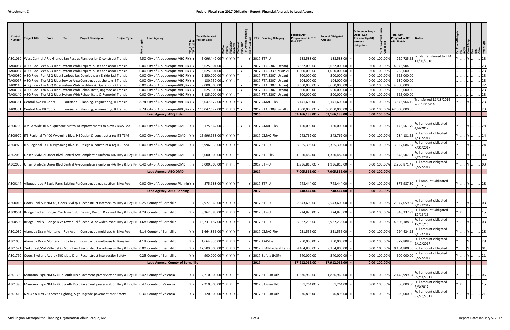| Control<br><b>Number</b> | <b>Project Title</b>                     | <b>IFrom</b> | <b>Project Description</b>                                                                                                   | <b>Project Type</b>   | ead Agency                                                                                                              | <b>Total Estimated</b><br>Project Cost |  |  | FFY<br><b>Funding Category</b>                       | <b>Federal Amt</b><br>rogrammed in TIP<br><b>End FFY</b> | <b>Federal Obligated</b><br>Amount | <b>Difference Prog</b><br>Oblig KEY:<br>$$1=$ unoblig (\$1)<br>=excess<br>obligation | Prog<br>gated<br>ិ ភ្ន<br>∗ న | <b>Total Amt</b><br>Prog'md in TIP<br>with Match | Notes                                    |  |                                                                  |                        |
|--------------------------|------------------------------------------|--------------|------------------------------------------------------------------------------------------------------------------------------|-----------------------|-------------------------------------------------------------------------------------------------------------------------|----------------------------------------|--|--|------------------------------------------------------|----------------------------------------------------------|------------------------------------|--------------------------------------------------------------------------------------|-------------------------------|--------------------------------------------------|------------------------------------------|--|------------------------------------------------------------------|------------------------|
|                          |                                          |              | A301060  West Central ARio Grande San Pasqua Plan, design & construct Transit                                                |                       | 4.50 City of Albuquerque-ABQ RidY Y                                                                                     | 5,096,442.00 Y Y                       |  |  | 2017 STP-U                                           | 188,588.00                                               | 188,588.00                         |                                                                                      | 0.00 100.009                  | 220,725.65                                       | Funds transferred to FTA<br>11/08/2016   |  |                                                                  |                        |
| TA00057                  |                                          |              | ABQ Ride - Ver ABQ Ride System Wide Acquire buses and asso                                                                   | dTransit              | 0.00 City of Albuquerque-ABQ RivYY                                                                                      | 5,625,904.00                           |  |  | 2017 FTA 5307 (Urban)                                | 3,632,000.00                                             | 3,632,000.00                       |                                                                                      | $0.00$ 100.009                | 4,375,904.00                                     |                                          |  |                                                                  |                        |
| TA00057                  |                                          |              | ABQ Ride - VerABQ Ride System Wide Acquire buses and assoc Transit                                                           |                       | 0.00 City of Albuquerque-ABQ RivYY                                                                                      | 5,625,904.00                           |  |  | FTA 5339 (MAP-21<br>2017                             | 1,000,000.00                                             | 1,000,000.00                       |                                                                                      | 0.00 100.00%                  | 1,250,000.00                                     |                                          |  |                                                                  | 23                     |
| TA00080<br>TA00097       |                                          |              | ABQ Ride - Par ABQ Ride Svarious loc Develop park & ride fac<br>ABO Ride - TralABO Ride Service Area Construct bus shelters. | :i Transit<br>Transit | 0.00 City of Albuquerque-ABQ RivYY<br>0.00 City of Albuquerque-ABQ RivYY                                                | 1,250,000.00<br>130,750.00             |  |  | 2017<br>FTA 5307 (Urban)<br>FTA 5307 (Urban)<br>2017 | 500,000.00<br>104,000.00                                 | 500,000.00<br>104,000.00           |                                                                                      | 0.00 100.00%<br>0.00 100.00%  | 625,000.00<br>130,000.00                         |                                          |  |                                                                  | 23<br>23               |
| TA00110                  |                                          |              | ABQ Ride - Tra ABQ Ride System Wide Facilities & Operations                                                                  | <b>PTransit</b>       | 0.00 City of Albuquerque-ABQ RidY Y                                                                                     | 9,000,000.00                           |  |  | 2017<br>FTA 5307 (Urban)                             | 3,600,000.00                                             | 3,600,000.00                       |                                                                                      | 0.00 100.00%                  | 4,500,000.00                                     |                                          |  |                                                                  | 27                     |
| TA00137                  |                                          |              | ABQ Ride - Tra ABQ Ride System Wide Rehabilitate, upgrade a                                                                  | r Transit             | 0.00 City of Albuquerque-ABQ RidY Y                                                                                     | 625,000.00                             |  |  | 2017<br>FTA 5307 (Urban)                             | 500,000.00                                               | 500,000.00                         |                                                                                      | 0.00 100.00%                  | 625,000.00                                       |                                          |  |                                                                  | 23                     |
|                          |                                          |              | TA00140 ABQ Ride - Tra ABQ Ride System Wide Rehabilitate & Remodel Transit                                                   |                       | 0.00 City of Albuquerque-ABQ RidY Y                                                                                     | 3,125,000.00 Y Y Y                     |  |  | 2017 FTA 5307 (Urban)                                | 500,000.00                                               | 500,000.00                         |                                                                                      | 0.00 100.00%                  | 625,000.00                                       |                                          |  |                                                                  | 23                     |
|                          | TA00351 Central Ave BR Coors             |              | Louisiana Planning, engineering, R Transit                                                                                   |                       | 8.74 City of Albuquerque-ABQ Riv   116,047,622.00   Y                                                                   |                                        |  |  | 2017 CMAQ-Flex                                       | 3,141,600.00                                             | 3,141,600.00                       |                                                                                      | 0.00 100.00%                  | 3,676,966.19                                     | Transferred 11/18/2016<br>and 12/15/16   |  |                                                                  |                        |
|                          | TA00351 Central Ave BR Coors             |              | Louisiana Planning, engineering,                                                                                             | <b>R</b> Transit      | 8.74 City of Albuquerque-ABQ Riv Y   116,047,622.00                                                                     |                                        |  |  | 2017 FTA 5309 (Small Sta                             | 50,000,000.00                                            | 50,000,000.00                      |                                                                                      | 0.00 100.00%                  | 62,500,000.00                                    |                                          |  |                                                                  | 23                     |
|                          |                                          |              |                                                                                                                              |                       | <b>Lead Agency: ABQ Ride</b>                                                                                            |                                        |  |  | 2016                                                 | 63,166,188.00                                            | 63,166,188.00                      |                                                                                      | $0.00$ 100.00%                |                                                  |                                          |  |                                                                  |                        |
|                          |                                          |              | A300709  AMPA Wide Bi Albuquerque Metro Arlmprovements to bicycleBike/Ped                                                    |                       | 0.00 City of Albuquerque-DMD                                                                                            | 175,562.00                             |  |  | 2017 CMAQ-Flex                                       | 150,000.00                                               | 150,000.00                         |                                                                                      | 0.00 100.00%                  | 175,561.79                                       | Full amount obligated<br>4/4/2017        |  |                                                                  |                        |
|                          |                                          |              | A300970  ITS Regional Tr 400 Wyoming Blvd. Ni Design & construct a redITS-TSM                                                |                       | 0.00 City of Albuquerque-DMD                                                                                            | 15,996,933.00 Y Y                      |  |  | 2017 CMAQ-Flex                                       | 242,762.00                                               | 242,762.00                         |                                                                                      | 0.00 100.00%                  | 284,131.55                                       | Full amount obligated<br>7/31/2017       |  |                                                                  |                        |
|                          |                                          |              | A300970  ITS Regional Tr 400 Wyoming Blvd. Ni Design & construct a redITS-TSM                                                |                       | 0.00 City of Albuquerque-DMD                                                                                            | 15,996,933.00 Y Y                      |  |  | 2017 STP-U                                           | 3,355,303.00                                             | 3,355,303.00                       |                                                                                      | 0.00 100.00%                  | 3,927,086.54                                     | Full amount obligated<br>7/31/2017       |  |                                                                  |                        |
|                          |                                          |              | A302050 Unser Blvd/CelUnser Blvd Central AveComplete a uniform 4/6 Hwy & Brg Pre                                             |                       | 0.40 City of Albuquerque-DMD                                                                                            | 6,000,000.00 Y Y                       |  |  | 2017 STP-Flex                                        | 1,320,482.00                                             | 1,320,482.00                       |                                                                                      | 0.00 100.00%                  | 1,545,507.91                                     | Full amount obligated<br>9/22/2017       |  |                                                                  |                        |
|                          |                                          |              | A302050   Unser Blvd/Cel Unser Blvd Central AveComplete a uniform 4/6 Hwy & Brg Pre                                          |                       | 0.40 City of Albuquerque-DMD                                                                                            | 6,000,000.00 Y                         |  |  | 2017 STP-U                                           | 1,936,815.00                                             | 1,936,815.00                       |                                                                                      | 0.00 100.00%                  | 2,266,871.42                                     | Full amount obligated<br>9/22/2017       |  |                                                                  |                        |
|                          |                                          |              |                                                                                                                              |                       | <b>Lead Agency: ABQ DMD</b>                                                                                             |                                        |  |  | $\vert$ 2017                                         | 7,005,362.00                                             | 7,005,362.00                       |                                                                                      | $0.00$ 100.00%                |                                                  |                                          |  |                                                                  |                        |
|                          |                                          |              |                                                                                                                              |                       |                                                                                                                         |                                        |  |  |                                                      |                                                          |                                    |                                                                                      |                               |                                                  |                                          |  |                                                                  |                        |
|                          |                                          |              | A300144  Albuquerque F Eagle Ranc Existing Pal Construct a gap section  Bike/Ped                                             |                       | 0.00 City of Albuquerque-Plannin Y Y                                                                                    | 875,988.00 Y Y Y Y Y Y                 |  |  | 2017 STP-U                                           | 748,444.00                                               | 748,444.00                         |                                                                                      | 0.00 100.00%                  | 875,987.80                                       | <b>Full Amount Obligated</b><br>9/11/17  |  |                                                                  |                        |
|                          |                                          |              |                                                                                                                              |                       | <b>Lead Agency: ABQ Planning</b>                                                                                        |                                        |  |  | 2017                                                 | 748,444.00                                               | 748,444.00                         |                                                                                      | $0.00$ 100.00%                |                                                  |                                          |  |                                                                  |                        |
|                          |                                          |              | A300015   Coors Blvd & BNM 45, Coors Blvd @   Reconstruct intersec. to Hwy & Brg Pr                                          |                       | 0.25 County of Bernalillo                                                                                               | 2,977,060.00 Y Y Y Y                   |  |  | 2017 STP-U                                           | 2,543,600.00                                             | 2,543,600.00                       |                                                                                      | 0.00 100.00%                  | 2,977,059.84                                     | Full amount obligated<br>9/12/2017       |  |                                                                  |                        |
|                          |                                          |              |                                                                                                                              |                       | A300501 Bridge Blvd an Bridge: Cod Tower: Stin Design, Recon. & or wid Hwy & Brg Pr 4.24 County of Bernalillo<br>YY     | 8,362,383.00 Y Y Y Y Y Y               |  |  | Y 2017 STP-U                                         | 724,820.00                                               | 724,820.00                         |                                                                                      | 0.00 100.00%                  | 848,337.99                                       | <b>Full Amount Obligated</b><br>12/16/16 |  | $\left\vert \dots \right\vert$ 15 $\left\vert \dots \right\vert$ |                        |
|                          |                                          |              |                                                                                                                              |                       | A300503  Bridge Blvd & 1Bridge Blvd Tower Rd f Recon. & or widen road Hwy & Brg Pr. 1.68 County of Bernalillo           | 15,731,157.00 Y Y Y Y Y Y              |  |  | 2017 STP-U                                           | 3,937,236.00                                             | 3,937,236.00                       |                                                                                      | 0.00 100.00%                  | 4,608,188.07                                     | Full amount obligated<br>12/16/16        |  |                                                                  | 03                     |
|                          | A301030  Alameda Drain Montano   Roy Ave |              | Construct a multi-use traBike/Ped                                                                                            |                       | YY<br>4.14 County of Bernalillo                                                                                         | $1,664,836.00$ Y Y Y Y Y Y Y .         |  |  | Y 2017 CMAQ-Flex                                     | 251,556.00                                               | 251,556.00                         |                                                                                      | 0.00 100.00%                  | 294,424.15                                       | Full amount obligated<br>9/12/2017       |  | $\cdot \big  \cdot \big  28$                                     |                        |
|                          |                                          |              | A301030  Alameda Drain Montano   Roy Ave   Construct a multi-use traBike/Ped                                                 |                       | YY<br>4.14 County of Bernalillo                                                                                         | $1,664,836.00$ Y Y Y Y Y Y .           |  |  | 2017 TAP-Flex                                        | 750,000.00                                               | 750,000.00                         |                                                                                      | 0.00 100.00%                  | 877,808.96                                       | Full amount obligated<br>9/12/2017       |  |                                                                  | .    28                |
|                          |                                          |              |                                                                                                                              |                       | $Y$ $Y$<br>A301521 2nd Street/Val Valle del O Mountain   Reconstruct roadway wi Hwy & Brg Pri 0.00 County of Bernalillo | 12,500,000.00 Y Y Y Y Y Y              |  |  | 2017 FLAP-Federal Lands                              | 9,164,800.00                                             | 9,164,800.00                       |                                                                                      | 0.00 100.00%                  |                                                  | 9,164,800.00 Full amount obligated       |  |                                                                  | 01                     |
|                          |                                          |              | A301790 Coors Blvd and Approx 500 Isleta Drain Reconstruct intersection Safety                                               |                       | YY<br>0.25 County of Bernalillo                                                                                         | 900,000.00 Y Y Y Y Y Y J.              |  |  | 2017 Safety (HSIP)                                   | 540,000.00                                               | 540,000.00                         |                                                                                      | 0.00 100.00%                  | 600,000.00                                       | Full amount obligated<br>9/22/2017       |  |                                                                  |                        |
|                          |                                          |              |                                                                                                                              |                       | Lead Agency: County of Bernalillo                                                                                       |                                        |  |  | $\vert$ 2017                                         | 17,912,012.00                                            | 17,912,012.00                      |                                                                                      | $0.00$ 100.00%                |                                                  |                                          |  |                                                                  |                        |
|                          |                                          |              |                                                                                                                              |                       |                                                                                                                         |                                        |  |  |                                                      |                                                          |                                    |                                                                                      |                               |                                                  |                                          |  |                                                                  |                        |
|                          |                                          |              | A301390   Manzano Expr NM 47 (RidSouth Rio dPavement preservsation Hwy & Brg Pr                                              |                       | YY<br>6.47 County of Valencia                                                                                           | 2,210,000.00 Y Y Y                     |  |  | 2017 STP-Sm Urb                                      | 1,836,960.00                                             | 1,836,960.00                       |                                                                                      | 0.00 100.00%                  | 2,149,999.94                                     | Full amount obligated<br>09/11/2017      |  |                                                                  | 06                     |
|                          |                                          |              |                                                                                                                              |                       | Y<br>A301390   Manzano Expr(NM 47 (RidSouth Rio (Pavement preservsation Hwy & Brg Pr) 6.47 County of Valencia           | 2,210,000.00 Y Y Y                     |  |  | 2017 STP-Sm Urb                                      | 51,264.00                                                | 51,264.00                          |                                                                                      | 0.00 100.00%                  | 60,000.00                                        | Full amount obligated<br>2/3/2017        |  |                                                                  | 15                     |
|                          |                                          |              | A301410 NM 47 & NM 263 Street Lighting, SigrUpgrade pavement marlSafety                                                      |                       | Y Y<br>0.30 County of Valencia                                                                                          | 120,000.00 Y Y Y Y                     |  |  | 2017 STP-Sm Urb                                      | 76,896.00                                                | 76,896.00                          |                                                                                      | 0.00 100.00%                  | 90,000.00                                        | Full amount obligated<br>07/26/2017      |  |                                                                  | $\lfloor . \rfloor$ 21 |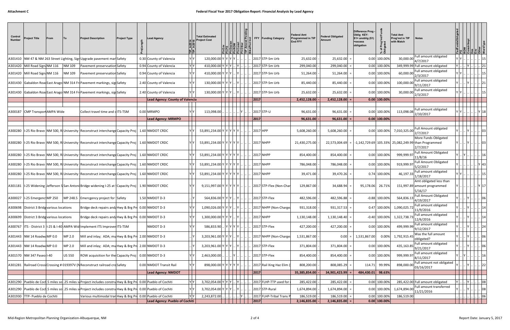| Control<br><b>Number</b> | Project Title                                | From | <b>Project Description</b>                                                                                      | <b>Project Type</b> | ead Agenc.                             | <b>Total Estimated</b><br>Project Cost |             |  |                    | FFY Funding Category               | Federal Amt<br>rogrammed in TIP<br><b>End FFY</b> | <b>Federal Obligated</b><br>Amount | Difference Prog -<br>Oblig KEY:<br>$$1=$ unoblig $($1)$<br>=excess<br>obligation | Prog'<br>lated<br>'ত ፡ | <b>Total Amt</b><br>Prog'md in TIP<br>with Match | Notes                                                                                       |                                                                                                                                                                                                                                                                                                                                |                        |
|--------------------------|----------------------------------------------|------|-----------------------------------------------------------------------------------------------------------------|---------------------|----------------------------------------|----------------------------------------|-------------|--|--------------------|------------------------------------|---------------------------------------------------|------------------------------------|----------------------------------------------------------------------------------|------------------------|--------------------------------------------------|---------------------------------------------------------------------------------------------|--------------------------------------------------------------------------------------------------------------------------------------------------------------------------------------------------------------------------------------------------------------------------------------------------------------------------------|------------------------|
|                          |                                              |      | A301410   NM 47 & NM 263 Street Lighting, Sigr Upgrade pavement marl Safety                                     |                     | 0.30 County of Valencia                | 120,000.00                             | IY IY I     |  |                    | 2017 STP-Sm Urb                    | 25,632.00                                         | 25,632.00                          |                                                                                  | 0.00 100.009           | 30,000.00                                        | Full amount obligated<br>4/7/2017                                                           |                                                                                                                                                                                                                                                                                                                                |                        |
|                          | A301420 Mill Road Sign: NM 116               |      | NM 109<br>Pavement preservsation Safety                                                                         |                     | 0.94 County of Valencia                | 410,000.00 Y Y Y                       |             |  |                    | 2017 STP-Sm Urb                    | 299,040.00                                        | 299,040.00                         |                                                                                  | 0.00 100.00%           |                                                  | 349,999.99 Full amount obligated                                                            |                                                                                                                                                                                                                                                                                                                                |                        |
|                          | A301420 Mill Road Sign: NM 116               |      | NM 109<br>Pavement preservsation Safety                                                                         |                     | 0.94 County of Valencia                | 410,000.00                             |             |  |                    | 2017 STP-Sm Urb                    | 51,264.00                                         | 51,264.00                          |                                                                                  | 0.00 100.00%           | 60,000.00                                        | Full amount obligated<br>2/3/2017                                                           |                                                                                                                                                                                                                                                                                                                                |                        |
|                          |                                              |      | A301430 Gabaldon RoadEast Arago NM 314 Fri Pavement markings, signSafety                                        |                     | 2.40 County of Valencia                | 130,000.00                             | <b>IYIY</b> |  |                    | 2017 STP-Sm Urb                    | 85,440.00                                         | 85,440.00                          |                                                                                  | 0.00 100.009           | 100,000.00                                       | Full amount obligated<br>9/11/2017                                                          |                                                                                                                                                                                                                                                                                                                                |                        |
|                          |                                              |      | A301430 Gabaldon RoadEast Arago NM 314 Fri Pavement markings, signSafety                                        |                     | 2.40 County of Valencia                | 130,000.00                             |             |  |                    | 2017 STP-Sm Urb                    | 25,632.00                                         | 25,632.00                          |                                                                                  | 0.00 100.00%           | 30,000.00                                        | Full amount obligated<br>2/3/2017                                                           |                                                                                                                                                                                                                                                                                                                                |                        |
|                          |                                              |      |                                                                                                                 |                     | <b>Lead Agency: County of Valencia</b> |                                        |             |  | 2017               |                                    | 2,452,128.00                                      | 2,452,128.00                       |                                                                                  | $0.00$ 100.00%         |                                                  |                                                                                             |                                                                                                                                                                                                                                                                                                                                |                        |
|                          | A300187 CMP Transport AMPA Wide              |      | Collect travel time and dITS-TSM                                                                                |                     | 0.00 MRMPO                             | 113,098.00                             |             |  |                    | 2017 STP-U                         | 96,631.00                                         | 96,631.00                          |                                                                                  | 0.00 100.00%           | 113,098.08                                       | Full amount obligated<br>2/10/2017                                                          |                                                                                                                                                                                                                                                                                                                                |                        |
|                          |                                              |      |                                                                                                                 |                     | <b>Lead Agency: MRMPO</b>              |                                        |             |  | $\vert 2017$       |                                    | 96,631.00                                         | 96,631.00                          |                                                                                  | $0.00$ 100.00%         |                                                  |                                                                                             |                                                                                                                                                                                                                                                                                                                                |                        |
|                          |                                              |      |                                                                                                                 |                     |                                        |                                        |             |  |                    |                                    |                                                   |                                    |                                                                                  |                        |                                                  |                                                                                             |                                                                                                                                                                                                                                                                                                                                |                        |
|                          |                                              |      | A300280   I-25 Rio Bravo   NM 500, RI University   Reconstruct interchange Capacity Proj                        |                     | 1.60 NMDOT CRDC                        | 53,891,234.00                          | Y Y Y Y I   |  | 2017 HPP           |                                    | 5,608,260.00                                      | 5,608,260.00                       |                                                                                  | 0.00 100.00%           | 7,010,325.00                                     | Full Amount obligated<br>2/7/2017                                                           |                                                                                                                                                                                                                                                                                                                                |                        |
|                          |                                              |      | A300280   I-25 Rio Bravo   NM 500, RI University   Reconstruct interchange Capacity Proj                        |                     | 1.60 NMDOT CRDC                        | 53,891,234.00 Y Y Y Y Y Y J            |             |  |                    | 2017 NHPP                          | 21,430,275.00                                     | 22,573,004.69                      |                                                                                  |                        |                                                  | More Funds Obligated<br> -1,142,729.69  105.33%  25,082,249.99  than Programmed<br>2/7/2017 |                                                                                                                                                                                                                                                                                                                                |                        |
|                          |                                              |      | A300280   I-25 Rio Bravo   NM 500, RI University   Reconstruct interchange Capacity Proj                        |                     | 1.60 NMDOT CRDC                        | 53,891,234.00 Y Y Y Y                  |             |  |                    | 2017 NHPP                          | 854,400.00                                        | 854,400.00                         |                                                                                  | 0.00 100.00%           | 999,999.97                                       | <b>Full Amount Obligated</b><br>11/8/16                                                     |                                                                                                                                                                                                                                                                                                                                |                        |
|                          |                                              |      | A300280  I-25 Rio Bravo   NM 500, RI University   Reconstruct interchange Capacity Proj   1.60   NMDOT CRDC     |                     |                                        | 53,891,234.00                          |             |  |                    | 2017 NHPP                          | 786,048.00                                        | 786,048.00                         |                                                                                  | 0.00 100.00%           | 919,999.97                                       | <b>Full Amount Obligated</b><br>5/2/2017                                                    |                                                                                                                                                                                                                                                                                                                                |                        |
|                          |                                              |      | A300280  I-25 Rio Bravo   NM 500, RI University   Reconstruct interchange Capacity Proj   1.60   NMDOT CRDC     |                     |                                        | 53,891,234.00 Y Y Y Y                  |             |  |                    | 2017 NHPP                          | 39,471.00                                         | 39,470.26                          |                                                                                  | 0.74 100.00%           | 46,197.33                                        | Full amount obligated<br>1/18/2017                                                          |                                                                                                                                                                                                                                                                                                                                |                        |
|                          |                                              |      | A301181   I-25 Widening Jefferson S San Antoni Bridge widening I-25 at {Capacity Proj                           |                     | 1.90 NMDOT CRDC                        | 9,151,997.00 Y Y Y Y Y Y               |             |  |                    | 2017 STP-Flex (Non-Char            | 129,867.00                                        | 34,688.94                          | 95,178.06                                                                        | 26.71%                 |                                                  | Amt obligated less than<br>151,997.89 amount programmed<br>5/16/17                          |                                                                                                                                                                                                                                                                                                                                |                        |
|                          | A300027   I-25 Emergenc MP 250               |      | MP 248.5<br>Emercgency project for ISafety                                                                      |                     | $1.50$ NMDOT D-3                       | 564,836.00 Y Y Y                       |             |  |                    | 2017 STP-Flex                      | 482,596.00                                        | 482,596.88                         |                                                                                  | $-0.88$ 100.00%        | 564,836.13                                       | <b>Full Amount Obligated</b><br>4/19/2017                                                   |                                                                                                                                                                                                                                                                                                                                |                        |
|                          | A300698   District 3 Bridg various locations |      | Bridge deck repairs and/Hwy & Brg Pri 0.00 NMDOT D-3                                                            |                     |                                        | 1.090.026.00 Y Y Y                     |             |  |                    | 2017 NHPP (Non-Charge              | 931,318.00                                        | 931,317.53                         |                                                                                  | 0.47 100.00%           | 1,090,025.72                                     | Full amount obligated<br>11/9/2016                                                          |                                                                                                                                                                                                                                                                                                                                |                        |
|                          | A300699 District 3 Bridg various locations   |      | Bridge deck repairs and/Hwy & Brg Pro 0.00 NMDOT D-3                                                            |                     |                                        | 1,300,000.00                           | IY IY       |  |                    | 2017 NHPP                          | 1,130,148.00                                      | $1,130,148.40$ =                   |                                                                                  | $-0.40$ 100.00%        | 1,322,738.73                                     | Full amount obligated<br>12/6/2016<br>Full amount obligated                                 |                                                                                                                                                                                                                                                                                                                                |                        |
|                          |                                              |      | A300767  ITS - District 3  I-25 & I-40 AMPA Wid Implement ITS Improver ITS-TSM                                  |                     | NMDOT D-3                              | 586,833.90                             |             |  |                    | 2017 STP-Flex                      | 427,200.00                                        | 427,200.00                         |                                                                                  | 0.00 100.00%           | 499,999.99                                       | 9/12/2017<br>Was the full amount                                                            |                                                                                                                                                                                                                                                                                                                                |                        |
|                          | A301443 NM 14 RoadwaMP 0.0                   |      | MP 2.0<br>Mill and inlay; ADA; mu Hwy & Brg Pr 2.00 NMDOT D-3                                                   |                     |                                        | 3,203,961.00 Y Y Y                     |             |  |                    | 2017 NHPP (Non-Charge              | 1,531,867.00                                      | 0.00                               | 1,531,867.00                                                                     | 0.00%                  | 1,792,915.45                                     | obligated?<br>Full amount obligated                                                         |                                                                                                                                                                                                                                                                                                                                | . . 06                 |
|                          | A301443 NM 14 RoadwaMP 0.0                   |      | MP 2.0<br>Mill and inlay; ADA; mu Hwy & Brg Pro 2.00 NMDOT D-3                                                  |                     |                                        | 3,203,961.00 Y Y Y                     |             |  |                    | 2017 STP-Flex                      | 371,804.00                                        | 371,804.00                         |                                                                                  | 0.00 100.00%           | 435,163.85                                       | 9/21/2017<br>Full amount obligated                                                          |                                                                                                                                                                                                                                                                                                                                | $\cdot$ 06             |
|                          | A301570   NM 347 Paseo I-40                  |      | ROW acquisition for the Capacity Proj<br><b>US 550</b>                                                          |                     | $0.00$ NMDOT D-3                       | 2,463,000.00                           |             |  |                    | 2017 STP-Flex                      | 854,400.00                                        | 854,400.00                         |                                                                                  | 0.00 100.00%           | 999,999.97                                       | 8/11/2017<br>Full amount not obligated                                                      |                                                                                                                                                                                                                                                                                                                                |                        |
|                          |                                              |      | A301281 Railroad Crossi Crossing #019397V (N Reconstruct railroad croSafety                                     |                     | 0.00 NMDOT Transit Rail                | 898,000.00 Y Y Y Y                     |             |  |                    | 2017 Rail Xing Haz Elim            | 808,200.00                                        | 808,085.29                         | 114.71                                                                           | 99.99%                 | 898,000.00                                       | 03/16/2017                                                                                  |                                                                                                                                                                                                                                                                                                                                |                        |
|                          |                                              |      |                                                                                                                 |                     | <b>Lead Agency: NMDOT</b>              |                                        |             |  | $\boxed{2017}$     |                                    | 35,385,854.00                                     | 34,901,423.99                      | 484,430.01 98.63%                                                                |                        |                                                  |                                                                                             |                                                                                                                                                                                                                                                                                                                                |                        |
|                          |                                              |      | A301290 Pueblo de Cocl.5 miles sol.25 miles sol Project includes constru Hwy & Brg Pro 0.00 Pueblo of Cochiti   |                     |                                        | 3,702,054.00 Y Y Y                     |             |  |                    | 2017 FLHP-TTP used for             | 285,422.00                                        | 285,422.00                         |                                                                                  | 0.00 100.00%           |                                                  | 285,422.00 Full amount obligated                                                            | $Y _{\cdot\cdot}$<br>$\mathbb{R}$   $\mathbb{R}$   $\mathbb{R}$   $\mathbb{R}$   $\mathbb{R}$   $\mathbb{R}$   $\mathbb{R}$   $\mathbb{R}$   $\mathbb{R}$   $\mathbb{R}$   $\mathbb{R}$   $\mathbb{R}$   $\mathbb{R}$   $\mathbb{R}$   $\mathbb{R}$   $\mathbb{R}$   $\mathbb{R}$   $\mathbb{R}$   $\mathbb{R}$   $\mathbb{R}$ |                        |
|                          |                                              |      | A301290  Pueblo de Cocl.5 miles sol.25 miles sol Project includes constructive & Brg Pro 0.00 Pueblo of Cochiti |                     |                                        | 3,702,054.00 Y Y Y                     |             |  |                    | 2017 STP-Rural                     | 1,674,894.00                                      | $1,674,894.00$ =                   |                                                                                  | 0.00 100.00%           | 1,674,894.00                                     | Full amount transferred<br>11/21/2016                                                       |                                                                                                                                                                                                                                                                                                                                | $\lfloor . \rfloor$ 08 |
|                          | A301930 TTP- Pueblo de Cochiti               |      | Various multimodal tran Hwy & Brg Pr 0.00 Pueblo of Cochiti                                                     |                     |                                        | 2,243,872.00                           |             |  |                    | .  Y      2017 FLHP-Tribal Trans 「 | 186,519.00                                        | $186,519.00$ =                     |                                                                                  | 0.00 100.00%           | 186,519.00                                       |                                                                                             | $\ldots$ $\ldots$ $\ldots$ $\ldots$ $\ldots$ $\ldots$ 06                                                                                                                                                                                                                                                                       |                        |
|                          |                                              |      |                                                                                                                 |                     | Lead Agency: Pueblo of Cochiti         |                                        |             |  | $\vert 2017 \vert$ |                                    | 2,146,835.00                                      | $2,146,835.00$ =                   |                                                                                  | $0.00$ 100.00%         |                                                  |                                                                                             |                                                                                                                                                                                                                                                                                                                                |                        |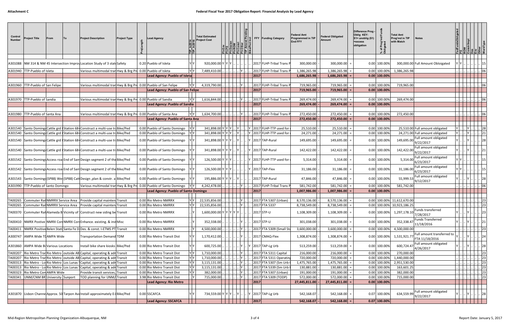| Control<br><b>Number</b> | <b>Project Title</b>                                                    | <b>From</b> | <b>Project Description</b>                                                       | <b>Project Type</b> | ead Agency.                                                        |    | <b>Total Estimated</b><br>Project Cost |      |                      | <b>FFY Funding Category</b>                      | <b>Federal Amt</b><br>rogrammed in TIP<br><b>End FFY</b> | <b>Federal Obligated</b><br><b>Amount</b> | <b>Difference Prog</b><br>Oblig KEY:<br>$$1$ = unoblig (\$1)<br>=excess<br>obligation | Prog'<br>lated<br>'চ ≣       | <b>Total Amt</b><br>Prog'md in TIP<br>with Match | <b>Notes</b>                                                       |                                                        |                                                                                       |
|--------------------------|-------------------------------------------------------------------------|-------------|----------------------------------------------------------------------------------|---------------------|--------------------------------------------------------------------|----|----------------------------------------|------|----------------------|--------------------------------------------------|----------------------------------------------------------|-------------------------------------------|---------------------------------------------------------------------------------------|------------------------------|--------------------------------------------------|--------------------------------------------------------------------|--------------------------------------------------------|---------------------------------------------------------------------------------------|
|                          |                                                                         |             |                                                                                  |                     |                                                                    |    |                                        |      |                      |                                                  |                                                          |                                           |                                                                                       |                              |                                                  |                                                                    |                                                        |                                                                                       |
|                          |                                                                         |             | A301088   NM 314 & NM 45 Intersection Improv Location Study of 3 state Safety    |                     | 0.20 Pueblo of Isleta                                              |    | 920,000.00                             |      |                      | 2017 FLHP-Tribal Trans F                         | 300,000.00                                               | 300,000.00                                |                                                                                       | 0.00 100.00%                 |                                                  | 300,000.00 Full Amount Obloigated                                  |                                                        |                                                                                       |
|                          | A301940   TTP-Pueblo of Isleta                                          |             | Various multimodal tran Hwy & Brg Pro 0.00 Pueblo of Isleta                      |                     |                                                                    | YY | 7,489,410.00                           |      |                      | 2017 FLHP-Tribal Trans P                         | 1,386,265.98                                             | 1,386,265.98                              |                                                                                       | 0.00 100.00%                 | 1,386,265.98                                     |                                                                    |                                                        |                                                                                       |
|                          |                                                                         |             |                                                                                  |                     | Lead Agency: Pueblo of Isleta                                      |    |                                        |      | 2017                 |                                                  | 1,686,265.98                                             | 1,686,265.98                              |                                                                                       | $0.00$ 100.00%               |                                                  |                                                                    |                                                        |                                                                                       |
|                          |                                                                         |             |                                                                                  |                     |                                                                    |    |                                        |      |                      |                                                  |                                                          |                                           |                                                                                       |                              |                                                  |                                                                    |                                                        |                                                                                       |
|                          | A301960 TTP-Pueblo of San Felipe                                        |             | Various multimodal tran Hwy & Brg Pr 0.00 Pueblo of San Felipe                   |                     |                                                                    | YY | 4,319,790.00                           |      | 2017                 | 2017 FLHP-Tribal Trans F                         | 719,965.00                                               | 719,965.00                                |                                                                                       | 0.00 100.00%                 | 719,965.00                                       |                                                                    |                                                        |                                                                                       |
|                          |                                                                         |             |                                                                                  |                     | Lead Agency: Pueblo of San Felipe                                  |    |                                        |      |                      |                                                  | 719,965.00                                               | 719,965.00                                |                                                                                       | $0.00$ 100.00%               |                                                  |                                                                    |                                                        |                                                                                       |
|                          | A301970 TTP-Pueblo of Sandia                                            |             | Various multimodal tran Hwy & Brg Pro 0.00 Pueblo of Sandia                      |                     |                                                                    | YY | 1,616,844.00                           |      |                      | 2017 FLHP-Tribal Trans                           | 269,474.00                                               | 269,474.00                                |                                                                                       | 0.00 100.00%                 | 269,474.00                                       |                                                                    |                                                        |                                                                                       |
|                          |                                                                         |             |                                                                                  |                     | Lead Agency: Pueblo of Sandia                                      |    |                                        |      | $ 2017 $             |                                                  | 269,474.00                                               | 269,474.00                                |                                                                                       | $0.00$ 100.00%               |                                                  |                                                                    |                                                        |                                                                                       |
|                          |                                                                         |             |                                                                                  |                     |                                                                    |    |                                        |      |                      |                                                  |                                                          |                                           |                                                                                       |                              |                                                  |                                                                    |                                                        |                                                                                       |
|                          | A301980 TTP-Pueblo of Santa Ana                                         |             | Various multimodal tran Hwy & Brg Pro 0.00 Pueblo of Santa Ana                   |                     |                                                                    | YY | 1,634,700.00                           |      |                      | 2017 FLHP-Tribal Trans                           | 272,450.00                                               | 272,450.00                                |                                                                                       | 0.00 100.00%                 | 272,450.00                                       |                                                                    |                                                        | 06                                                                                    |
|                          |                                                                         |             |                                                                                  |                     | Lead Agency: Pueblo of Santa Ana                                   |    |                                        |      | $\vert 2017$         |                                                  | 272,450.00                                               | 272,450.00                                |                                                                                       | $0.00$ 100.00%               |                                                  |                                                                    |                                                        |                                                                                       |
|                          |                                                                         |             | A301540 Santo Doming Cattle grd Station 68 Construct a multi-use traBike/Ped     |                     | 0.00 Pueblo of Santo Domingo                                       |    | 341.898.00                             |      |                      | 2017 FLHP-TTP used for                           |                                                          |                                           |                                                                                       |                              |                                                  |                                                                    |                                                        |                                                                                       |
|                          |                                                                         |             | A301540 Santo Doming Cattle grd   Station 68   Construct a multi-use traBike/Ped |                     | 0.00 Pueblo of Santo Domingo                                       |    | 341,898.00                             |      |                      | 2017 FLHP-TTP used for                           | 25,510.00<br>24,271.00                                   | 25,510.00<br>24,271.00                    |                                                                                       | 0.00 100.00%<br>0.00 100.00% |                                                  | 25,510.00 Full amount obligated<br>24,271.00 Full amount obligated |                                                        |                                                                                       |
|                          |                                                                         |             |                                                                                  |                     |                                                                    |    |                                        |      |                      |                                                  |                                                          |                                           |                                                                                       |                              |                                                  | Full amount obligated                                              |                                                        |                                                                                       |
|                          |                                                                         |             | A301540 Santo Doming Cattle grd   Station 681 Construct a multi-use traBike/Ped  |                     | 0.00 Pueblo of Santo Domingo                                       |    | 341,898.00 Y Y Y                       |      |                      | 2017 TAP-Rural                                   | 149,695.00                                               | 149,695.00                                |                                                                                       | 0.00 100.00%                 | 149,695.00                                       | 9/22/2017                                                          |                                                        |                                                                                       |
|                          |                                                                         |             | A301540 Santo Doming Cattle grd Station 68 Construct a multi-use traBike/Ped     |                     | 0.00 Pueblo of Santo Domingo                                       |    | 341,898.00                             |      |                      | 2017 TAP-Rural                                   | 142,422.00                                               | 142,422.00                                |                                                                                       | 0.00 100.00%                 | 142,422.00                                       | Full amount obligated<br>9/22/2017                                 |                                                        |                                                                                       |
|                          |                                                                         |             | A301542 Santo Doming Access roa End of San Design segment 2 of the Bike/Ped      |                     | 0.00 Pueblo of Santo Domingo                                       |    | 126,500.00                             |      |                      | 2017 FLHP-TTP used for                           | 5,314.00                                                 | 5,314.00                                  |                                                                                       | 0.00 100.00%                 | 5,314.00                                         | Full amount obligated<br>6/23/2017                                 |                                                        |                                                                                       |
|                          |                                                                         |             | A301542 Santo Doming Access roal End of San Design segment 2 of the Bike/Ped     |                     | 0.00 Pueblo of Santo Domingo                                       |    | 126,500.00 Y                           |      |                      | 2017 TAP-Flex                                    | 31,186.00                                                | 31,186.00                                 |                                                                                       | 0.00 100.00%                 | 31,186.00                                        | Full amount obligated<br>6/23/2017                                 |                                                        |                                                                                       |
|                          |                                                                         |             | A301543 Santo Doming(SP88) Wes(SP88) Catt Design , plan & constr. a Bike/Ped     |                     | 0.00 Pueblo of Santo Domingo                                       |    | 195,886.00 Y                           |      |                      | 2017 TAP-Rural                                   | 47,846.00                                                | 47,846.00                                 |                                                                                       | 0.00 100.00%                 | 55,999.53                                        | Full amount obligated<br>9/12/2017                                 |                                                        |                                                                                       |
|                          | A301990 TTP-Pueblo of Santo Domingo                                     |             |                                                                                  |                     | Various multimodal tran Hwy & Brg Pro 0.00 Pueblo of Santo Domingo |    | 4,242,478.00                           |      |                      | 2017 FLHP-Tribal Trans F                         | 581,742.00                                               | 581,742.00                                |                                                                                       | 0.00 100.00%                 | 581,742.00                                       |                                                                    |                                                        |                                                                                       |
|                          |                                                                         |             |                                                                                  |                     | Lead Agency: Pueblo of Santo Domingo                               |    |                                        |      | 2017                 |                                                  | 1,007,986.00                                             | 1,007,986.00                              |                                                                                       | $0.00$ 100.00%               |                                                  |                                                                    |                                                        |                                                                                       |
|                          |                                                                         |             |                                                                                  |                     |                                                                    |    |                                        |      |                      |                                                  |                                                          |                                           |                                                                                       |                              |                                                  |                                                                    |                                                        |                                                                                       |
| TA00265                  | Commuter Rail NMRRX Service Area                                        |             | Provide capital mainten. Transit                                                 |                     | 0.00 Rio Metro NMRRX                                               |    | 22,535,856.00                          |      |                      | 2017 FTA 5307 (Urban)                            | 8,570,136.00                                             | 8,570,136.00                              |                                                                                       |                              | 0.00 100.00% 11,612,670.00                       |                                                                    |                                                        |                                                                                       |
| TA00265                  | Commuter Rail NMRRX Service Area                                        |             | Provide capital mainten: Transit                                                 |                     | 0.00 Rio Metro NMRRX                                               |    | 22,535,856.00                          |      |                      | 2017 FTA 5337                                    | 8,738,549.00                                             | 8,738,549.00                              |                                                                                       |                              | 0.00 100.00% 10,923,186.25                       |                                                                    |                                                        |                                                                                       |
|                          |                                                                         |             | TA00370 Commuter Rai Alameda B Vicinity of Construct new siding be Transit       |                     | 0.00 Rio Metro NMRRX                                               |    | 1,600,000.00 Y Y Y Y Y Y               |      |                      | 2017 STP-U                                       | 1,108,309.00                                             | 1,108,309.00                              |                                                                                       | 0.00 100.00%                 | 1,297,178.10                                     | Funds transferred<br>7/28/2017                                     | $\mathbb{E}[\mathsf{Y} \mathbb{H}]\cdots$              | $\therefore$ 23                                                                       |
|                          |                                                                         |             | TA00410 NMRX Postive NMRX Corr NMRX Correnance. existing. & inst Misc            |                     | 0.00 Rio Metro NMRRX                                               |    | 352,338.00                             |      |                      | 2017 STP-U                                       | 301,038.00                                               | 301,038.00                                |                                                                                       | 0.00 100.00%                 | 352,338.47                                       | <b>Funds Transferred</b><br>11/18/2016                             |                                                        | 21                                                                                    |
|                          |                                                                         |             | TA00411 NMRX Positive Belen Stati Santa Fe D Des. & const. I-ETMS PT Transit     |                     | 0.00 Rio Metro NMRRX                                               |    | 4,500,000.00                           |      |                      | 2017 FTA 5309 (Small Sta                         | 3,600,000.00                                             | 3,600,000.00                              |                                                                                       | 0.00 100.00%                 | 4,500,000.00                                     |                                                                    | .          23                                          |                                                                                       |
|                          | A300747 AMPA Wide TI AMPA Wide                                          |             | <b>Transportation Demand TDM</b>                                                 |                     | 0.00 Rio Metro Transit Dist                                        |    | 1,170,412.00                           |      |                      | 2017 CMAQ-Flex                                   | 1,308,874.00                                             | 1,308,874.00                              |                                                                                       | 0.00 100.00%                 | 1,531,921.77                                     | Full amount transferred to<br>FTA 11/18/2016                       |                                                        | .  24                                                                                 |
|                          | A301860   AMPA Wide Bi Various Locations                                |             | Install bike share kiosks Bike/Ped                                               |                     | 0.00 Rio Metro Transit Dist                                        |    | 600,725.00                             |      |                      | 2017 TAP-Lg Urb                                  | 513,259.00                                               | 513,259.00                                |                                                                                       | 0.00 100.00%                 | 600,724.47                                       | Full amount obligated<br>4/26/2017                                 |                                                        | 28                                                                                    |
|                          |                                                                         |             | TA00207 Rio Metro TranRio Metro outside AB Capital, operating & adn Transit      |                     | 0.00 Rio Metro Transit Dist                                        | YY | 1,710,000.00                           |      |                      | 2017 FTA 5311 Capital                            | 216,000.00                                               | 216,000.00                                |                                                                                       | 0.00 100.00%                 | 270,000.00                                       |                                                                    |                                                        | $\begin{array}{ c c }\n\hline\n23 \\ \hline\n23 \\ \hline\n23 \\ \hline\n\end{array}$ |
|                          |                                                                         |             | TA00207 Rio Metro TranRio Metro outside AB Capital, operating & adn Transit      |                     | 0.00 Rio Metro Transit Dist                                        | YY | 1,710,000.00                           |      |                      | 2017 FTA 5311 Operatin                           | 720,000.00                                               | 720,000.00                                |                                                                                       | 0.00 100.00%                 | 1,440,000.00                                     |                                                                    |                                                        |                                                                                       |
|                          |                                                                         |             | TA00313 Rio Metro - Lo Rio Metro Los Lunas (Capital, operating & adn Transit     |                     | 0.00 Rio Metro Transit Dist                                        |    | 3,115,131.00                           |      |                      | 2017 FTA 5307 (Sm Urb                            | 1,475,765.00                                             | 1,475,765.00                              |                                                                                       | 0.00 100.00%                 | 2,951,530.00                                     |                                                                    |                                                        |                                                                                       |
|                          |                                                                         |             | TA00313 Rio Metro - Lo Rio Metro Los Lunas (Capital, operating & adn Transit     |                     | 0.00 Rio Metro Transit Dist<br>0.00 Rio Metro Transit Dist         | YY | 3,115,131.00                           |      |                      | 2017 FTA 5339 (Sm Urb I<br>2017 FTA 5307 (Urban) | 130,881.00                                               | 130,881.00                                |                                                                                       | 0.00 100.00%<br>0.00 100.00% | 163,601.25<br>382,000.00                         |                                                                    |                                                        | $\sqrt{23}$                                                                           |
|                          | TA00323 Rio Metro Com AMPA Wide<br>TA00341 UNM/CNM BRUniversity Sunport |             | Provide transit services, Transit<br>TOD planning for UNM/Transit                |                     | 3.98 Rio Metro Transit Dist                                        |    | 382,000.00<br>715,000.00               |      |                      | 2017 FTA 5309 (TODP)                             | 191,000.00<br>572,000.00                                 | 191,000.00<br>572,000.00                  |                                                                                       | 0.00 100.00%                 | 715,000.00                                       |                                                                    |                                                        | 23<br>$\overline{23}$                                                                 |
|                          |                                                                         |             |                                                                                  |                     | Lead Agency: Rio Metro                                             |    |                                        |      | $\vert$ 2017 $\vert$ |                                                  | 27,445,811.00                                            | 27,445,811.00                             |                                                                                       | $0.00$ 100.00%               |                                                  |                                                                    |                                                        |                                                                                       |
|                          |                                                                         |             |                                                                                  |                     |                                                                    |    |                                        |      |                      |                                                  |                                                          |                                           |                                                                                       |                              |                                                  |                                                                    |                                                        |                                                                                       |
|                          |                                                                         |             | A301870 Lisbon Channe Approx. 50 Tarpon Avelnstall approximately 0.8 Bike/Ped    |                     | 0.00 SSCAFCA                                                       |    | 734,559.00 Y Y Y                       | . IY |                      | $2017$ TAP-Lg Urb                                | 542,168.07                                               | 542,168.00                                |                                                                                       | 0.07 100.00%                 | 634,559.99                                       | Full amount obligated<br>9/22/2017                                 | $Y$ $\left  \dots \right $ $\dots$ $\left  28 \right $ |                                                                                       |
|                          |                                                                         |             |                                                                                  |                     | <b>Lead Agency: SSCAFCA</b>                                        |    |                                        |      | 2017                 |                                                  | 542,168.07                                               | $542,168.00$ =                            |                                                                                       | $0.07$ 100.00%               |                                                  |                                                                    |                                                        |                                                                                       |